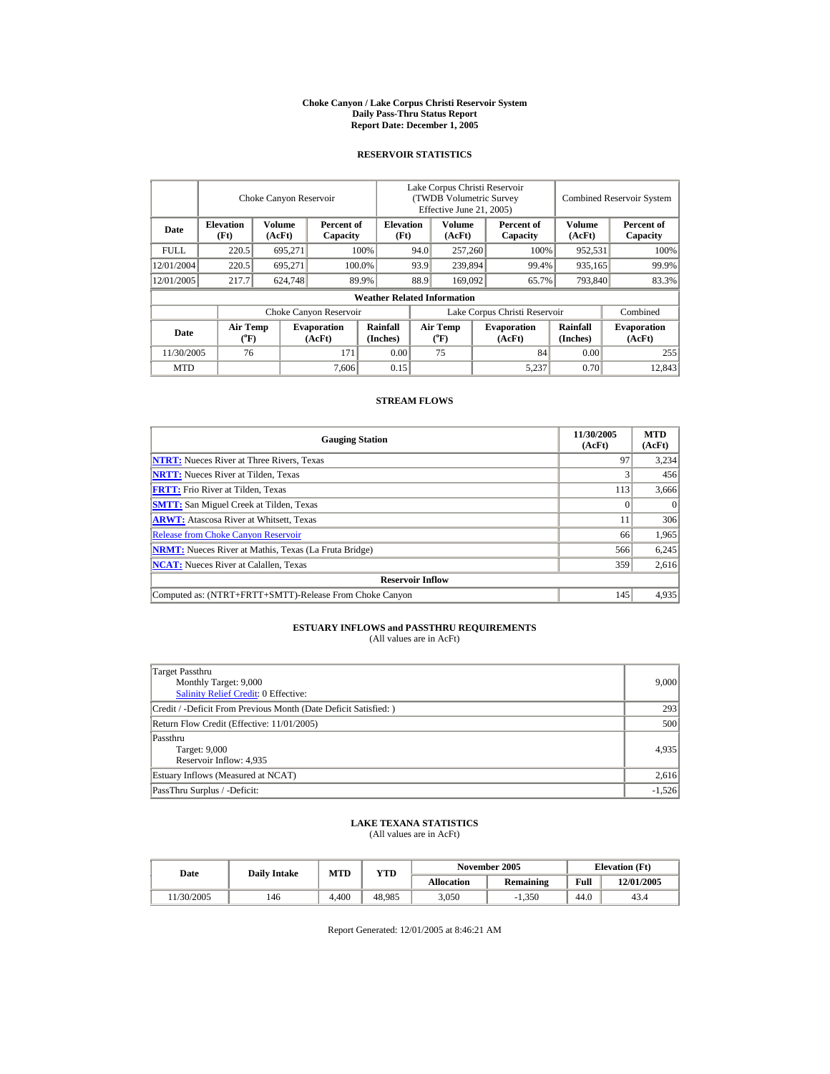#### **Choke Canyon / Lake Corpus Christi Reservoir System Daily Pass-Thru Status Report Report Date: December 1, 2005**

## **RESERVOIR STATISTICS**

|             |                                             | Choke Canyon Reservoir  |                              |                                                    | Lake Corpus Christi Reservoir<br>(TWDB Volumetric Survey<br>Effective June 21, 2005) |                                             |  |                              |                      | <b>Combined Reservoir System</b> |
|-------------|---------------------------------------------|-------------------------|------------------------------|----------------------------------------------------|--------------------------------------------------------------------------------------|---------------------------------------------|--|------------------------------|----------------------|----------------------------------|
| Date        | <b>Elevation</b><br>(Ft)                    | <b>Volume</b><br>(AcFt) |                              | <b>Elevation</b><br>Percent of<br>(Ft)<br>Capacity |                                                                                      | Volume<br>(AcFt)                            |  | Percent of<br>Capacity       | Volume<br>(AcFt)     | Percent of<br>Capacity           |
| <b>FULL</b> | 220.5                                       | 695,271                 |                              | 100%<br>94.0                                       |                                                                                      | 257,260                                     |  | 100%                         | 952,531              | 100%                             |
| 12/01/2004  | 220.5                                       | 695,271                 |                              | 100.0%                                             | 93.9                                                                                 | 239,894                                     |  | 99.4%                        | 935,165              | 99.9%                            |
| 12/01/2005  | 217.7                                       | 624,748                 |                              | 89.9%                                              | 88.9                                                                                 | 169,092                                     |  | 65.7%                        | 793,840              | 83.3%                            |
|             |                                             |                         |                              | <b>Weather Related Information</b>                 |                                                                                      |                                             |  |                              |                      |                                  |
|             |                                             |                         | Choke Canyon Reservoir       |                                                    | Lake Corpus Christi Reservoir                                                        |                                             |  |                              |                      | Combined                         |
| Date        | <b>Air Temp</b><br>$({}^{\circ}\mathrm{F})$ |                         | <b>Evaporation</b><br>(AcFt) | Rainfall<br>(Inches)                               |                                                                                      | <b>Air Temp</b><br>$({}^{\circ}\mathrm{F})$ |  | <b>Evaporation</b><br>(AcFt) | Rainfall<br>(Inches) | <b>Evaporation</b><br>(AcFt)     |
| 11/30/2005  | 76                                          |                         | 171                          | 0.00                                               |                                                                                      | 75                                          |  | 84                           | 0.00                 | 255                              |
| <b>MTD</b>  |                                             |                         | 7.606                        | 0.15                                               |                                                                                      |                                             |  | 5,237                        | 0.70                 | 12.843                           |

## **STREAM FLOWS**

| <b>Gauging Station</b>                                       | 11/30/2005<br>(AcFt) | <b>MTD</b><br>(AcFt) |
|--------------------------------------------------------------|----------------------|----------------------|
| <b>NTRT:</b> Nueces River at Three Rivers, Texas             | 97                   | 3.234                |
| <b>NRTT:</b> Nueces River at Tilden, Texas                   |                      | 456                  |
| <b>FRTT:</b> Frio River at Tilden, Texas                     | 113                  | 3,666                |
| <b>SMTT:</b> San Miguel Creek at Tilden, Texas               |                      | $\Omega$             |
| <b>ARWT:</b> Atascosa River at Whitsett, Texas               | 11                   | 306                  |
| <b>Release from Choke Canyon Reservoir</b>                   | 66                   | 1,965                |
| <b>NRMT:</b> Nueces River at Mathis, Texas (La Fruta Bridge) | 566                  | 6,245                |
| <b>NCAT:</b> Nueces River at Calallen, Texas                 | 359                  | 2,616                |
| <b>Reservoir Inflow</b>                                      |                      |                      |
| Computed as: (NTRT+FRTT+SMTT)-Release From Choke Canyon      | 145                  | 4,935                |

## **ESTUARY INFLOWS and PASSTHRU REQUIREMENTS**<br>(All values are in AcFt)

| Target Passthru                                                  |          |
|------------------------------------------------------------------|----------|
| Monthly Target: 9,000                                            | 9,000    |
| Salinity Relief Credit: 0 Effective:                             |          |
| Credit / -Deficit From Previous Month (Date Deficit Satisfied: ) | 293      |
| Return Flow Credit (Effective: 11/01/2005)                       | 500      |
| Passthru                                                         |          |
| Target: 9,000                                                    | 4,935    |
| Reservoir Inflow: 4,935                                          |          |
| Estuary Inflows (Measured at NCAT)                               | 2,616    |
| PassThru Surplus / -Deficit:                                     | $-1,526$ |

# **LAKE TEXANA STATISTICS** (All values are in AcFt)

| Date      | <b>Daily Intake</b> | <b>MTD</b> | <b>YTD</b> |                   | November 2005    | <b>Elevation</b> (Ft) |            |
|-----------|---------------------|------------|------------|-------------------|------------------|-----------------------|------------|
|           |                     |            |            | <b>Allocation</b> | <b>Remaining</b> | Full                  | 12/01/2005 |
| 1/30/2005 | 146                 | 4.400      | 48.985     | 3,050             | $-1.350$         | 44.0                  | 43.4       |

Report Generated: 12/01/2005 at 8:46:21 AM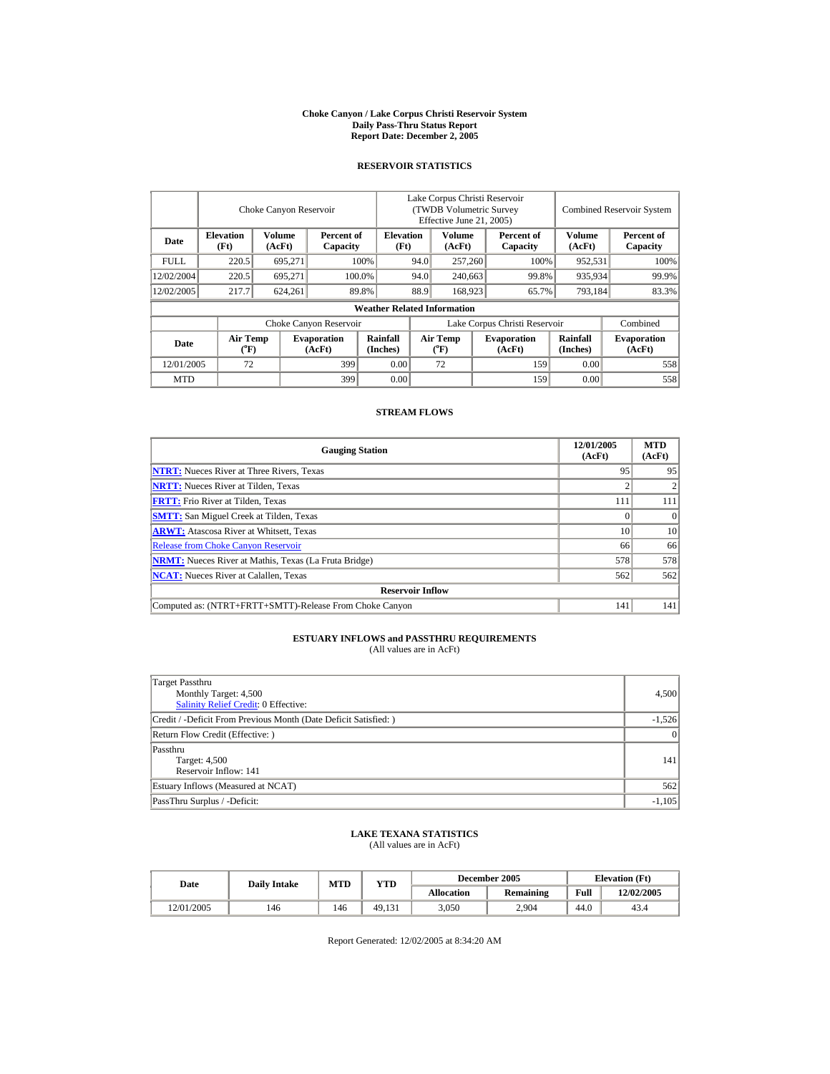#### **Choke Canyon / Lake Corpus Christi Reservoir System Daily Pass-Thru Status Report Report Date: December 2, 2005**

## **RESERVOIR STATISTICS**

l.

|             |                                      | Choke Canyon Reservoir  |                              |                                    | Lake Corpus Christi Reservoir<br>(TWDB Volumetric Survey)<br>Effective June 21, 2005) |                                |         |                              |                         | <b>Combined Reservoir System</b> |
|-------------|--------------------------------------|-------------------------|------------------------------|------------------------------------|---------------------------------------------------------------------------------------|--------------------------------|---------|------------------------------|-------------------------|----------------------------------|
| Date        | <b>Elevation</b><br>(Ft)             | <b>Volume</b><br>(AcFt) | Percent of<br>Capacity       | <b>Elevation</b><br>(Ft)           | Volume<br>(AcFt)                                                                      |                                |         | Percent of<br>Capacity       | <b>Volume</b><br>(AcFt) | Percent of<br>Capacity           |
| <b>FULL</b> | 220.5                                | 695.271                 |                              | 100%                               |                                                                                       | 257,260<br>94.0                |         | 100%                         | 952.531                 | 100%                             |
| 12/02/2004  | 220.5                                | 695.271                 |                              | 100.0%                             | 94.0                                                                                  |                                | 240,663 | 99.8%                        | 935,934                 | 99.9%                            |
| 12/02/2005  | 217.7                                | 624,261                 |                              | 89.8%                              | 88.9                                                                                  | 168.923                        |         | 65.7%                        | 793,184                 | 83.3%                            |
|             |                                      |                         |                              | <b>Weather Related Information</b> |                                                                                       |                                |         |                              |                         |                                  |
|             |                                      |                         | Choke Canyon Reservoir       |                                    | Lake Corpus Christi Reservoir                                                         |                                |         |                              |                         | Combined                         |
| Date        | Air Temp<br>$({}^{\circ}\mathbf{F})$ |                         | <b>Evaporation</b><br>(AcFt) | Rainfall<br>(Inches)               |                                                                                       | Air Temp<br>$({}^o\mathrm{F})$ |         | <b>Evaporation</b><br>(AcFt) | Rainfall<br>(Inches)    | <b>Evaporation</b><br>(AcFt)     |
| 12/01/2005  | 72                                   |                         | 399                          | 0.00                               |                                                                                       | 72                             |         | 159                          | 0.00                    | 558                              |
| <b>MTD</b>  |                                      |                         | 399                          | 0.00                               |                                                                                       |                                |         | 159                          | 0.00                    | 558                              |

## **STREAM FLOWS**

| <b>Gauging Station</b>                                       | 12/01/2005<br>(AcFt) | <b>MTD</b><br>(AcFt) |
|--------------------------------------------------------------|----------------------|----------------------|
| <b>NTRT:</b> Nueces River at Three Rivers, Texas             | 95                   | 95                   |
| <b>NRTT:</b> Nueces River at Tilden, Texas                   |                      |                      |
| <b>FRTT:</b> Frio River at Tilden, Texas                     | 111                  | 111                  |
| <b>SMTT:</b> San Miguel Creek at Tilden, Texas               |                      | $\Omega$             |
| <b>ARWT:</b> Atascosa River at Whitsett, Texas               | 10                   | 10                   |
| <b>Release from Choke Canyon Reservoir</b>                   | 66                   | 66                   |
| <b>NRMT:</b> Nueces River at Mathis, Texas (La Fruta Bridge) | 578                  | 578                  |
| <b>NCAT:</b> Nueces River at Calallen, Texas                 | 562                  | 562                  |
| <b>Reservoir Inflow</b>                                      |                      |                      |
| Computed as: (NTRT+FRTT+SMTT)-Release From Choke Canyon      | 141                  | 141                  |

# **ESTUARY INFLOWS and PASSTHRU REQUIREMENTS**<br>(All values are in AcFt)

| Target Passthru<br>Monthly Target: 4,500<br>Salinity Relief Credit: 0 Effective: | 4,500           |
|----------------------------------------------------------------------------------|-----------------|
| Credit / -Deficit From Previous Month (Date Deficit Satisfied:)                  | $-1,526$        |
| Return Flow Credit (Effective: )                                                 | $\vert 0 \vert$ |
| Passthru<br>Target: 4,500<br>Reservoir Inflow: 141                               | 141             |
| Estuary Inflows (Measured at NCAT)                                               | 562             |
| PassThru Surplus / -Deficit:                                                     | $-1,105$        |

## **LAKE TEXANA STATISTICS** (All values are in AcFt)

| Date       | <b>Daily Intake</b> | MTD | <b>VTD</b> |            | December 2005    | <b>Elevation</b> (Ft) |            |
|------------|---------------------|-----|------------|------------|------------------|-----------------------|------------|
|            |                     |     |            | Allocation | <b>Remaining</b> | Full                  | 12/02/2005 |
| 12/01/2005 | 146                 | 146 | 49.131     | 3,050      | 2.904            | 44.0                  | 43.4       |

Report Generated: 12/02/2005 at 8:34:20 AM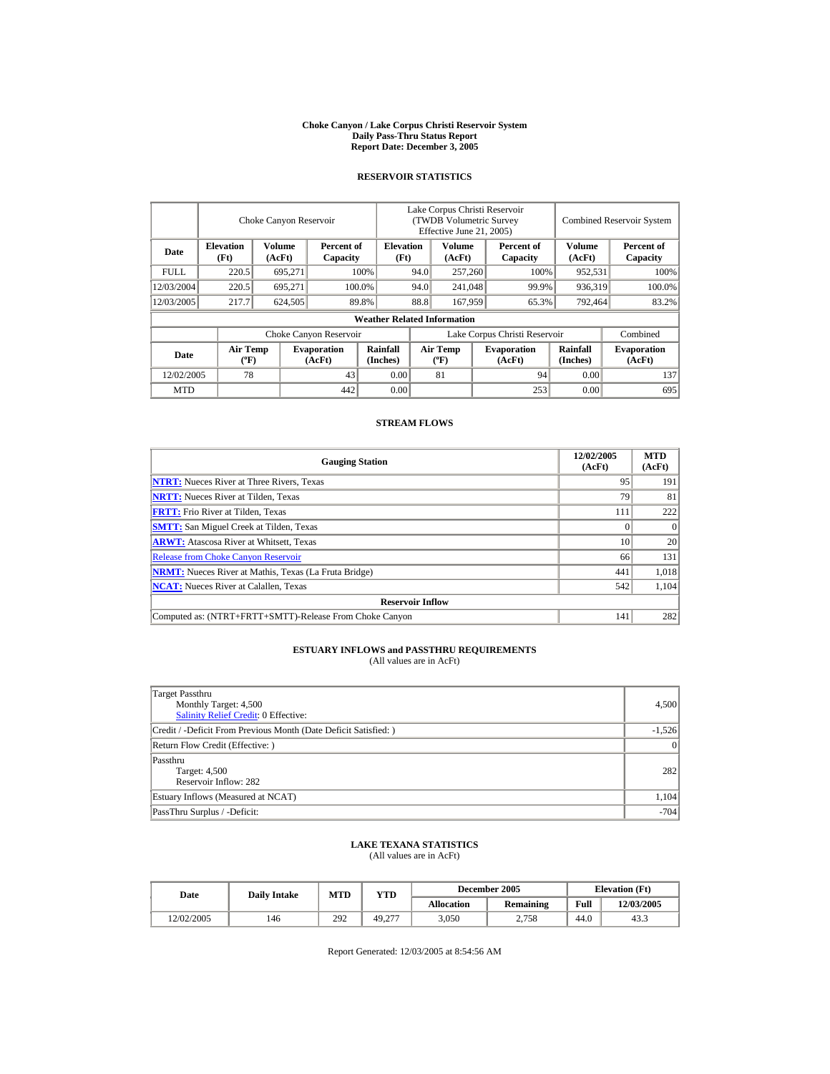#### **Choke Canyon / Lake Corpus Christi Reservoir System Daily Pass-Thru Status Report Report Date: December 3, 2005**

## **RESERVOIR STATISTICS**

|            |                                             | Choke Canyon Reservoir |                              |                                    | Lake Corpus Christi Reservoir<br>(TWDB Volumetric Survey<br>Effective June 21, 2005) |                                          |  | <b>Combined Reservoir System</b> |                         |                              |
|------------|---------------------------------------------|------------------------|------------------------------|------------------------------------|--------------------------------------------------------------------------------------|------------------------------------------|--|----------------------------------|-------------------------|------------------------------|
| Date       | <b>Elevation</b><br>(Ft)                    | Volume<br>(AcFt)       | Percent of<br>Capacity       | <b>Elevation</b><br>(Ft)           |                                                                                      | Volume<br>(AcFt)                         |  | Percent of<br>Capacity           | <b>Volume</b><br>(AcFt) | Percent of<br>Capacity       |
| FULL.      | 220.5                                       | 695,271                |                              | 100%                               | 94.0                                                                                 | 257,260                                  |  | 100%                             | 952,531                 | 100%                         |
| 12/03/2004 | 220.5                                       | 695.271                |                              | 100.0%                             | 94.0                                                                                 | 241,048                                  |  | 99.9%                            | 936,319                 | 100.0%                       |
| 12/03/2005 | 217.7                                       | 624,505                |                              | 89.8%                              | 88.8                                                                                 | 167,959                                  |  | 65.3%                            | 792,464                 | 83.2%                        |
|            |                                             |                        |                              | <b>Weather Related Information</b> |                                                                                      |                                          |  |                                  |                         |                              |
|            |                                             |                        | Choke Canyon Reservoir       |                                    | Lake Corpus Christi Reservoir                                                        |                                          |  |                                  |                         | Combined                     |
| Date       | <b>Air Temp</b><br>$({}^{\circ}\mathrm{F})$ |                        | <b>Evaporation</b><br>(AcFt) | Rainfall<br>(Inches)               |                                                                                      | <b>Air Temp</b><br>$({}^{\circ}{\rm F})$ |  | <b>Evaporation</b><br>(AcFt)     | Rainfall<br>(Inches)    | <b>Evaporation</b><br>(AcFt) |
| 12/02/2005 | 78                                          |                        | 43                           | 0.00                               |                                                                                      | 81                                       |  | 94                               | 0.00                    | 137                          |
| <b>MTD</b> |                                             |                        | 442                          | 0.00                               |                                                                                      |                                          |  | 253                              | 0.00                    | 695                          |

## **STREAM FLOWS**

| <b>Gauging Station</b>                                       | 12/02/2005<br>(AcFt) | <b>MTD</b><br>(AcFt) |
|--------------------------------------------------------------|----------------------|----------------------|
| <b>NTRT:</b> Nueces River at Three Rivers, Texas             | 95                   | 191                  |
| <b>NRTT:</b> Nueces River at Tilden, Texas                   | 79                   | 81                   |
| <b>FRTT:</b> Frio River at Tilden, Texas                     | 111                  | 222                  |
| <b>SMTT:</b> San Miguel Creek at Tilden, Texas               |                      | $\Omega$             |
| <b>ARWT:</b> Atascosa River at Whitsett, Texas               | 10                   | 20                   |
| <b>Release from Choke Canyon Reservoir</b>                   | 66                   | 131                  |
| <b>NRMT:</b> Nueces River at Mathis, Texas (La Fruta Bridge) | 441                  | 1,018                |
| <b>NCAT:</b> Nueces River at Calallen, Texas                 | 542                  | 1,104                |
| <b>Reservoir Inflow</b>                                      |                      |                      |
| Computed as: (NTRT+FRTT+SMTT)-Release From Choke Canyon      | 141                  | 282                  |

# **ESTUARY INFLOWS and PASSTHRU REQUIREMENTS**<br>(All values are in AcFt)

| Target Passthru<br>Monthly Target: 4,500<br><b>Salinity Relief Credit: 0 Effective:</b> | 4,500    |
|-----------------------------------------------------------------------------------------|----------|
| Credit / -Deficit From Previous Month (Date Deficit Satisfied: )                        | $-1,526$ |
| Return Flow Credit (Effective: )                                                        | $\Omega$ |
| Passthru<br>Target: 4,500<br>Reservoir Inflow: 282                                      | 282      |
| Estuary Inflows (Measured at NCAT)                                                      | 1,104    |
| PassThru Surplus / -Deficit:                                                            | $-704$   |

## **LAKE TEXANA STATISTICS**

(All values are in AcFt)

| Date       | <b>Daily Intake</b> | MTD | VTD    |                   | December 2005    | <b>Elevation</b> (Ft) |            |
|------------|---------------------|-----|--------|-------------------|------------------|-----------------------|------------|
|            |                     |     |        | <b>Allocation</b> | <b>Remaining</b> | Full                  | 12/03/2005 |
| 12/02/2005 | 146                 | 292 | 49.277 | 3,050             | 2.758            | 44.0                  | 43.3       |

Report Generated: 12/03/2005 at 8:54:56 AM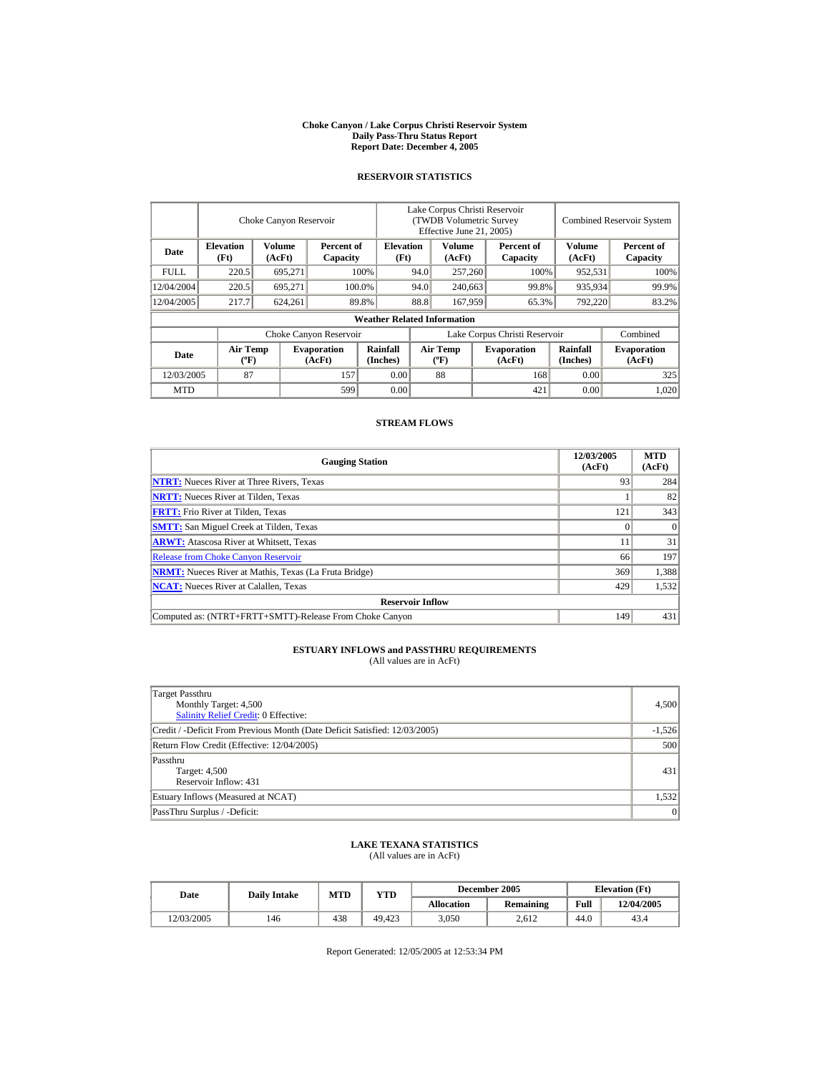#### **Choke Canyon / Lake Corpus Christi Reservoir System Daily Pass-Thru Status Report Report Date: December 4, 2005**

## **RESERVOIR STATISTICS**

|            |                                             | Choke Canyon Reservoir |                              |                                    | Lake Corpus Christi Reservoir<br>(TWDB Volumetric Survey<br>Effective June 21, 2005) |                                  |  |                              |                      | <b>Combined Reservoir System</b> |
|------------|---------------------------------------------|------------------------|------------------------------|------------------------------------|--------------------------------------------------------------------------------------|----------------------------------|--|------------------------------|----------------------|----------------------------------|
| Date       | <b>Elevation</b><br>(Ft)                    | Volume<br>(AcFt)       | Percent of<br>Capacity       | <b>Elevation</b><br>(Ft)           |                                                                                      | Volume<br>(AcFt)                 |  | Percent of<br>Capacity       | Volume<br>(AcFt)     | Percent of<br>Capacity           |
| FULL.      | 220.5                                       | 695,271                |                              | 100%                               | 94.0                                                                                 | 257,260                          |  | 100%                         | 952,531              | 100%                             |
| 12/04/2004 | 220.5                                       | 695.271                |                              | 100.0%                             | 94.0                                                                                 | 240,663                          |  | 99.8%                        | 935,934              | 99.9%                            |
| 12/04/2005 | 217.7                                       | 624,261                |                              | 89.8%                              | 88.8                                                                                 | 167,959                          |  | 65.3%                        | 792,220              | 83.2%                            |
|            |                                             |                        |                              | <b>Weather Related Information</b> |                                                                                      |                                  |  |                              |                      |                                  |
|            |                                             |                        | Choke Canyon Reservoir       |                                    | Lake Corpus Christi Reservoir                                                        |                                  |  |                              |                      | Combined                         |
| Date       | <b>Air Temp</b><br>$({}^{\circ}\mathrm{F})$ |                        | <b>Evaporation</b><br>(AcFt) | Rainfall<br>(Inches)               |                                                                                      | <b>Air Temp</b><br>$(^{\circ}F)$ |  | <b>Evaporation</b><br>(AcFt) | Rainfall<br>(Inches) | <b>Evaporation</b><br>(AcFt)     |
| 12/03/2005 | 87                                          |                        | 157                          | 0.00                               |                                                                                      | 88                               |  | 168                          | 0.00                 | 325                              |
| <b>MTD</b> |                                             |                        | 599                          | 0.00                               |                                                                                      |                                  |  | 421                          | 0.00                 | 1,020                            |

## **STREAM FLOWS**

| <b>Gauging Station</b>                                       | 12/03/2005<br>(AcFt) | <b>MTD</b><br>(AcFt) |
|--------------------------------------------------------------|----------------------|----------------------|
| <b>NTRT:</b> Nueces River at Three Rivers, Texas             | 93                   | 284                  |
| <b>NRTT:</b> Nueces River at Tilden, Texas                   |                      | 82                   |
| <b>FRTT:</b> Frio River at Tilden, Texas                     | 121                  | 343                  |
| <b>SMTT:</b> San Miguel Creek at Tilden, Texas               |                      | $\Omega$             |
| <b>ARWT:</b> Atascosa River at Whitsett, Texas               |                      | 31                   |
| <b>Release from Choke Canyon Reservoir</b>                   | 66                   | 197                  |
| <b>NRMT:</b> Nueces River at Mathis, Texas (La Fruta Bridge) | 369                  | 1,388                |
| <b>NCAT:</b> Nueces River at Calallen. Texas                 | 429                  | 1,532                |
| <b>Reservoir Inflow</b>                                      |                      |                      |
| Computed as: (NTRT+FRTT+SMTT)-Release From Choke Canyon      | 149                  | 431                  |

# **ESTUARY INFLOWS and PASSTHRU REQUIREMENTS**<br>(All values are in AcFt)

| Target Passthru<br>Monthly Target: 4,500<br>Salinity Relief Credit: 0 Effective: | 4,500    |
|----------------------------------------------------------------------------------|----------|
| Credit / -Deficit From Previous Month (Date Deficit Satisfied: 12/03/2005)       | $-1,526$ |
| Return Flow Credit (Effective: 12/04/2005)                                       | 500      |
| Passthru<br>Target: 4,500<br>Reservoir Inflow: 431                               | 431      |
| Estuary Inflows (Measured at NCAT)                                               | 1,532    |
| PassThru Surplus / -Deficit:                                                     | 0        |

## **LAKE TEXANA STATISTICS**

(All values are in AcFt)

|  | Date       | <b>Daily Intake</b> | MTD | VTD    |                   | December 2005    | <b>Elevation</b> (Ft) |            |
|--|------------|---------------------|-----|--------|-------------------|------------------|-----------------------|------------|
|  |            |                     |     |        | <b>Allocation</b> | <b>Remaining</b> | Full                  | 12/04/2005 |
|  | 12/03/2005 | 146                 | 438 | 49.423 | 3,050             | 2.612            | 44.0                  | 43.4       |

Report Generated: 12/05/2005 at 12:53:34 PM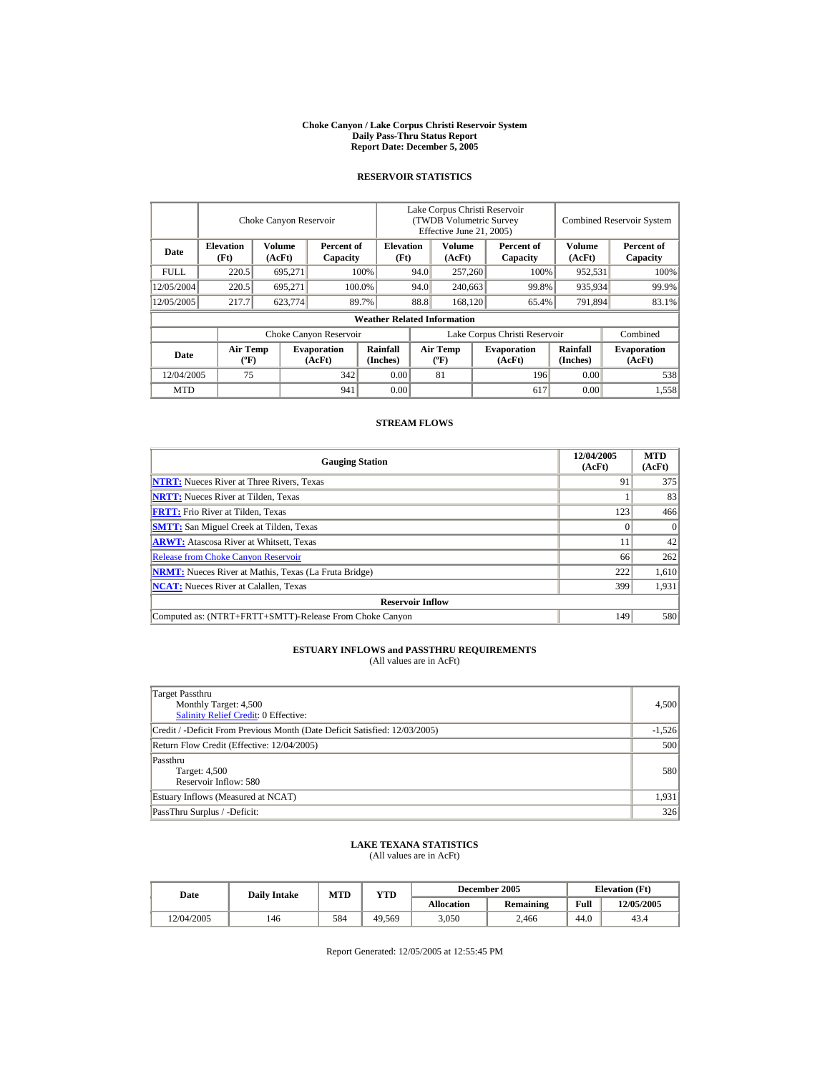#### **Choke Canyon / Lake Corpus Christi Reservoir System Daily Pass-Thru Status Report Report Date: December 5, 2005**

## **RESERVOIR STATISTICS**

|            |                                             | Choke Canyon Reservoir |                              |                                    | Lake Corpus Christi Reservoir<br>(TWDB Volumetric Survey<br>Effective June 21, 2005) |                                             |                               |                              |                      | <b>Combined Reservoir System</b> |
|------------|---------------------------------------------|------------------------|------------------------------|------------------------------------|--------------------------------------------------------------------------------------|---------------------------------------------|-------------------------------|------------------------------|----------------------|----------------------------------|
| Date       | <b>Elevation</b><br>(Ft)                    | Volume<br>(AcFt)       | Percent of<br>Capacity       | <b>Elevation</b><br>(Ft)           |                                                                                      | Volume<br>(AcFt)                            |                               | Percent of<br>Capacity       | Volume<br>(AcFt)     | Percent of<br>Capacity           |
| FULL.      | 220.5                                       | 695,271                |                              | 100%                               | 94.0                                                                                 | 257,260                                     |                               | 100%                         | 952,531              | 100%                             |
| 12/05/2004 | 220.5                                       | 695.271                |                              | 100.0%                             | 94.0                                                                                 | 240,663                                     |                               | 99.8%                        | 935,934              | 99.9%                            |
| 12/05/2005 | 217.7                                       | 623.774                |                              | 89.7%                              | 88.8                                                                                 | 168,120                                     |                               | 65.4%                        | 791,894              | 83.1%                            |
|            |                                             |                        |                              | <b>Weather Related Information</b> |                                                                                      |                                             |                               |                              |                      |                                  |
|            |                                             |                        | Choke Canyon Reservoir       |                                    |                                                                                      |                                             | Lake Corpus Christi Reservoir |                              |                      | Combined                         |
| Date       | <b>Air Temp</b><br>$({}^{\circ}\mathrm{F})$ |                        | <b>Evaporation</b><br>(AcFt) | Rainfall<br>(Inches)               |                                                                                      | <b>Air Temp</b><br>$({}^{\circ}\mathbf{F})$ |                               | <b>Evaporation</b><br>(AcFt) | Rainfall<br>(Inches) | <b>Evaporation</b><br>(AcFt)     |
| 12/04/2005 | 75                                          |                        | 342                          | 0.00                               |                                                                                      | 81                                          |                               | 196                          | 0.00                 | 538                              |
| <b>MTD</b> |                                             |                        | 941                          | 0.00                               |                                                                                      |                                             |                               | 617                          | 0.00                 | 1,558                            |

## **STREAM FLOWS**

| <b>Gauging Station</b>                                       | 12/04/2005<br>(AcFt) | <b>MTD</b><br>(AcFt) |
|--------------------------------------------------------------|----------------------|----------------------|
| <b>NTRT:</b> Nueces River at Three Rivers, Texas             | 91                   | 375                  |
| <b>NRTT:</b> Nueces River at Tilden, Texas                   |                      | 83                   |
| <b>FRTT:</b> Frio River at Tilden, Texas                     | 123                  | 466                  |
| <b>SMTT:</b> San Miguel Creek at Tilden, Texas               |                      | $\Omega$             |
| <b>ARWT:</b> Atascosa River at Whitsett, Texas               |                      | 42                   |
| <b>Release from Choke Canyon Reservoir</b>                   | 66                   | 262                  |
| <b>NRMT:</b> Nueces River at Mathis, Texas (La Fruta Bridge) | 222                  | 1,610                |
| <b>NCAT:</b> Nueces River at Calallen, Texas                 | 399                  | 1,931                |
| <b>Reservoir Inflow</b>                                      |                      |                      |
| Computed as: (NTRT+FRTT+SMTT)-Release From Choke Canyon      | 149                  | 580                  |

# **ESTUARY INFLOWS and PASSTHRU REQUIREMENTS**<br>(All values are in AcFt)

| <b>Target Passthru</b><br>Monthly Target: 4,500<br>Salinity Relief Credit: 0 Effective: | 4,500    |
|-----------------------------------------------------------------------------------------|----------|
| Credit / -Deficit From Previous Month (Date Deficit Satisfied: 12/03/2005)              | $-1,526$ |
| Return Flow Credit (Effective: 12/04/2005)                                              | 500      |
| Passthru<br>Target: 4,500<br>Reservoir Inflow: 580                                      | 580      |
| Estuary Inflows (Measured at NCAT)                                                      | 1,931    |
| PassThru Surplus / -Deficit:                                                            | 326      |

## **LAKE TEXANA STATISTICS**

(All values are in AcFt)

| Date       | <b>Daily Intake</b> | <b>MTD</b> | $_{\rm VTD}$ |                   | December 2005    | <b>Elevation</b> (Ft) |            |
|------------|---------------------|------------|--------------|-------------------|------------------|-----------------------|------------|
|            |                     |            |              | <b>Allocation</b> | <b>Remaining</b> | Full                  | 12/05/2005 |
| 12/04/2005 | 146                 | 584        | 49.569       | 3,050             | 2.466            | 44.0                  | 43.4       |

Report Generated: 12/05/2005 at 12:55:45 PM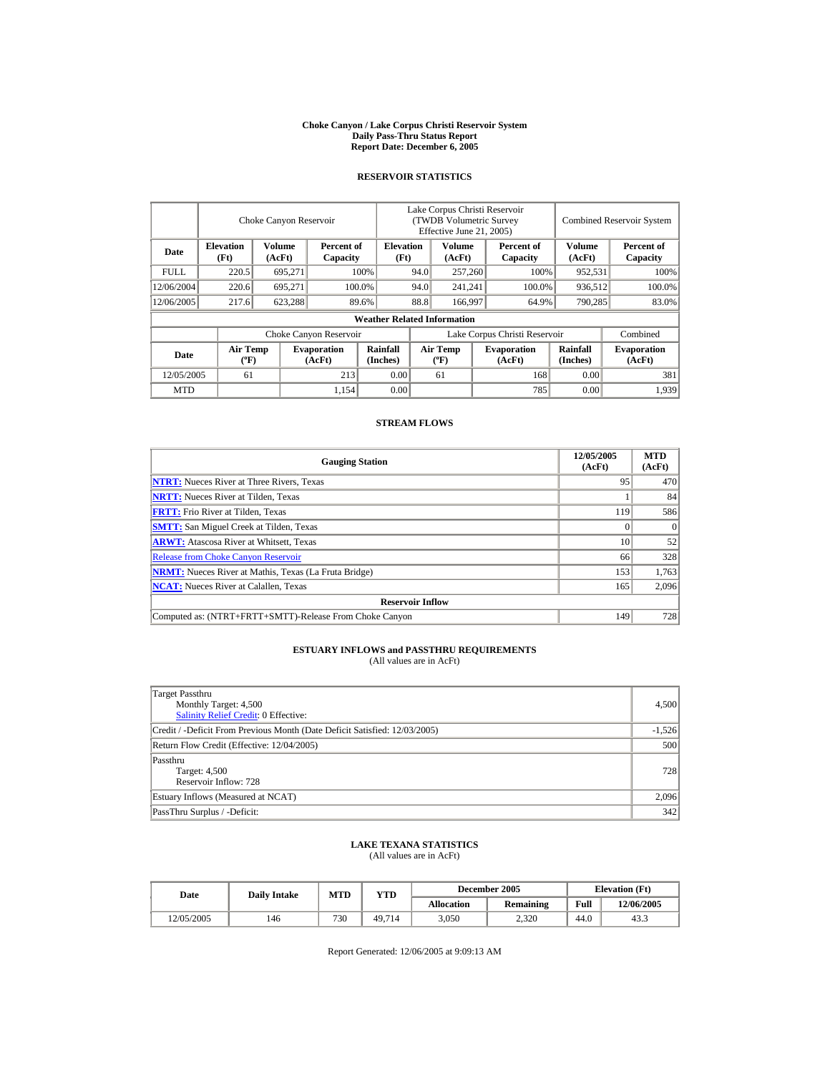#### **Choke Canyon / Lake Corpus Christi Reservoir System Daily Pass-Thru Status Report Report Date: December 6, 2005**

## **RESERVOIR STATISTICS**

|            |                                             | Choke Canyon Reservoir |                              |                                    | Lake Corpus Christi Reservoir<br>(TWDB Volumetric Survey<br>Effective June 21, 2005) |                                             |  |                              |                      | <b>Combined Reservoir System</b> |
|------------|---------------------------------------------|------------------------|------------------------------|------------------------------------|--------------------------------------------------------------------------------------|---------------------------------------------|--|------------------------------|----------------------|----------------------------------|
| Date       | <b>Elevation</b><br>(Ft)                    | Volume<br>(AcFt)       | Percent of<br>Capacity       | <b>Elevation</b><br>(Ft)           |                                                                                      | Volume<br>(AcFt)                            |  | Percent of<br>Capacity       | Volume<br>(AcFt)     | Percent of<br>Capacity           |
| FULL.      | 220.5                                       | 695,271                |                              | 100%                               | 94.0                                                                                 | 257,260                                     |  | 100%                         | 952,531              | 100%                             |
| 12/06/2004 | 220.6                                       | 695.271                |                              | 100.0%                             | 94.0                                                                                 | 241,241                                     |  | 100.0%                       | 936,512              | 100.0%                           |
| 12/06/2005 | 217.6                                       | 623,288                |                              | 89.6%                              | 88.8                                                                                 | 166,997                                     |  | 64.9%                        | 790,285              | 83.0%                            |
|            |                                             |                        |                              | <b>Weather Related Information</b> |                                                                                      |                                             |  |                              |                      |                                  |
|            |                                             |                        | Choke Canyon Reservoir       |                                    | Lake Corpus Christi Reservoir                                                        |                                             |  |                              |                      | Combined                         |
| Date       | <b>Air Temp</b><br>$({}^{\circ}\mathrm{F})$ |                        | <b>Evaporation</b><br>(AcFt) | Rainfall<br>(Inches)               |                                                                                      | <b>Air Temp</b><br>$({}^{\circ}\mathbf{F})$ |  | <b>Evaporation</b><br>(AcFt) | Rainfall<br>(Inches) | <b>Evaporation</b><br>(AcFt)     |
| 12/05/2005 | 61                                          |                        | 213                          | 0.00                               |                                                                                      | 61                                          |  | 168                          | 0.00                 | 381                              |
| <b>MTD</b> |                                             |                        | 1.154                        | 0.00                               |                                                                                      |                                             |  | 785                          | 0.00                 | 1,939                            |

## **STREAM FLOWS**

| <b>Gauging Station</b>                                       | 12/05/2005<br>(AcFt) | <b>MTD</b><br>(AcFt) |
|--------------------------------------------------------------|----------------------|----------------------|
| <b>NTRT:</b> Nueces River at Three Rivers, Texas             | 95                   | 470                  |
| <b>NRTT:</b> Nueces River at Tilden, Texas                   |                      | 84                   |
| <b>FRTT:</b> Frio River at Tilden, Texas                     | 119                  | 586                  |
| <b>SMTT:</b> San Miguel Creek at Tilden, Texas               |                      | $\Omega$             |
| <b>ARWT:</b> Atascosa River at Whitsett, Texas               | 10                   | 52                   |
| <b>Release from Choke Canyon Reservoir</b>                   | 66                   | 328                  |
| <b>NRMT:</b> Nueces River at Mathis, Texas (La Fruta Bridge) | 153                  | 1,763                |
| <b>NCAT:</b> Nueces River at Calallen, Texas                 | 165                  | 2,096                |
| <b>Reservoir Inflow</b>                                      |                      |                      |
| Computed as: (NTRT+FRTT+SMTT)-Release From Choke Canyon      | 149                  | 728                  |

# **ESTUARY INFLOWS and PASSTHRU REQUIREMENTS**<br>(All values are in AcFt)

| Target Passthru<br>Monthly Target: 4,500<br><b>Salinity Relief Credit: 0 Effective:</b> | 4,500    |
|-----------------------------------------------------------------------------------------|----------|
| Credit / -Deficit From Previous Month (Date Deficit Satisfied: 12/03/2005)              | $-1,526$ |
| Return Flow Credit (Effective: 12/04/2005)                                              | 500      |
| Passthru<br>Target: 4,500<br>Reservoir Inflow: 728                                      | 728      |
| Estuary Inflows (Measured at NCAT)                                                      | 2,096    |
| PassThru Surplus / -Deficit:                                                            | 342      |

## **LAKE TEXANA STATISTICS**

(All values are in AcFt)

| Date       | <b>Daily Intake</b> | <b>MTD</b> | $_{\rm VTD}$ |                   | December 2005    | <b>Elevation</b> (Ft) |            |
|------------|---------------------|------------|--------------|-------------------|------------------|-----------------------|------------|
|            |                     |            |              | <b>Allocation</b> | <b>Remaining</b> | Full                  | 12/06/2005 |
| 12/05/2005 | 146                 | 730        | 49.714       | 3,050             | 2.320            | 44.0                  | 43.3       |

Report Generated: 12/06/2005 at 9:09:13 AM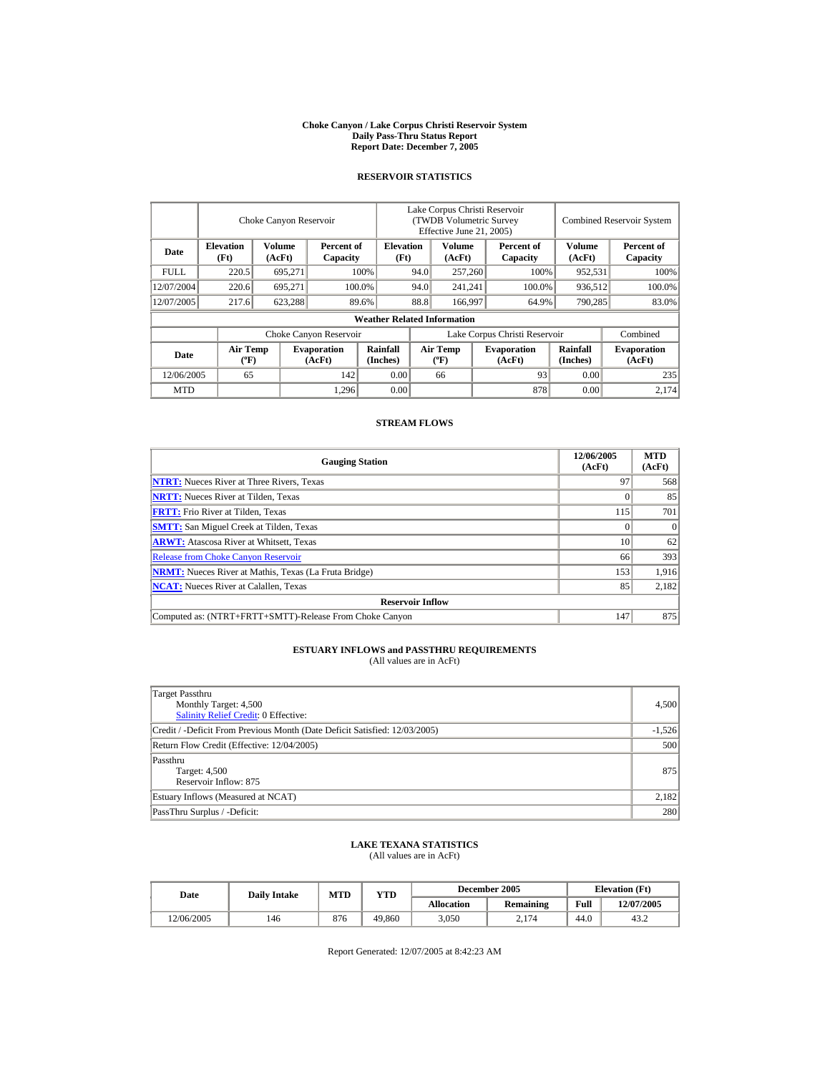#### **Choke Canyon / Lake Corpus Christi Reservoir System Daily Pass-Thru Status Report Report Date: December 7, 2005**

## **RESERVOIR STATISTICS**

|                                                     | Choke Canyon Reservoir                       |         |                              |                                    | Lake Corpus Christi Reservoir<br>(TWDB Volumetric Survey<br>Effective June 21, 2005) |                                             |      |                              |                      | <b>Combined Reservoir System</b> |
|-----------------------------------------------------|----------------------------------------------|---------|------------------------------|------------------------------------|--------------------------------------------------------------------------------------|---------------------------------------------|------|------------------------------|----------------------|----------------------------------|
| Date                                                | <b>Elevation</b><br>Volume<br>(Ft)<br>(AcFt) |         | Percent of<br>Capacity       | <b>Elevation</b><br>(Ft)           |                                                                                      | Volume<br>(AcFt)                            |      | Percent of<br>Capacity       | Volume<br>(AcFt)     | Percent of<br>Capacity           |
| FULL.                                               | 220.5                                        | 695,271 |                              | 100%                               | 94.0                                                                                 | 257,260                                     |      | 100%                         | 952,531              | 100%                             |
| 12/07/2004                                          | 220.6                                        | 695.271 |                              | 100.0%                             | 94.0                                                                                 | 241,241                                     |      | 100.0%                       | 936,512              | 100.0%                           |
| 12/07/2005                                          | 217.6                                        | 623,288 |                              | 89.6%                              | 88.8                                                                                 | 166,997                                     |      | 64.9%                        | 790,285              | 83.0%                            |
|                                                     |                                              |         |                              | <b>Weather Related Information</b> |                                                                                      |                                             |      |                              |                      |                                  |
|                                                     |                                              |         | Choke Canyon Reservoir       |                                    | Lake Corpus Christi Reservoir                                                        |                                             |      |                              |                      | Combined                         |
| <b>Air Temp</b><br>Date<br>$({}^{\circ}\mathrm{F})$ |                                              |         | <b>Evaporation</b><br>(AcFt) | Rainfall<br>(Inches)               |                                                                                      | <b>Air Temp</b><br>$({}^{\circ}\mathbf{F})$ |      | <b>Evaporation</b><br>(AcFt) | Rainfall<br>(Inches) | <b>Evaporation</b><br>(AcFt)     |
| 12/06/2005<br>65<br>142                             |                                              | 0.00    |                              | 66                                 |                                                                                      | 93                                          | 0.00 | 235                          |                      |                                  |
| <b>MTD</b>                                          |                                              |         | 1,296                        | 0.00                               |                                                                                      |                                             |      | 878                          | 0.00                 | 2.174                            |

## **STREAM FLOWS**

| <b>Gauging Station</b>                                       | 12/06/2005<br>(AcFt) | <b>MTD</b><br>(AcFt) |
|--------------------------------------------------------------|----------------------|----------------------|
| <b>NTRT:</b> Nueces River at Three Rivers, Texas             | 97                   | 568                  |
| <b>NRTT:</b> Nueces River at Tilden, Texas                   |                      | 85                   |
| <b>FRTT:</b> Frio River at Tilden, Texas                     | 115                  | 701                  |
| <b>SMTT:</b> San Miguel Creek at Tilden, Texas               |                      | $\Omega$             |
| <b>ARWT:</b> Atascosa River at Whitsett, Texas               | 10                   | 62                   |
| <b>Release from Choke Canyon Reservoir</b>                   | 66                   | 393                  |
| <b>NRMT:</b> Nueces River at Mathis, Texas (La Fruta Bridge) | 153                  | 1.916                |
| <b>NCAT:</b> Nueces River at Calallen, Texas                 | 85                   | 2,182                |
| <b>Reservoir Inflow</b>                                      |                      |                      |
| Computed as: (NTRT+FRTT+SMTT)-Release From Choke Canyon      | 147                  | 875                  |

# **ESTUARY INFLOWS and PASSTHRU REQUIREMENTS**<br>(All values are in AcFt)

| Target Passthru<br>Monthly Target: 4,500<br><b>Salinity Relief Credit: 0 Effective:</b> | 4,500    |
|-----------------------------------------------------------------------------------------|----------|
| Credit / -Deficit From Previous Month (Date Deficit Satisfied: 12/03/2005)              | $-1,526$ |
| Return Flow Credit (Effective: 12/04/2005)                                              | 500      |
| Passthru<br>Target: 4,500<br>Reservoir Inflow: 875                                      | 875      |
| Estuary Inflows (Measured at NCAT)                                                      | 2,182    |
| PassThru Surplus / -Deficit:                                                            | 280      |

## **LAKE TEXANA STATISTICS**

(All values are in AcFt)

| Date       | <b>Daily Intake</b> | MTD | YTD    |                   | December 2005    | <b>Elevation</b> (Ft) |            |
|------------|---------------------|-----|--------|-------------------|------------------|-----------------------|------------|
|            |                     |     |        | <b>Allocation</b> | <b>Remaining</b> | Full                  | 12/07/2005 |
| 12/06/2005 | 146                 | 876 | 49.860 | 3,050             | 2.174            | 44.0                  | 43.2       |

Report Generated: 12/07/2005 at 8:42:23 AM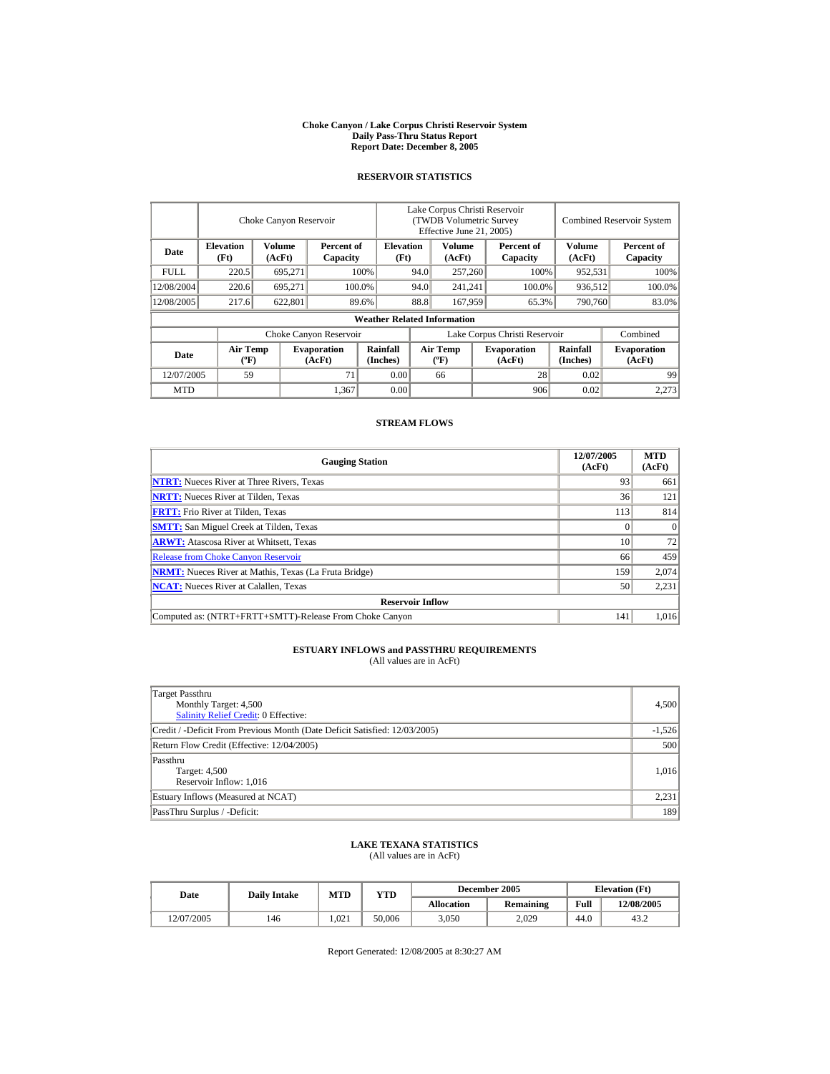#### **Choke Canyon / Lake Corpus Christi Reservoir System Daily Pass-Thru Status Report Report Date: December 8, 2005**

## **RESERVOIR STATISTICS**

|                                                     | Choke Canyon Reservoir   |                  |                              |                                    |                               | Lake Corpus Christi Reservoir<br><b>(TWDB Volumetric Survey)</b><br>Effective June 21, 2005) |  |                              |                      | <b>Combined Reservoir System</b> |  |
|-----------------------------------------------------|--------------------------|------------------|------------------------------|------------------------------------|-------------------------------|----------------------------------------------------------------------------------------------|--|------------------------------|----------------------|----------------------------------|--|
| Date                                                | <b>Elevation</b><br>(Ft) | Volume<br>(AcFt) | Percent of<br>Capacity       | <b>Elevation</b><br>(Ft)           |                               | Volume<br>(AcFt)                                                                             |  | Percent of<br>Capacity       | Volume<br>(AcFt)     | Percent of<br>Capacity           |  |
| FULL.                                               | 220.5                    | 695.271          | 100%                         |                                    | 257,260<br>94.0               |                                                                                              |  | 100%                         | 952,531              | 100%                             |  |
| 12/08/2004                                          | 220.6                    | 695.271          |                              | 100.0%                             | 94.0                          | 241.241                                                                                      |  | 100.0%                       | 936,512              | 100.0%                           |  |
| 12/08/2005                                          | 217.6                    | 622,801          |                              | 89.6%                              | 88.8                          | 167,959                                                                                      |  | 65.3%                        | 790,760              | 83.0%                            |  |
|                                                     |                          |                  |                              | <b>Weather Related Information</b> |                               |                                                                                              |  |                              |                      |                                  |  |
|                                                     |                          |                  | Choke Canyon Reservoir       |                                    | Lake Corpus Christi Reservoir |                                                                                              |  |                              | Combined             |                                  |  |
| <b>Air Temp</b><br>Date<br>$({}^{\circ}\mathrm{F})$ |                          |                  | <b>Evaporation</b><br>(AcFt) | Rainfall<br>(Inches)               |                               | <b>Air Temp</b><br>$({}^{\circ}\mathbf{F})$                                                  |  | <b>Evaporation</b><br>(AcFt) | Rainfall<br>(Inches) | <b>Evaporation</b><br>(AcFt)     |  |
| 12/07/2005                                          | 59                       |                  | 71                           |                                    | 0.00                          | 66                                                                                           |  | 28                           | 0.02                 | 99                               |  |
| <b>MTD</b>                                          |                          |                  | 1,367                        | 0.00                               |                               |                                                                                              |  | 906                          | 0.02                 | 2.273                            |  |

## **STREAM FLOWS**

| <b>Gauging Station</b>                                       | 12/07/2005<br>(AcFt) | <b>MTD</b><br>(AcFt) |
|--------------------------------------------------------------|----------------------|----------------------|
| <b>NTRT:</b> Nueces River at Three Rivers, Texas             | 93                   | 661                  |
| <b>NRTT:</b> Nueces River at Tilden, Texas                   | 36                   | 121                  |
| <b>FRTT:</b> Frio River at Tilden, Texas                     | 113                  | 814                  |
| <b>SMTT:</b> San Miguel Creek at Tilden, Texas               |                      | $\Omega$             |
| <b>ARWT:</b> Atascosa River at Whitsett, Texas               | 10                   | 72                   |
| <b>Release from Choke Canyon Reservoir</b>                   | 66                   | 459                  |
| <b>NRMT:</b> Nueces River at Mathis, Texas (La Fruta Bridge) | 159                  | 2,074                |
| <b>NCAT:</b> Nueces River at Calallen, Texas                 | 50                   | 2,231                |
| <b>Reservoir Inflow</b>                                      |                      |                      |
| Computed as: (NTRT+FRTT+SMTT)-Release From Choke Canyon      | 141                  | 1,016                |

# **ESTUARY INFLOWS and PASSTHRU REQUIREMENTS**<br>(All values are in AcFt)

| Target Passthru<br>Monthly Target: 4,500<br><b>Salinity Relief Credit: 0 Effective:</b> | 4,500    |
|-----------------------------------------------------------------------------------------|----------|
| Credit / -Deficit From Previous Month (Date Deficit Satisfied: 12/03/2005)              | $-1,526$ |
| Return Flow Credit (Effective: 12/04/2005)                                              | 500      |
| Passthru<br>Target: 4,500<br>Reservoir Inflow: 1,016                                    | 1,016    |
| Estuary Inflows (Measured at NCAT)                                                      | 2,231    |
| PassThru Surplus / -Deficit:                                                            | 189      |

## **LAKE TEXANA STATISTICS**

(All values are in AcFt)

| Date       | <b>Daily Intake</b> | <b>MTD</b> | $_{\rm VTD}$ |                   | December 2005    | <b>Elevation</b> (Ft) |            |
|------------|---------------------|------------|--------------|-------------------|------------------|-----------------------|------------|
|            |                     |            |              | <b>Allocation</b> | <b>Remaining</b> | Full                  | 12/08/2005 |
| 12/07/2005 | 146                 | 1.021      | 50.006       | 3,050             | 2.029            | 44.0                  | 43.2       |

Report Generated: 12/08/2005 at 8:30:27 AM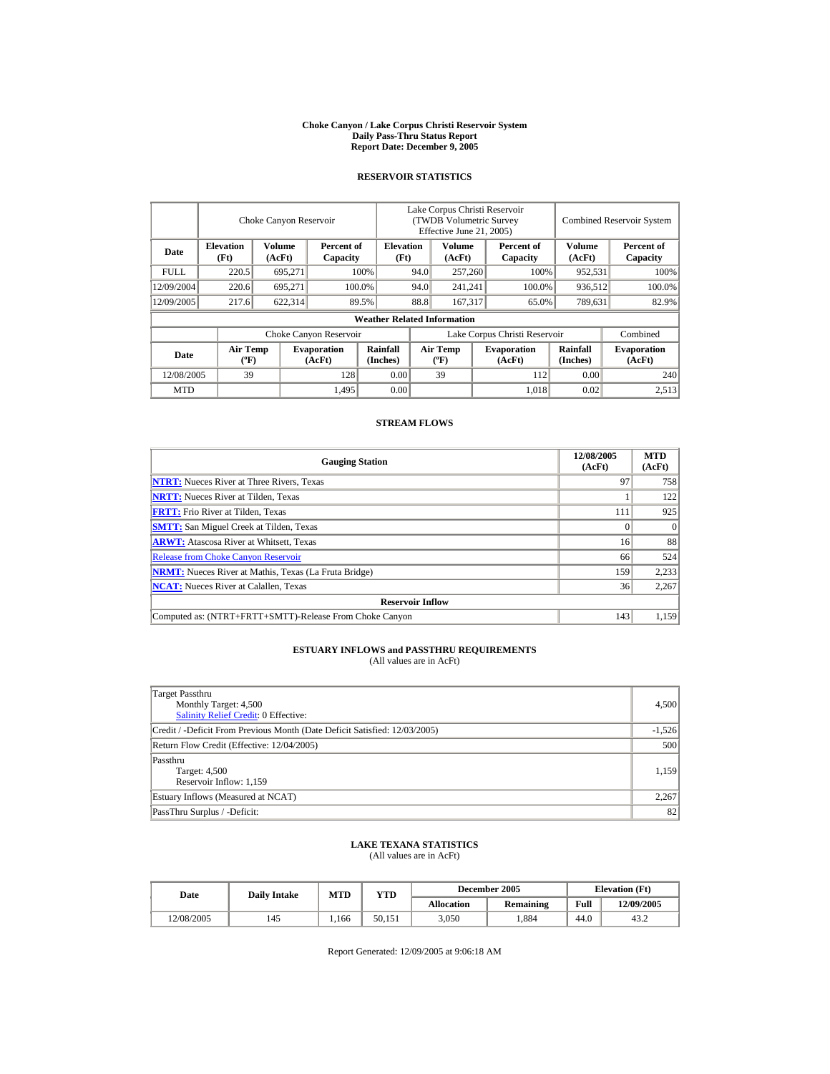#### **Choke Canyon / Lake Corpus Christi Reservoir System Daily Pass-Thru Status Report Report Date: December 9, 2005**

## **RESERVOIR STATISTICS**

|                                                      | Choke Canyon Reservoir |         |                              |                                    | Lake Corpus Christi Reservoir<br>(TWDB Volumetric Survey<br>Effective June 21, 2005) |                                             |     |                              |                             | <b>Combined Reservoir System</b> |  |  |
|------------------------------------------------------|------------------------|---------|------------------------------|------------------------------------|--------------------------------------------------------------------------------------|---------------------------------------------|-----|------------------------------|-----------------------------|----------------------------------|--|--|
| <b>Elevation</b><br>Volume<br>Date<br>(Ft)<br>(AcFt) |                        |         | Percent of<br>Capacity       | <b>Elevation</b><br>(Ft)           |                                                                                      | Volume<br>(AcFt)                            |     | Percent of<br>Capacity       | Volume<br>(AcFt)            | Percent of<br>Capacity           |  |  |
| <b>FULL</b>                                          | 220.5                  | 695,271 |                              | 100%                               | 94.0                                                                                 | 257,260                                     |     | 100%                         | 952,531                     | 100%                             |  |  |
| 12/09/2004                                           | 220.6                  | 695.271 |                              | 100.0%                             | 94.0                                                                                 | 241,241                                     |     | 100.0%                       | 936,512                     | 100.0%                           |  |  |
| 12/09/2005                                           | 217.6                  | 622,314 |                              | 89.5%                              | 88.8                                                                                 | 167.317                                     |     | 65.0%                        | 789,631                     | 82.9%                            |  |  |
|                                                      |                        |         |                              | <b>Weather Related Information</b> |                                                                                      |                                             |     |                              |                             |                                  |  |  |
|                                                      |                        |         | Choke Canyon Reservoir       |                                    | Lake Corpus Christi Reservoir                                                        |                                             |     |                              |                             | Combined                         |  |  |
| <b>Air Temp</b><br>Date<br>$({}^{\circ}\mathrm{F})$  |                        |         | <b>Evaporation</b><br>(AcFt) | Rainfall<br>(Inches)               |                                                                                      | <b>Air Temp</b><br>$({}^{\circ}\mathbf{F})$ |     | <b>Evaporation</b><br>(AcFt) | <b>Rainfall</b><br>(Inches) | <b>Evaporation</b><br>(AcFt)     |  |  |
| 12/08/2005<br>39<br>128                              |                        |         | 0.00                         |                                    | 39                                                                                   |                                             | 112 | 0.00                         | 240                         |                                  |  |  |
| <b>MTD</b>                                           |                        |         | 1,495                        | 0.00                               |                                                                                      |                                             |     | 1,018                        | 0.02                        | 2.513                            |  |  |

## **STREAM FLOWS**

| <b>Gauging Station</b>                                       | 12/08/2005<br>(AcFt) | <b>MTD</b><br>(AcFt) |
|--------------------------------------------------------------|----------------------|----------------------|
| <b>NTRT:</b> Nueces River at Three Rivers, Texas             | 97                   | 758                  |
| <b>NRTT:</b> Nueces River at Tilden, Texas                   |                      | 122                  |
| <b>FRTT:</b> Frio River at Tilden, Texas                     | 111                  | 925                  |
| <b>SMTT:</b> San Miguel Creek at Tilden, Texas               |                      | $\Omega$             |
| <b>ARWT:</b> Atascosa River at Whitsett, Texas               | 16                   | 88                   |
| <b>Release from Choke Canyon Reservoir</b>                   | 66                   | 524                  |
| <b>NRMT:</b> Nueces River at Mathis, Texas (La Fruta Bridge) | 159                  | 2,233                |
| <b>NCAT:</b> Nueces River at Calallen. Texas                 | 36                   | 2,267                |
| <b>Reservoir Inflow</b>                                      |                      |                      |
| Computed as: (NTRT+FRTT+SMTT)-Release From Choke Canyon      | 143                  | 1.159                |

# **ESTUARY INFLOWS and PASSTHRU REQUIREMENTS**<br>(All values are in AcFt)

| Target Passthru<br>Monthly Target: 4,500<br><b>Salinity Relief Credit: 0 Effective:</b> | 4,500    |
|-----------------------------------------------------------------------------------------|----------|
| Credit / -Deficit From Previous Month (Date Deficit Satisfied: 12/03/2005)              | $-1,526$ |
| Return Flow Credit (Effective: 12/04/2005)                                              | 500      |
| Passthru<br>Target: 4,500<br>Reservoir Inflow: 1,159                                    | 1,159    |
| Estuary Inflows (Measured at NCAT)                                                      | 2,267    |
| PassThru Surplus / -Deficit:                                                            | 82       |

## **LAKE TEXANA STATISTICS**

(All values are in AcFt)

| Date       | <b>Daily Intake</b> | MTD  | YTD    |                   | December 2005    | <b>Elevation</b> (Ft) |            |
|------------|---------------------|------|--------|-------------------|------------------|-----------------------|------------|
|            |                     |      |        | <b>Allocation</b> | <b>Remaining</b> | Full                  | 12/09/2005 |
| 12/08/2005 | 145                 | .166 | 50.151 | 3.050             | .884             | 44.0                  | 43.2       |

Report Generated: 12/09/2005 at 9:06:18 AM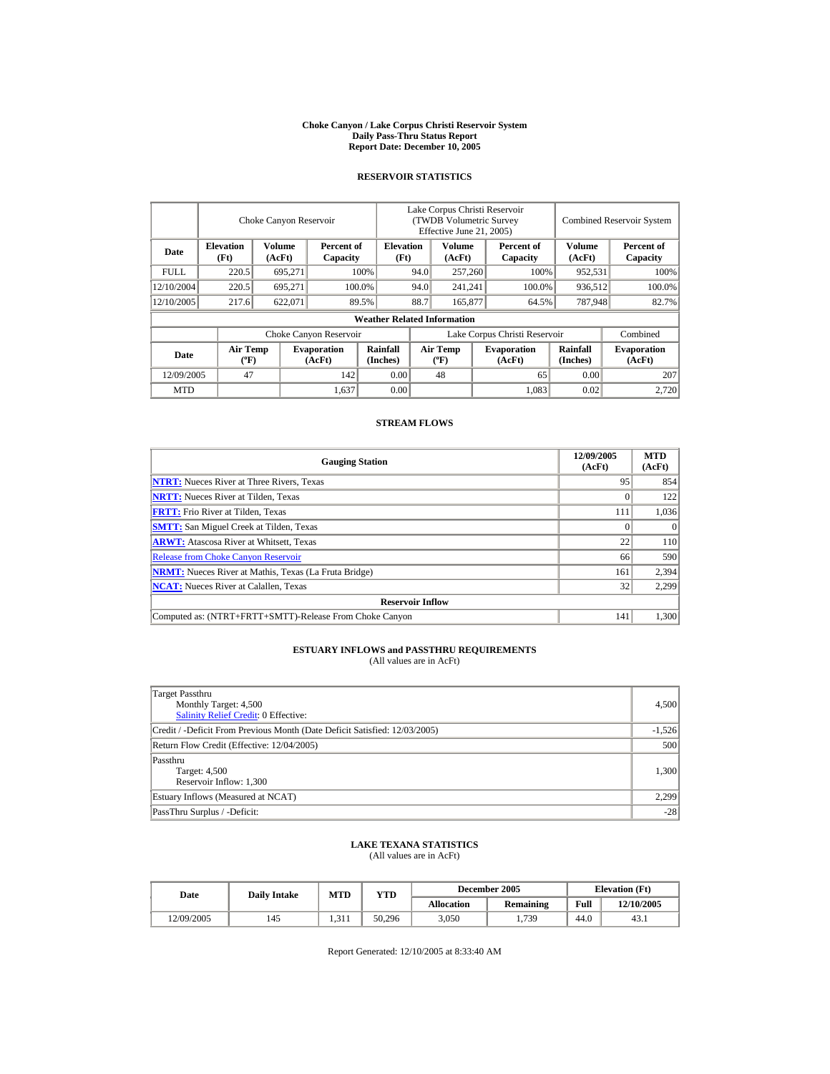#### **Choke Canyon / Lake Corpus Christi Reservoir System Daily Pass-Thru Status Report Report Date: December 10, 2005**

## **RESERVOIR STATISTICS**

|            |                                             | Choke Canyon Reservoir |                              |                                    | Lake Corpus Christi Reservoir<br>(TWDB Volumetric Survey<br>Effective June 21, 2005) |                                             |  |                              |                      | <b>Combined Reservoir System</b> |  |
|------------|---------------------------------------------|------------------------|------------------------------|------------------------------------|--------------------------------------------------------------------------------------|---------------------------------------------|--|------------------------------|----------------------|----------------------------------|--|
| Date       | <b>Elevation</b><br>(Ft)                    | Volume<br>(AcFt)       | Percent of<br>Capacity       | <b>Elevation</b><br>(Ft)           |                                                                                      | Volume<br>(AcFt)                            |  | Percent of<br>Capacity       | Volume<br>(AcFt)     | Percent of<br>Capacity           |  |
| FULL.      | 220.5                                       | 695,271                |                              | 100%                               | 94.0                                                                                 | 257,260                                     |  | 100%                         | 952,531              | 100%                             |  |
| 12/10/2004 | 220.5                                       | 695.271                |                              | 100.0%                             | 94.0                                                                                 | 241,241                                     |  | 100.0%                       | 936,512              | 100.0%                           |  |
| 12/10/2005 | 217.6                                       | 622,071                |                              | 89.5%                              | 88.7                                                                                 | 165,877                                     |  | 64.5%                        | 787,948              | 82.7%                            |  |
|            |                                             |                        |                              | <b>Weather Related Information</b> |                                                                                      |                                             |  |                              |                      |                                  |  |
|            |                                             |                        | Choke Canyon Reservoir       |                                    | Lake Corpus Christi Reservoir                                                        |                                             |  |                              |                      | Combined                         |  |
| Date       | <b>Air Temp</b><br>$({}^{\circ}\mathrm{F})$ |                        | <b>Evaporation</b><br>(AcFt) | Rainfall<br>(Inches)               |                                                                                      | <b>Air Temp</b><br>$({}^{\circ}\mathbf{F})$ |  | <b>Evaporation</b><br>(AcFt) | Rainfall<br>(Inches) | <b>Evaporation</b><br>(AcFt)     |  |
| 12/09/2005 | 47                                          |                        | 142                          | 0.00                               |                                                                                      | 48                                          |  | 65                           | 0.00                 | 207                              |  |
| <b>MTD</b> |                                             |                        | 1,637                        | 0.00                               |                                                                                      |                                             |  | 1.083                        | 0.02                 | 2.720                            |  |

## **STREAM FLOWS**

| <b>Gauging Station</b>                                       | 12/09/2005<br>(AcFt) | <b>MTD</b><br>(AcFt) |
|--------------------------------------------------------------|----------------------|----------------------|
| <b>NTRT:</b> Nueces River at Three Rivers, Texas             | 95                   | 854                  |
| <b>NRTT:</b> Nueces River at Tilden, Texas                   |                      | 122                  |
| <b>FRTT:</b> Frio River at Tilden, Texas                     | 111                  | 1,036                |
| <b>SMTT:</b> San Miguel Creek at Tilden, Texas               |                      | $\Omega$             |
| <b>ARWT:</b> Atascosa River at Whitsett, Texas               | 22                   | 110                  |
| <b>Release from Choke Canyon Reservoir</b>                   | 66                   | 590                  |
| <b>NRMT:</b> Nueces River at Mathis, Texas (La Fruta Bridge) | 161                  | 2,394                |
| <b>NCAT:</b> Nueces River at Calallen. Texas                 | 32                   | 2,299                |
| <b>Reservoir Inflow</b>                                      |                      |                      |
| Computed as: (NTRT+FRTT+SMTT)-Release From Choke Canyon      | 141                  | 1.300                |

# **ESTUARY INFLOWS and PASSTHRU REQUIREMENTS**<br>(All values are in AcFt)

| Target Passthru<br>Monthly Target: 4,500<br><b>Salinity Relief Credit: 0 Effective:</b> | 4,500    |
|-----------------------------------------------------------------------------------------|----------|
| Credit / -Deficit From Previous Month (Date Deficit Satisfied: 12/03/2005)              | $-1,526$ |
| Return Flow Credit (Effective: 12/04/2005)                                              | 500      |
| Passthru<br>Target: 4,500<br>Reservoir Inflow: 1,300                                    | 1,300    |
| Estuary Inflows (Measured at NCAT)                                                      | 2.299    |
| PassThru Surplus / -Deficit:                                                            | $-28$    |

## **LAKE TEXANA STATISTICS**

(All values are in AcFt)

| Date       | <b>Daily Intake</b> | MTD      | YTD    |                   | December 2005    | <b>Elevation</b> (Ft) |            |
|------------|---------------------|----------|--------|-------------------|------------------|-----------------------|------------|
|            |                     |          |        | <b>Allocation</b> | <b>Remaining</b> | Full                  | 12/10/2005 |
| 12/09/2005 | 145                 | 1, J 1 1 | 50.296 | 3.050             | 1.739            | 44.0                  | 43.1       |

Report Generated: 12/10/2005 at 8:33:40 AM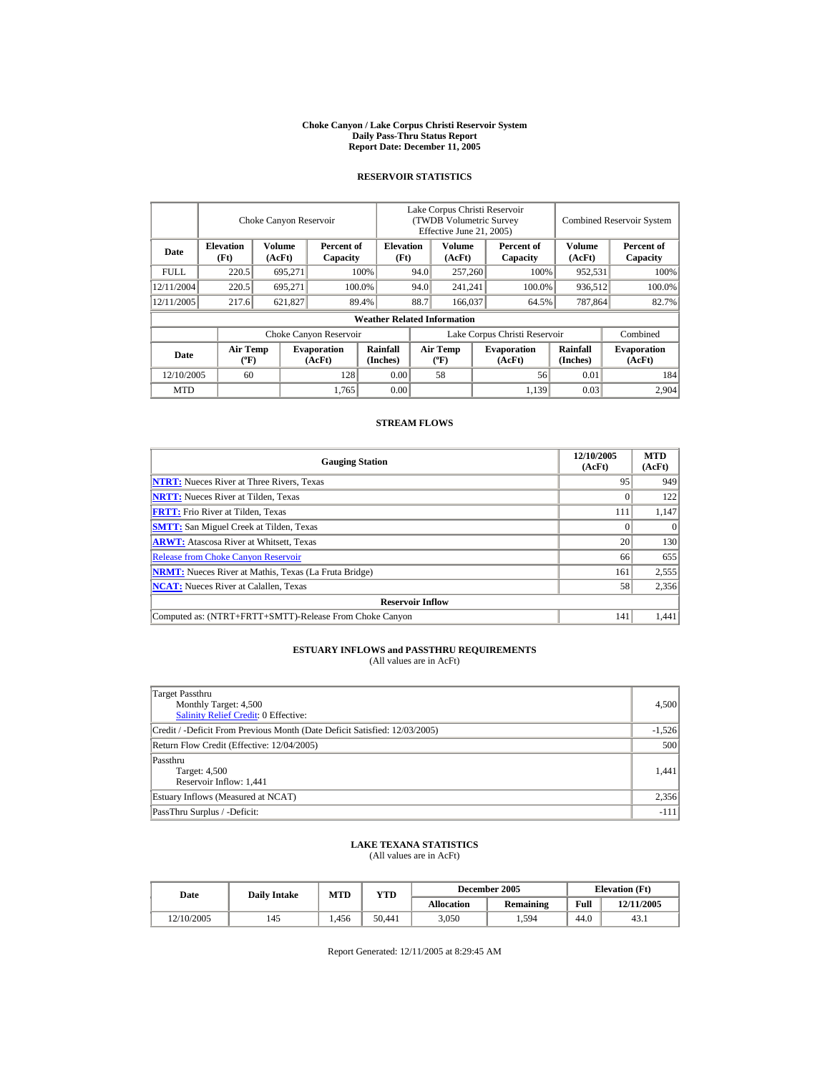#### **Choke Canyon / Lake Corpus Christi Reservoir System Daily Pass-Thru Status Report Report Date: December 11, 2005**

## **RESERVOIR STATISTICS**

|             |                                             | Choke Canyon Reservoir  |                              |                                    | Lake Corpus Christi Reservoir<br><b>(TWDB Volumetric Survey)</b><br>Effective June 21, 2005) |                                             |         |                              |                             | <b>Combined Reservoir System</b> |
|-------------|---------------------------------------------|-------------------------|------------------------------|------------------------------------|----------------------------------------------------------------------------------------------|---------------------------------------------|---------|------------------------------|-----------------------------|----------------------------------|
| Date        | <b>Elevation</b><br>(Ft)                    | <b>Volume</b><br>(AcFt) | Percent of<br>Capacity       | <b>Elevation</b><br>(Ft)           |                                                                                              | <b>Volume</b><br>(AcFt)                     |         | Percent of<br>Capacity       | Volume<br>(AcFt)            | Percent of<br>Capacity           |
| <b>FULL</b> | 220.5                                       | 695,271                 |                              | 100%                               | 94.0                                                                                         | 257,260                                     |         | 100%                         | 952,531                     | 100%                             |
| 12/11/2004  | 220.5                                       | 695.271                 |                              | 100.0%                             | 94.0                                                                                         | 241,241                                     |         | 100.0%                       | 936,512                     | 100.0%                           |
| 12/11/2005  | 217.6                                       | 621,827                 |                              | 89.4%                              | 88.7                                                                                         |                                             | 166,037 | 64.5%                        | 787,864                     | 82.7%                            |
|             |                                             |                         |                              | <b>Weather Related Information</b> |                                                                                              |                                             |         |                              |                             |                                  |
|             |                                             |                         | Choke Canyon Reservoir       |                                    | Lake Corpus Christi Reservoir                                                                |                                             |         |                              |                             | Combined                         |
| Date        | <b>Air Temp</b><br>$({}^{\circ}\mathrm{F})$ |                         | <b>Evaporation</b><br>(AcFt) | Rainfall<br>(Inches)               |                                                                                              | <b>Air Temp</b><br>$({}^{\circ}\mathbf{F})$ |         | <b>Evaporation</b><br>(AcFt) | <b>Rainfall</b><br>(Inches) | <b>Evaporation</b><br>(AcFt)     |
| 12/10/2005  | 60                                          |                         | 128                          | 0.00                               |                                                                                              | 58                                          |         | 56                           | 0.01                        | 184                              |
| <b>MTD</b>  |                                             |                         | 1,765                        | 0.00                               |                                                                                              |                                             |         | 1,139                        | 0.03                        | 2.904                            |

## **STREAM FLOWS**

| <b>Gauging Station</b>                                       | 12/10/2005<br>(AcFt) | <b>MTD</b><br>(AcFt) |
|--------------------------------------------------------------|----------------------|----------------------|
| <b>NTRT:</b> Nueces River at Three Rivers, Texas             | 95                   | 949                  |
| <b>NRTT:</b> Nueces River at Tilden, Texas                   |                      | 122                  |
| <b>FRTT:</b> Frio River at Tilden, Texas                     | 111                  | 1,147                |
| <b>SMTT:</b> San Miguel Creek at Tilden, Texas               |                      | $\Omega$             |
| <b>ARWT:</b> Atascosa River at Whitsett, Texas               | 20                   | 130                  |
| <b>Release from Choke Canyon Reservoir</b>                   | 66                   | 655                  |
| <b>NRMT:</b> Nueces River at Mathis, Texas (La Fruta Bridge) | 161                  | 2,555                |
| <b>NCAT:</b> Nueces River at Calallen, Texas                 | 58                   | 2,356                |
| <b>Reservoir Inflow</b>                                      |                      |                      |
| Computed as: (NTRT+FRTT+SMTT)-Release From Choke Canyon      | 141                  | 1.441                |

# **ESTUARY INFLOWS and PASSTHRU REQUIREMENTS**<br>(All values are in AcFt)

| Target Passthru<br>Monthly Target: 4,500<br><b>Salinity Relief Credit: 0 Effective:</b> | 4,500    |
|-----------------------------------------------------------------------------------------|----------|
| Credit / -Deficit From Previous Month (Date Deficit Satisfied: 12/03/2005)              | $-1,526$ |
| Return Flow Credit (Effective: 12/04/2005)                                              | 500      |
| Passthru<br>Target: 4,500<br>Reservoir Inflow: 1,441                                    | 1.441    |
| Estuary Inflows (Measured at NCAT)                                                      | 2,356    |
| PassThru Surplus / -Deficit:                                                            | $-111$   |

## **LAKE TEXANA STATISTICS**

(All values are in AcFt)

| Date       | <b>Daily Intake</b> | <b>MTD</b> | VTD    |            | December 2005    | <b>Elevation</b> (Ft) |            |
|------------|---------------------|------------|--------|------------|------------------|-----------------------|------------|
|            |                     |            |        | Allocation | <b>Remaining</b> | Full                  | 12/11/2005 |
| 12/10/2005 | 145                 | . 456      | 50.441 | 3,050      | 1,594            | 44.0                  | 43.1       |

Report Generated: 12/11/2005 at 8:29:45 AM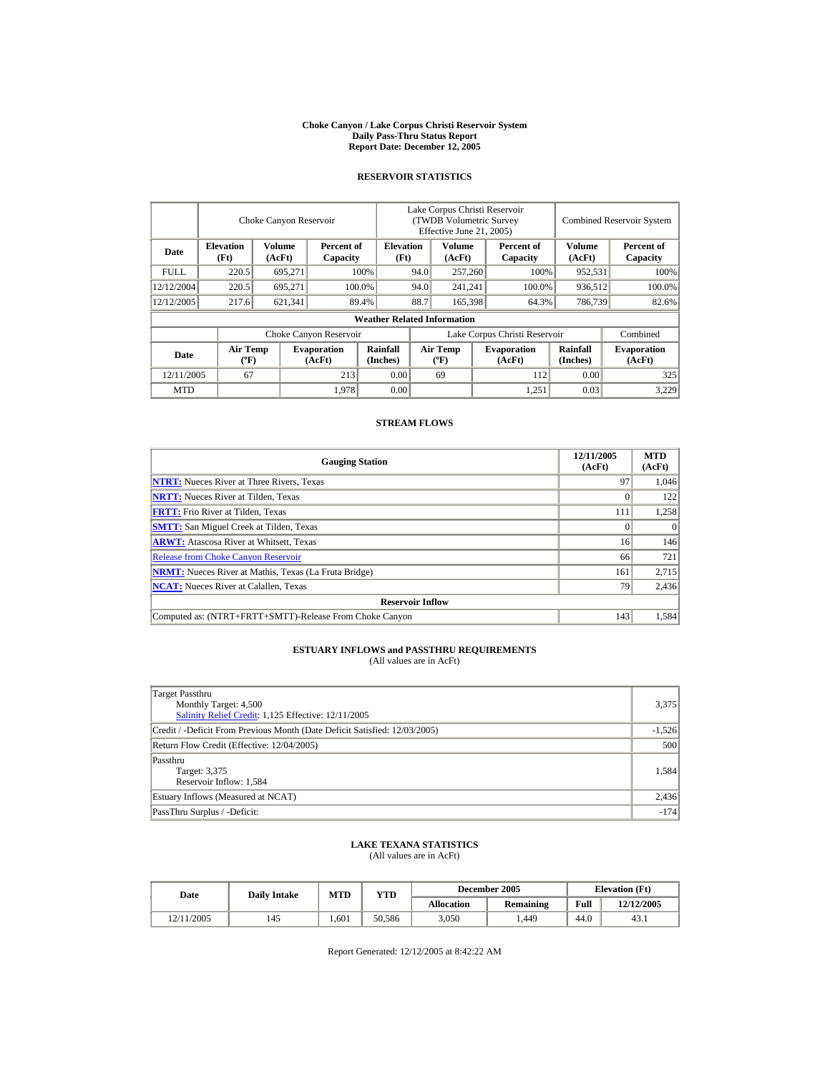#### **Choke Canyon / Lake Corpus Christi Reservoir System Daily Pass-Thru Status Report Report Date: December 12, 2005**

## **RESERVOIR STATISTICS**

|             |                                | Choke Canyon Reservoir |                              |                                    | Lake Corpus Christi Reservoir<br>(TWDB Volumetric Survey<br>Effective June 21, 2005) |                                             |         |                              |                      | <b>Combined Reservoir System</b> |  |  |
|-------------|--------------------------------|------------------------|------------------------------|------------------------------------|--------------------------------------------------------------------------------------|---------------------------------------------|---------|------------------------------|----------------------|----------------------------------|--|--|
| Date        | <b>Elevation</b><br>(Ft)       | Volume<br>(AcFt)       | Percent of<br>Capacity       | <b>Elevation</b><br>(Ft)           |                                                                                      | Volume<br>(AcFt)                            |         | Percent of<br>Capacity       | Volume<br>(AcFt)     | Percent of<br>Capacity           |  |  |
| <b>FULL</b> | 220.5                          | 695,271                |                              | 100%                               | 94.0                                                                                 | 257,260                                     |         | 100%                         | 952,531              | 100%                             |  |  |
| 12/12/2004  | 220.5                          | 695.271                |                              | 100.0%                             | 94.0                                                                                 |                                             | 241.241 | 100.0%                       | 936,512              | 100.0%                           |  |  |
| 12/12/2005  | 217.6                          | 621,341                |                              | 89.4%                              | 88.7<br>165,398                                                                      |                                             |         | 64.3%                        | 786,739              | 82.6%                            |  |  |
|             |                                |                        |                              | <b>Weather Related Information</b> |                                                                                      |                                             |         |                              |                      |                                  |  |  |
|             |                                |                        | Choke Canyon Reservoir       |                                    | Lake Corpus Christi Reservoir                                                        |                                             |         |                              |                      | Combined                         |  |  |
| Date        | Air Temp<br>$({}^o\mathbf{F})$ |                        | <b>Evaporation</b><br>(AcFt) | Rainfall<br>(Inches)               |                                                                                      | <b>Air Temp</b><br>$({}^{\circ}\mathbf{F})$ |         | <b>Evaporation</b><br>(AcFt) | Rainfall<br>(Inches) | <b>Evaporation</b><br>(AcFt)     |  |  |
| 12/11/2005  | 67                             |                        | 213                          | 0.00                               |                                                                                      | 69                                          |         | 112                          | 0.00                 | 325                              |  |  |
| <b>MTD</b>  |                                |                        | 1,978                        | 0.00                               |                                                                                      |                                             |         | 1.251                        | 0.03                 | 3,229                            |  |  |

## **STREAM FLOWS**

| <b>Gauging Station</b>                                       | 12/11/2005<br>(AcFt) | <b>MTD</b><br>(AcFt) |
|--------------------------------------------------------------|----------------------|----------------------|
| <b>NTRT:</b> Nueces River at Three Rivers, Texas             | 97                   | 1,046                |
| <b>NRTT:</b> Nueces River at Tilden, Texas                   |                      | 122                  |
| <b>FRTT:</b> Frio River at Tilden, Texas                     | 111                  | 1,258                |
| <b>SMTT:</b> San Miguel Creek at Tilden, Texas               |                      | $\Omega$             |
| <b>ARWT:</b> Atascosa River at Whitsett, Texas               | 16                   | 146                  |
| <b>Release from Choke Canyon Reservoir</b>                   | 66                   | 721                  |
| <b>NRMT:</b> Nueces River at Mathis, Texas (La Fruta Bridge) | 161                  | 2,715                |
| <b>NCAT:</b> Nueces River at Calallen, Texas                 | 79                   | 2,436                |
| <b>Reservoir Inflow</b>                                      |                      |                      |
| Computed as: (NTRT+FRTT+SMTT)-Release From Choke Canyon      | 143                  | 1,584                |

# **ESTUARY INFLOWS and PASSTHRU REQUIREMENTS**<br>(All values are in AcFt)

| Target Passthru<br>Monthly Target: 4,500<br>Salinity Relief Credit: 1,125 Effective: 12/11/2005 | 3,375    |
|-------------------------------------------------------------------------------------------------|----------|
| Credit / -Deficit From Previous Month (Date Deficit Satisfied: 12/03/2005)                      | $-1,526$ |
| Return Flow Credit (Effective: 12/04/2005)                                                      | 500      |
| Passthru<br>Target: 3,375<br>Reservoir Inflow: 1,584                                            | 1,584    |
| Estuary Inflows (Measured at NCAT)                                                              | 2,436    |
| PassThru Surplus / -Deficit:                                                                    | $-174$   |

## **LAKE TEXANA STATISTICS**

(All values are in AcFt)

| Date       | <b>Daily Intake</b> | <b>MTD</b> | YTD    |                   | December 2005    | <b>Elevation</b> (Ft) |            |
|------------|---------------------|------------|--------|-------------------|------------------|-----------------------|------------|
|            |                     |            |        | <b>Allocation</b> | <b>Remaining</b> | Full                  | 12/12/2005 |
| 12/11/2005 | 145                 | .601       | 50.586 | 3.050             | .449             | 44.0                  | 43.1       |

Report Generated: 12/12/2005 at 8:42:22 AM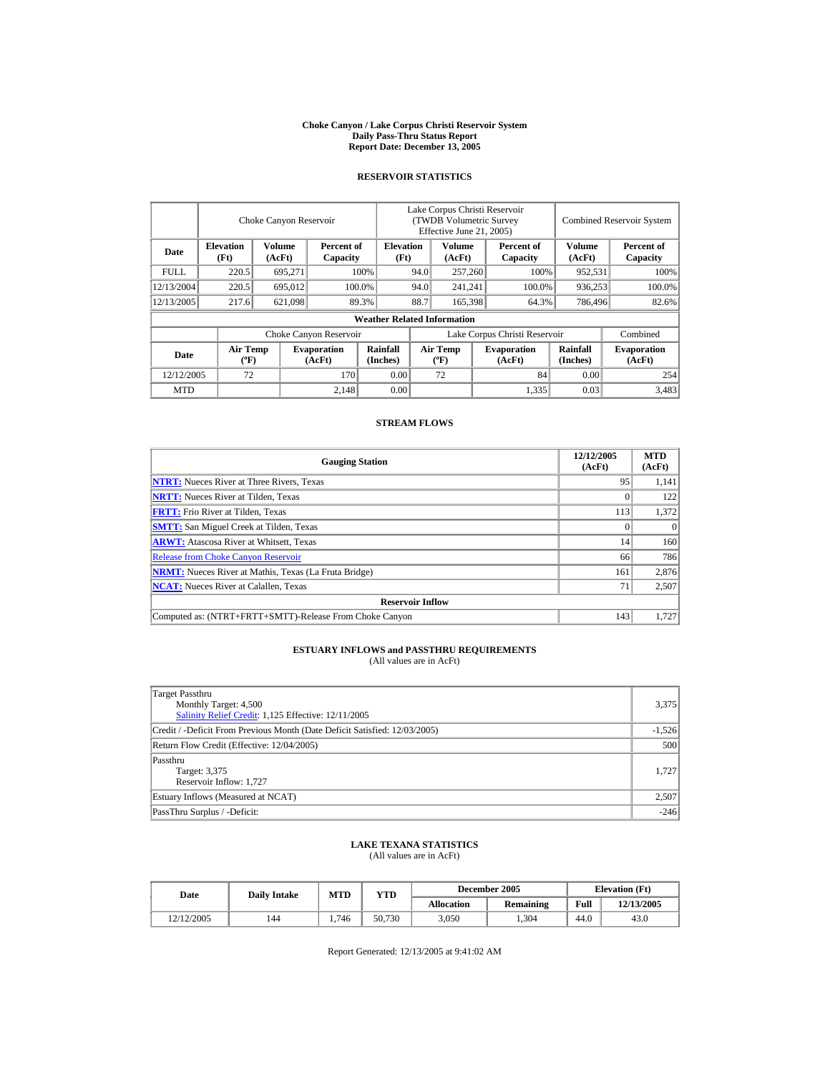#### **Choke Canyon / Lake Corpus Christi Reservoir System Daily Pass-Thru Status Report Report Date: December 13, 2005**

## **RESERVOIR STATISTICS**

|             | Choke Canyon Reservoir                      |                  |                              |                                    | Lake Corpus Christi Reservoir<br>(TWDB Volumetric Survey<br>Effective June 21, 2005) |                                             |  |                              | <b>Combined Reservoir System</b> |                              |  |
|-------------|---------------------------------------------|------------------|------------------------------|------------------------------------|--------------------------------------------------------------------------------------|---------------------------------------------|--|------------------------------|----------------------------------|------------------------------|--|
| Date        | <b>Elevation</b><br>(Ft)                    | Volume<br>(AcFt) | Percent of<br>Capacity       | <b>Elevation</b><br>(Ft)           |                                                                                      | Volume<br>(AcFt)                            |  | Percent of<br>Capacity       | Volume<br>(AcFt)                 | Percent of<br>Capacity       |  |
| <b>FULL</b> | 220.5                                       | 695,271          |                              | 100%                               | 94.0                                                                                 | 257,260                                     |  | 100%                         | 952,531                          | 100%                         |  |
| 12/13/2004  | 220.5                                       | 695,012          |                              | 100.0%                             | 94.0                                                                                 | 241,241                                     |  | 100.0%                       | 936,253                          | 100.0%                       |  |
| 12/13/2005  | 217.6                                       | 621,098          |                              | 89.3%                              | 88.7                                                                                 | 165,398                                     |  | 64.3%                        | 786,496                          | 82.6%                        |  |
|             |                                             |                  |                              | <b>Weather Related Information</b> |                                                                                      |                                             |  |                              |                                  |                              |  |
|             |                                             |                  | Choke Canyon Reservoir       |                                    | Lake Corpus Christi Reservoir                                                        |                                             |  |                              |                                  | Combined                     |  |
| Date        | <b>Air Temp</b><br>$({}^{\circ}\mathrm{F})$ |                  | <b>Evaporation</b><br>(AcFt) | Rainfall<br>(Inches)               |                                                                                      | <b>Air Temp</b><br>$({}^{\circ}\mathbf{F})$ |  | <b>Evaporation</b><br>(AcFt) | Rainfall<br>(Inches)             | <b>Evaporation</b><br>(AcFt) |  |
| 12/12/2005  | 72                                          |                  | 170                          | 0.00                               |                                                                                      | 72                                          |  | 84                           | 0.00                             | 254                          |  |
| <b>MTD</b>  |                                             |                  | 2.148                        | 0.00                               |                                                                                      |                                             |  | 1,335                        | 0.03                             | 3,483                        |  |

### **STREAM FLOWS**

| <b>Gauging Station</b>                                       | 12/12/2005<br>(AcFt) | <b>MTD</b><br>(AcFt) |
|--------------------------------------------------------------|----------------------|----------------------|
| <b>NTRT:</b> Nueces River at Three Rivers, Texas             | 95                   | 1,141                |
| <b>NRTT:</b> Nueces River at Tilden, Texas                   |                      | 122                  |
| <b>FRTT:</b> Frio River at Tilden, Texas                     | 113                  | 1,372                |
| <b>SMTT:</b> San Miguel Creek at Tilden, Texas               |                      | $\Omega$             |
| <b>ARWT:</b> Atascosa River at Whitsett, Texas               | 14                   | 160                  |
| <b>Release from Choke Canyon Reservoir</b>                   | 66                   | 786                  |
| <b>NRMT:</b> Nueces River at Mathis, Texas (La Fruta Bridge) | 161                  | 2,876                |
| <b>NCAT:</b> Nueces River at Calallen, Texas                 | 71                   | 2,507                |
| <b>Reservoir Inflow</b>                                      |                      |                      |
| Computed as: (NTRT+FRTT+SMTT)-Release From Choke Canyon      | 143                  | 1.727                |

# **ESTUARY INFLOWS and PASSTHRU REQUIREMENTS**<br>(All values are in AcFt)

| Target Passthru<br>Monthly Target: 4,500<br>Salinity Relief Credit: 1,125 Effective: 12/11/2005 | 3,375    |
|-------------------------------------------------------------------------------------------------|----------|
| Credit / -Deficit From Previous Month (Date Deficit Satisfied: 12/03/2005)                      | $-1,526$ |
| Return Flow Credit (Effective: 12/04/2005)                                                      | 500      |
| Passthru<br>Target: 3,375<br>Reservoir Inflow: 1,727                                            | 1.727    |
| Estuary Inflows (Measured at NCAT)                                                              | 2,507    |
| PassThru Surplus / -Deficit:                                                                    | $-246$   |

## **LAKE TEXANA STATISTICS**

(All values are in AcFt)

| Date       | <b>Daily Intake</b> | <b>MTD</b> | VTD    |                   | December 2005    | <b>Elevation</b> (Ft) |            |
|------------|---------------------|------------|--------|-------------------|------------------|-----------------------|------------|
|            |                     |            |        | <b>Allocation</b> | <b>Remaining</b> | Full                  | 12/13/2005 |
| 12/12/2005 | 144                 | 1.746      | 50.730 | 3,050             | .304             | 44.0                  | 43.0       |

Report Generated: 12/13/2005 at 9:41:02 AM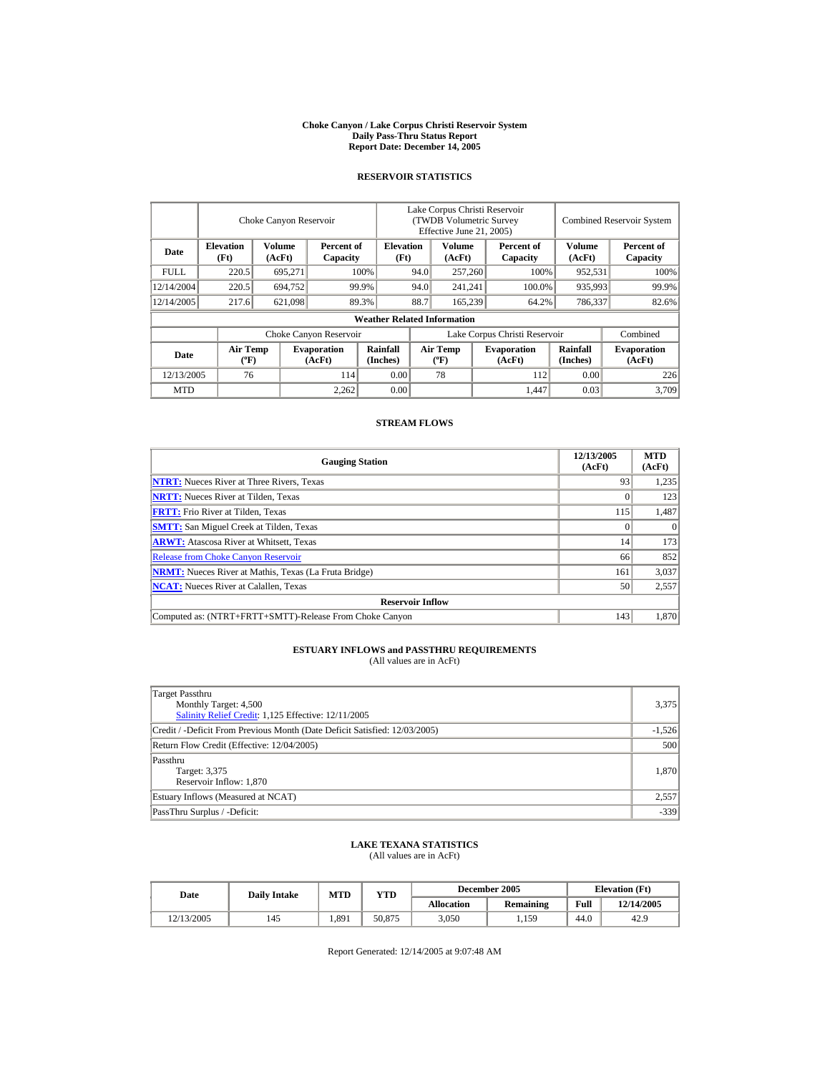#### **Choke Canyon / Lake Corpus Christi Reservoir System Daily Pass-Thru Status Report Report Date: December 14, 2005**

## **RESERVOIR STATISTICS**

|            | Choke Canyon Reservoir      |                  |                              |                                    | Lake Corpus Christi Reservoir<br>(TWDB Volumetric Survey<br>Effective June 21, 2005) |                                      |      |                              |                      | <b>Combined Reservoir System</b> |  |  |
|------------|-----------------------------|------------------|------------------------------|------------------------------------|--------------------------------------------------------------------------------------|--------------------------------------|------|------------------------------|----------------------|----------------------------------|--|--|
| Date       | <b>Elevation</b><br>(Ft)    | Volume<br>(AcFt) | Percent of<br>Capacity       | <b>Elevation</b><br>(Ft)           |                                                                                      | Volume<br>(AcFt)                     |      | Percent of<br>Capacity       | Volume<br>(AcFt)     | Percent of<br>Capacity           |  |  |
| FULL.      | 220.5                       | 695,271          |                              | 100%                               | 94.0                                                                                 | 257,260                              | 100% |                              | 952,531              | 100%                             |  |  |
| 12/14/2004 | 220.5                       | 694,752          |                              | 94.0<br>99.9%                      |                                                                                      | 241,241                              |      | 100.0%                       | 935,993              | 99.9%                            |  |  |
| 12/14/2005 | 217.6                       | 621,098          |                              | 89.3%                              | 88.7                                                                                 | 165,239                              |      | 64.2%                        | 786,337              | 82.6%                            |  |  |
|            |                             |                  |                              | <b>Weather Related Information</b> |                                                                                      |                                      |      |                              |                      |                                  |  |  |
|            |                             |                  | Choke Canyon Reservoir       |                                    | Lake Corpus Christi Reservoir                                                        |                                      |      |                              |                      | Combined                         |  |  |
| Date       | Air Temp<br>$({}^{\circ}F)$ |                  | <b>Evaporation</b><br>(AcFt) | <b>Rainfall</b><br>(Inches)        |                                                                                      | Air Temp<br>$({}^{\circ}\mathrm{F})$ |      | <b>Evaporation</b><br>(AcFt) | Rainfall<br>(Inches) | <b>Evaporation</b><br>(AcFt)     |  |  |
| 12/13/2005 | 76                          |                  | 114                          | 0.00                               |                                                                                      | 78                                   |      | 112                          | 0.00                 | 226                              |  |  |
| <b>MTD</b> |                             |                  | 2,262                        | 0.00                               |                                                                                      |                                      |      | 1.447                        | 0.03                 | 3,709                            |  |  |

## **STREAM FLOWS**

| <b>Gauging Station</b>                                       | 12/13/2005<br>(AcFt) | <b>MTD</b><br>(AcFt) |
|--------------------------------------------------------------|----------------------|----------------------|
| <b>NTRT:</b> Nueces River at Three Rivers, Texas             | 93                   | 1,235                |
| <b>NRTT:</b> Nueces River at Tilden, Texas                   |                      | 123                  |
| <b>FRTT:</b> Frio River at Tilden, Texas                     | 115                  | 1,487                |
| <b>SMTT:</b> San Miguel Creek at Tilden, Texas               |                      | $\Omega$             |
| <b>ARWT:</b> Atascosa River at Whitsett, Texas               | 14                   | 173                  |
| <b>Release from Choke Canyon Reservoir</b>                   | 66                   | 852                  |
| <b>NRMT:</b> Nueces River at Mathis, Texas (La Fruta Bridge) | 161                  | 3,037                |
| <b>NCAT:</b> Nueces River at Calallen, Texas                 | 50                   | 2,557                |
| <b>Reservoir Inflow</b>                                      |                      |                      |
| Computed as: (NTRT+FRTT+SMTT)-Release From Choke Canyon      | 143                  | 1,870                |

# **ESTUARY INFLOWS and PASSTHRU REQUIREMENTS**<br>(All values are in AcFt)

| Target Passthru<br>Monthly Target: 4,500<br>Salinity Relief Credit: 1,125 Effective: 12/11/2005 | 3,375    |
|-------------------------------------------------------------------------------------------------|----------|
| Credit / -Deficit From Previous Month (Date Deficit Satisfied: 12/03/2005)                      | $-1,526$ |
| Return Flow Credit (Effective: 12/04/2005)                                                      | 500      |
| Passthru<br>Target: 3,375<br>Reservoir Inflow: 1,870                                            | 1,870    |
| Estuary Inflows (Measured at NCAT)                                                              | 2,557    |
| PassThru Surplus / -Deficit:                                                                    | $-339$   |

## **LAKE TEXANA STATISTICS**

(All values are in AcFt)

| Date       | <b>Daily Intake</b> | <b>MTD</b> | YTD    |                   | December 2005    | <b>Elevation</b> (Ft) |            |
|------------|---------------------|------------|--------|-------------------|------------------|-----------------------|------------|
|            |                     |            |        | <b>Allocation</b> | <b>Remaining</b> | Full                  | 12/14/2005 |
| 12/13/2005 | 145                 | 1.891      | 50.875 | 3.050             | 1.159            | 44.0                  | 42.9       |

Report Generated: 12/14/2005 at 9:07:48 AM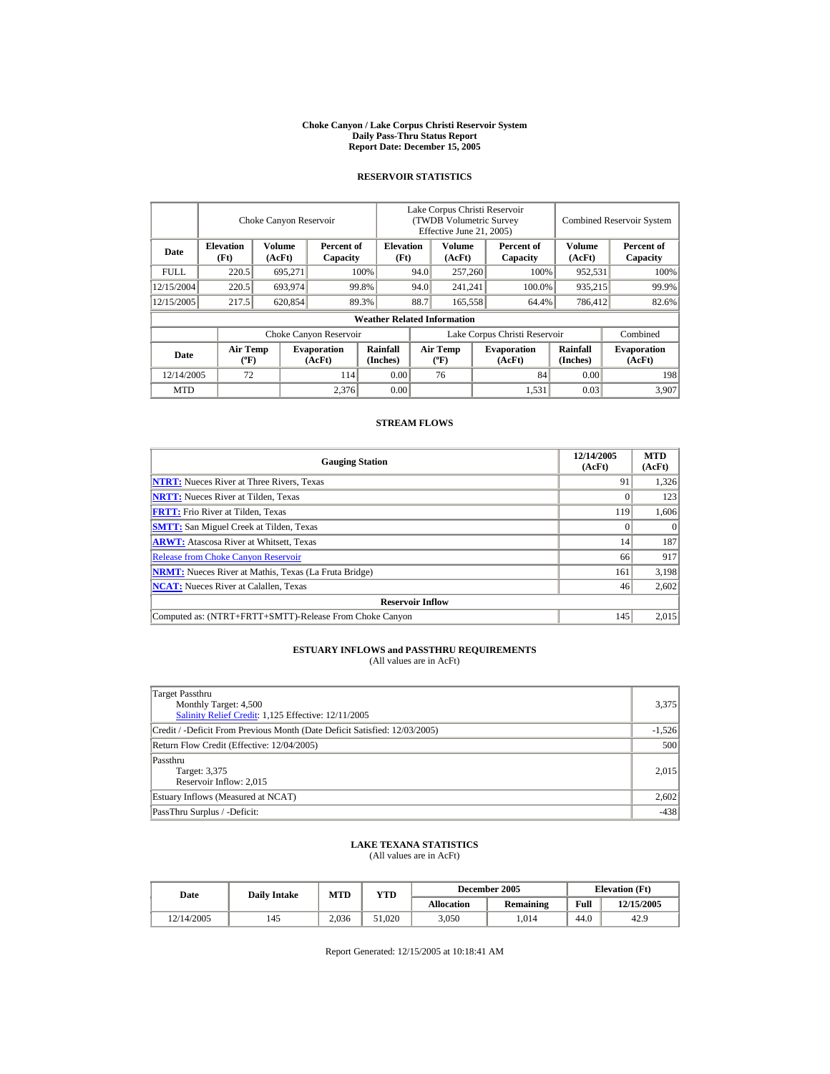#### **Choke Canyon / Lake Corpus Christi Reservoir System Daily Pass-Thru Status Report Report Date: December 15, 2005**

## **RESERVOIR STATISTICS**

|            | Choke Canyon Reservoir      |                  |                              |                                    | Lake Corpus Christi Reservoir<br>(TWDB Volumetric Survey<br>Effective June 21, 2005) |                                      |                 |                              |                      | <b>Combined Reservoir System</b> |  |  |
|------------|-----------------------------|------------------|------------------------------|------------------------------------|--------------------------------------------------------------------------------------|--------------------------------------|-----------------|------------------------------|----------------------|----------------------------------|--|--|
| Date       | <b>Elevation</b><br>(Ft)    | Volume<br>(AcFt) | Percent of<br>Capacity       | <b>Elevation</b><br>(Ft)           |                                                                                      | Volume<br>(AcFt)                     |                 | Percent of<br>Capacity       | Volume<br>(AcFt)     | Percent of<br>Capacity           |  |  |
| FULL.      | 220.5                       | 695,271          |                              | 100%                               | 94.0                                                                                 |                                      | 257,260<br>100% |                              | 952,531              | 100%                             |  |  |
| 12/15/2004 | 220.5                       | 693,974          |                              | 99.8%                              | 94.0                                                                                 |                                      | 241,241         | 100.0%                       | 935,215              | 99.9%                            |  |  |
| 12/15/2005 | 217.5                       | 620,854          |                              | 89.3%                              | 88.7                                                                                 | 165,558                              |                 | 64.4%                        | 786,412              | 82.6%                            |  |  |
|            |                             |                  |                              | <b>Weather Related Information</b> |                                                                                      |                                      |                 |                              |                      |                                  |  |  |
|            |                             |                  | Choke Canyon Reservoir       |                                    | Lake Corpus Christi Reservoir                                                        |                                      |                 |                              |                      | Combined                         |  |  |
| Date       | Air Temp<br>$({}^{\circ}F)$ |                  | <b>Evaporation</b><br>(AcFt) | <b>Rainfall</b><br>(Inches)        |                                                                                      | Air Temp<br>$({}^{\circ}\mathrm{F})$ |                 | <b>Evaporation</b><br>(AcFt) | Rainfall<br>(Inches) | <b>Evaporation</b><br>(AcFt)     |  |  |
| 12/14/2005 | 72                          |                  | 114                          | 0.00                               |                                                                                      | 76                                   |                 | 84                           | 0.00                 | 198                              |  |  |
| <b>MTD</b> |                             |                  | 2,376                        | 0.00                               |                                                                                      |                                      |                 | 1,531                        | 0.03                 | 3.907                            |  |  |

## **STREAM FLOWS**

| <b>Gauging Station</b>                                       | 12/14/2005<br>(AcFt) | <b>MTD</b><br>(AcFt) |  |  |  |  |  |
|--------------------------------------------------------------|----------------------|----------------------|--|--|--|--|--|
| <b>NTRT:</b> Nueces River at Three Rivers, Texas             | 91                   | 1,326                |  |  |  |  |  |
| <b>NRTT:</b> Nueces River at Tilden, Texas                   |                      | 123                  |  |  |  |  |  |
| <b>FRTT:</b> Frio River at Tilden, Texas                     | 119                  | 1,606                |  |  |  |  |  |
| <b>SMTT:</b> San Miguel Creek at Tilden, Texas               |                      | $\Omega$             |  |  |  |  |  |
| <b>ARWT:</b> Atascosa River at Whitsett, Texas               | 14                   | 187                  |  |  |  |  |  |
| <b>Release from Choke Canyon Reservoir</b>                   | 66                   | 917                  |  |  |  |  |  |
| <b>NRMT:</b> Nueces River at Mathis, Texas (La Fruta Bridge) | 161                  | 3,198                |  |  |  |  |  |
| <b>NCAT:</b> Nueces River at Calallen, Texas                 | 46                   | 2,602                |  |  |  |  |  |
| <b>Reservoir Inflow</b>                                      |                      |                      |  |  |  |  |  |
| Computed as: (NTRT+FRTT+SMTT)-Release From Choke Canyon      | 145                  | 2.015                |  |  |  |  |  |

# **ESTUARY INFLOWS and PASSTHRU REQUIREMENTS**<br>(All values are in AcFt)

| Target Passthru<br>Monthly Target: 4,500<br>Salinity Relief Credit: 1,125 Effective: 12/11/2005 | 3,375    |
|-------------------------------------------------------------------------------------------------|----------|
| Credit / -Deficit From Previous Month (Date Deficit Satisfied: 12/03/2005)                      | $-1,526$ |
| Return Flow Credit (Effective: 12/04/2005)                                                      | 500      |
| Passthru<br>Target: 3,375<br>Reservoir Inflow: 2,015                                            | 2.015    |
| Estuary Inflows (Measured at NCAT)                                                              | 2,602    |
| PassThru Surplus / -Deficit:                                                                    | $-438$   |

## **LAKE TEXANA STATISTICS**

(All values are in AcFt)

| Date       | <b>Daily Intake</b> | <b>MTD</b> | VTD    |                   | December 2005    | <b>Elevation</b> (Ft) |            |
|------------|---------------------|------------|--------|-------------------|------------------|-----------------------|------------|
|            |                     |            |        | <b>Allocation</b> | <b>Remaining</b> | Full                  | 12/15/2005 |
| 12/14/2005 | 145                 | 2.036      | 51.020 | 3,050             | .014             | 44.0                  | 42.9       |

Report Generated: 12/15/2005 at 10:18:41 AM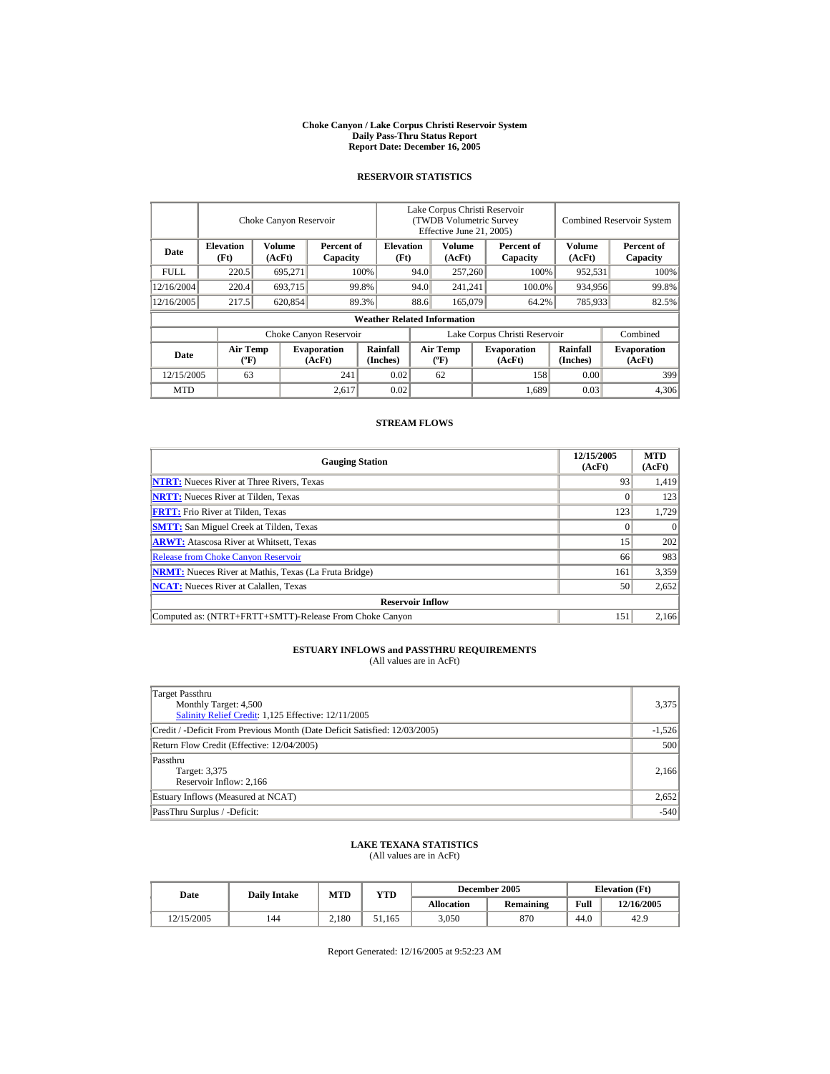#### **Choke Canyon / Lake Corpus Christi Reservoir System Daily Pass-Thru Status Report Report Date: December 16, 2005**

## **RESERVOIR STATISTICS**

|            | Choke Canyon Reservoir             |                  |                              |                                    | Lake Corpus Christi Reservoir<br>(TWDB Volumetric Survey<br>Effective June 21, 2005) |                                      |  |                              | <b>Combined Reservoir System</b> |                              |  |
|------------|------------------------------------|------------------|------------------------------|------------------------------------|--------------------------------------------------------------------------------------|--------------------------------------|--|------------------------------|----------------------------------|------------------------------|--|
| Date       | <b>Elevation</b><br>(Ft)           | Volume<br>(AcFt) | Percent of<br>Capacity       | <b>Elevation</b><br>(Ft)           |                                                                                      | Volume<br>(AcFt)                     |  | Percent of<br>Capacity       | Volume<br>(AcFt)                 | Percent of<br>Capacity       |  |
| FULL.      | 220.5                              | 695,271          |                              | 100%                               | 94.0                                                                                 | 257,260                              |  | 100%                         | 952,531                          | 100%                         |  |
| 12/16/2004 | 220.4                              | 693,715          |                              | 99.8%                              | 94.0                                                                                 | 241,241                              |  | 100.0%                       | 934,956                          | 99.8%                        |  |
| 12/16/2005 | 217.5                              | 620,854          |                              | 89.3%                              | 88.6                                                                                 | 165,079                              |  | 64.2%                        | 785,933                          | 82.5%                        |  |
|            |                                    |                  |                              | <b>Weather Related Information</b> |                                                                                      |                                      |  |                              |                                  |                              |  |
|            |                                    |                  | Choke Canyon Reservoir       |                                    | Lake Corpus Christi Reservoir                                                        |                                      |  |                              |                                  | Combined                     |  |
| Date       | <b>Air Temp</b><br>$({}^{\circ}F)$ |                  | <b>Evaporation</b><br>(AcFt) | <b>Rainfall</b><br>(Inches)        |                                                                                      | Air Temp<br>$({}^{\circ}\mathrm{F})$ |  | <b>Evaporation</b><br>(AcFt) | Rainfall<br>(Inches)             | <b>Evaporation</b><br>(AcFt) |  |
| 12/15/2005 | 63                                 |                  | 241                          | 0.02                               |                                                                                      | 62                                   |  | 158                          | 0.00                             | 399                          |  |
| <b>MTD</b> |                                    |                  | 2,617                        | 0.02                               |                                                                                      |                                      |  | 1.689                        | 0.03                             | 4,306                        |  |

### **STREAM FLOWS**

| <b>Gauging Station</b>                                       | 12/15/2005<br>(AcFt) | <b>MTD</b><br>(AcFt) |
|--------------------------------------------------------------|----------------------|----------------------|
| <b>NTRT:</b> Nueces River at Three Rivers, Texas             | 93                   | 1,419                |
| <b>NRTT:</b> Nueces River at Tilden, Texas                   |                      | 123                  |
| <b>FRTT:</b> Frio River at Tilden, Texas                     | 123                  | 1,729                |
| <b>SMTT:</b> San Miguel Creek at Tilden, Texas               |                      | $\Omega$             |
| <b>ARWT:</b> Atascosa River at Whitsett, Texas               | 15                   | 202                  |
| <b>Release from Choke Canyon Reservoir</b>                   | 66                   | 983                  |
| <b>NRMT:</b> Nueces River at Mathis, Texas (La Fruta Bridge) | 161                  | 3,359                |
| <b>NCAT:</b> Nueces River at Calallen, Texas                 | 50                   | 2,652                |
| <b>Reservoir Inflow</b>                                      |                      |                      |
| Computed as: (NTRT+FRTT+SMTT)-Release From Choke Canyon      | 151                  | 2,166                |

# **ESTUARY INFLOWS and PASSTHRU REQUIREMENTS**<br>(All values are in AcFt)

| Target Passthru<br>Monthly Target: 4,500<br>Salinity Relief Credit: 1,125 Effective: 12/11/2005 | 3,375    |
|-------------------------------------------------------------------------------------------------|----------|
| Credit / -Deficit From Previous Month (Date Deficit Satisfied: 12/03/2005)                      | $-1,526$ |
| Return Flow Credit (Effective: 12/04/2005)                                                      | 500      |
| Passthru<br>Target: 3,375<br>Reservoir Inflow: 2,166                                            | 2.166    |
| Estuary Inflows (Measured at NCAT)                                                              | 2,652    |
| PassThru Surplus / -Deficit:                                                                    | $-540$   |

## **LAKE TEXANA STATISTICS**

(All values are in AcFt)

| Date       | <b>Daily Intake</b> | <b>MTD</b> | YTD    |                   | December 2005    | <b>Elevation</b> (Ft) |            |
|------------|---------------------|------------|--------|-------------------|------------------|-----------------------|------------|
|            |                     |            |        | <b>Allocation</b> | <b>Remaining</b> | Full                  | 12/16/2005 |
| 12/15/2005 | 144                 | 2.180      | 51.165 | 3.050             | 870              | 44.0                  | 42.9       |

Report Generated: 12/16/2005 at 9:52:23 AM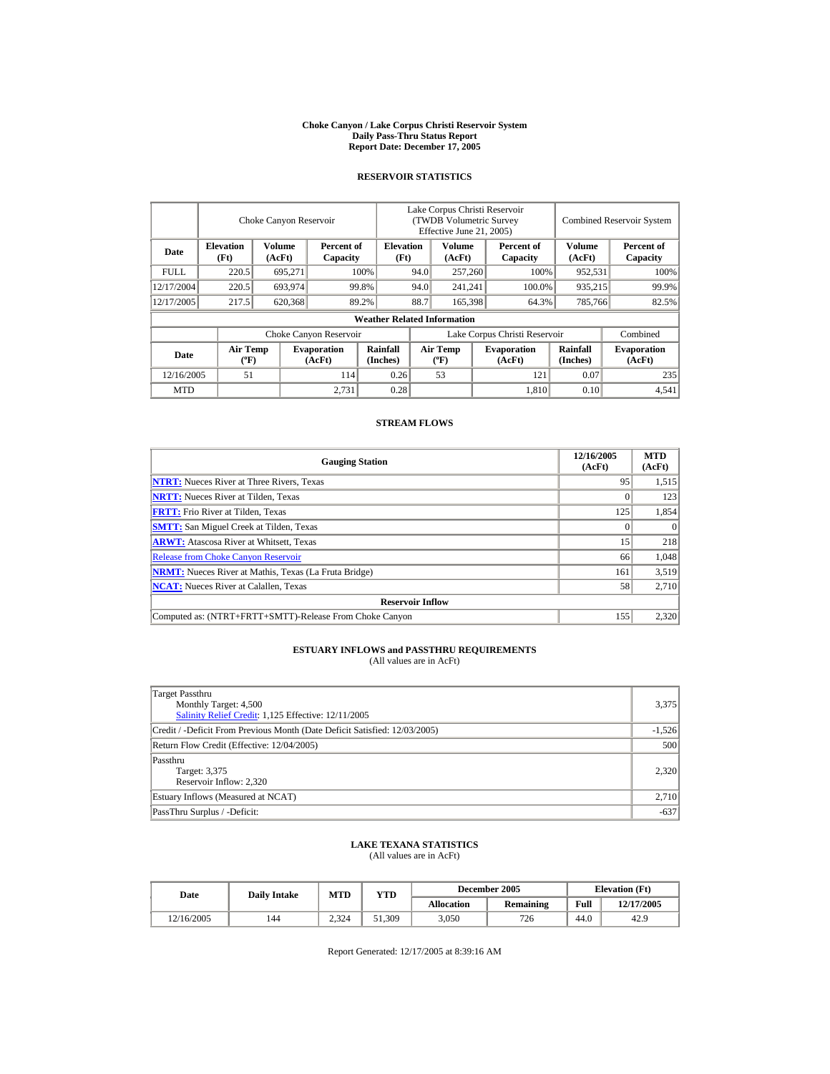#### **Choke Canyon / Lake Corpus Christi Reservoir System Daily Pass-Thru Status Report Report Date: December 17, 2005**

## **RESERVOIR STATISTICS**

|            | Choke Canyon Reservoir             |                  |                              |                                    | Lake Corpus Christi Reservoir<br>(TWDB Volumetric Survey<br>Effective June 21, 2005) |                                      |  |                              |                      | <b>Combined Reservoir System</b> |  |  |
|------------|------------------------------------|------------------|------------------------------|------------------------------------|--------------------------------------------------------------------------------------|--------------------------------------|--|------------------------------|----------------------|----------------------------------|--|--|
| Date       | <b>Elevation</b><br>(Ft)           | Volume<br>(AcFt) | Percent of<br>Capacity       | <b>Elevation</b><br>(Ft)           |                                                                                      | Volume<br>(AcFt)                     |  | Percent of<br>Capacity       | Volume<br>(AcFt)     | Percent of<br>Capacity           |  |  |
| FULL.      | 220.5                              | 695,271          |                              | 100%                               | 94.0<br>257,260                                                                      |                                      |  | 100%                         | 952,531              | 100%                             |  |  |
| 12/17/2004 | 220.5                              | 693,974          |                              | 99.8%                              | 94.0                                                                                 | 241,241                              |  | 100.0%                       | 935,215              | 99.9%                            |  |  |
| 12/17/2005 | 217.5                              | 620,368          |                              | 89.2%                              | 88.7                                                                                 | 165,398                              |  | 64.3%                        | 785,766              | 82.5%                            |  |  |
|            |                                    |                  |                              | <b>Weather Related Information</b> |                                                                                      |                                      |  |                              |                      |                                  |  |  |
|            |                                    |                  | Choke Canyon Reservoir       |                                    | Lake Corpus Christi Reservoir                                                        |                                      |  |                              |                      | Combined                         |  |  |
| Date       | <b>Air Temp</b><br>$({}^{\circ}F)$ |                  | <b>Evaporation</b><br>(AcFt) | <b>Rainfall</b><br>(Inches)        |                                                                                      | Air Temp<br>$({}^{\circ}\mathrm{F})$ |  | <b>Evaporation</b><br>(AcFt) | Rainfall<br>(Inches) | <b>Evaporation</b><br>(AcFt)     |  |  |
| 12/16/2005 | 51                                 |                  | 114                          | 0.26                               |                                                                                      | 53                                   |  | 121                          | 0.07                 | 235                              |  |  |
| <b>MTD</b> |                                    |                  | 2.731                        | 0.28                               |                                                                                      |                                      |  | 1,810                        | 0.10                 | 4,541                            |  |  |

## **STREAM FLOWS**

| <b>Gauging Station</b>                                       | 12/16/2005<br>(AcFt) | <b>MTD</b><br>(AcFt) |
|--------------------------------------------------------------|----------------------|----------------------|
| <b>NTRT:</b> Nueces River at Three Rivers, Texas             | 95                   | 1,515                |
| <b>NRTT:</b> Nueces River at Tilden, Texas                   |                      | 123                  |
| <b>FRTT:</b> Frio River at Tilden, Texas                     | 125                  | 1,854                |
| <b>SMTT:</b> San Miguel Creek at Tilden, Texas               |                      | $\Omega$             |
| <b>ARWT:</b> Atascosa River at Whitsett, Texas               | 15                   | 218                  |
| <b>Release from Choke Canyon Reservoir</b>                   | 66                   | 1.048                |
| <b>NRMT:</b> Nueces River at Mathis, Texas (La Fruta Bridge) | 161                  | 3,519                |
| <b>NCAT:</b> Nueces River at Calallen, Texas                 | 58                   | 2,710                |
| <b>Reservoir Inflow</b>                                      |                      |                      |
| Computed as: (NTRT+FRTT+SMTT)-Release From Choke Canyon      | 155                  | 2,320                |

# **ESTUARY INFLOWS and PASSTHRU REQUIREMENTS**<br>(All values are in AcFt)

| Target Passthru<br>Monthly Target: 4,500<br>Salinity Relief Credit: 1,125 Effective: 12/11/2005 | 3,375    |
|-------------------------------------------------------------------------------------------------|----------|
| Credit / -Deficit From Previous Month (Date Deficit Satisfied: 12/03/2005)                      | $-1,526$ |
| Return Flow Credit (Effective: 12/04/2005)                                                      | 500      |
| Passthru<br>Target: 3,375<br>Reservoir Inflow: 2,320                                            | 2.320    |
| Estuary Inflows (Measured at NCAT)                                                              | 2,710    |
| PassThru Surplus / -Deficit:                                                                    | $-637$   |

## **LAKE TEXANA STATISTICS**

(All values are in AcFt)

| Date       | <b>Daily Intake</b> | <b>MTD</b> | YTD    |                   | December 2005    | <b>Elevation</b> (Ft) |            |
|------------|---------------------|------------|--------|-------------------|------------------|-----------------------|------------|
|            |                     |            |        | <b>Allocation</b> | <b>Remaining</b> | Full                  | 12/17/2005 |
| 12/16/2005 | 144                 | 2.324      | 51.309 | 3.050             | 726              | 44.0                  | 42.9       |

Report Generated: 12/17/2005 at 8:39:16 AM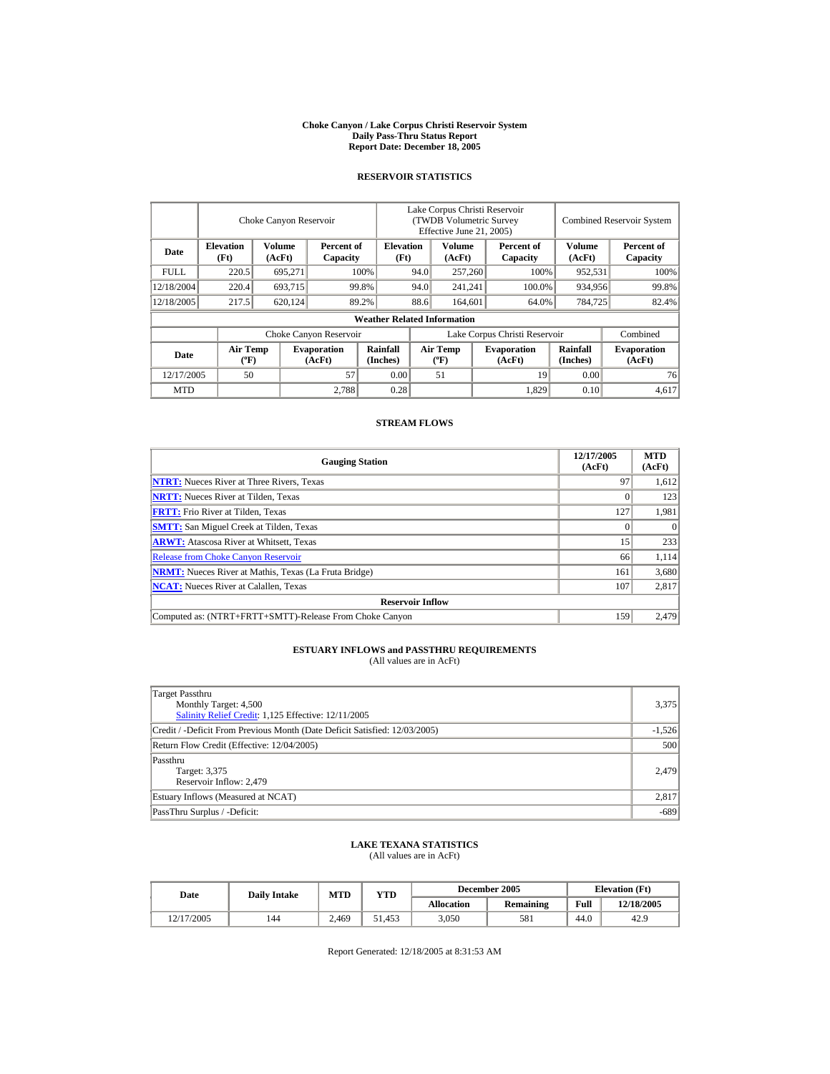#### **Choke Canyon / Lake Corpus Christi Reservoir System Daily Pass-Thru Status Report Report Date: December 18, 2005**

## **RESERVOIR STATISTICS**

|            |                                       | Choke Canyon Reservoir |                              | Lake Corpus Christi Reservoir<br>(TWDB Volumetric Survey<br>Effective June 21, 2005) |                               |                           |  | <b>Combined Reservoir System</b> |                      |                              |
|------------|---------------------------------------|------------------------|------------------------------|--------------------------------------------------------------------------------------|-------------------------------|---------------------------|--|----------------------------------|----------------------|------------------------------|
| Date       | <b>Elevation</b><br>(Ft)              | Volume<br>(AcFt)       | Percent of<br>Capacity       | <b>Elevation</b><br>(Ft)                                                             |                               | Volume<br>(AcFt)          |  | Percent of<br>Capacity           | Volume<br>(AcFt)     | Percent of<br>Capacity       |
| FULL.      | 220.5                                 | 695,271                |                              | 100%                                                                                 | 94.0                          | 257,260                   |  | 100%                             | 952,531              | 100%                         |
| 12/18/2004 | 220.4                                 | 693,715                |                              | 99.8%                                                                                | 94.0                          | 241,241                   |  | 100.0%                           | 934,956              | 99.8%                        |
| 12/18/2005 | 217.5                                 | 620,124                |                              | 89.2%                                                                                | 88.6                          | 164,601                   |  | 64.0%                            | 784,725              | 82.4%                        |
|            |                                       |                        |                              | <b>Weather Related Information</b>                                                   |                               |                           |  |                                  |                      |                              |
|            |                                       |                        | Choke Canyon Reservoir       |                                                                                      | Lake Corpus Christi Reservoir |                           |  |                                  |                      | Combined                     |
| Date       | <b>Air Temp</b><br>$({}^o\mathrm{F})$ |                        | <b>Evaporation</b><br>(AcFt) | <b>Rainfall</b><br>(Inches)                                                          |                               | Air Temp<br>$(^{\circ}F)$ |  | <b>Evaporation</b><br>(AcFt)     | Rainfall<br>(Inches) | <b>Evaporation</b><br>(AcFt) |
| 12/17/2005 | 50                                    |                        | 57                           | 0.00                                                                                 |                               | 51                        |  | 19                               | 0.00                 | 76                           |
| <b>MTD</b> |                                       |                        | 2.788                        | 0.28                                                                                 |                               |                           |  | 1,829                            | 0.10                 | 4.617                        |

## **STREAM FLOWS**

| <b>Gauging Station</b>                                       | 12/17/2005<br>(AcFt) | <b>MTD</b><br>(AcFt) |
|--------------------------------------------------------------|----------------------|----------------------|
| <b>NTRT:</b> Nueces River at Three Rivers, Texas             | 97                   | 1,612                |
| <b>NRTT:</b> Nueces River at Tilden, Texas                   | 0                    | 123                  |
| <b>FRTT:</b> Frio River at Tilden, Texas                     | 127                  | 1,981                |
| <b>SMTT:</b> San Miguel Creek at Tilden, Texas               |                      |                      |
| <b>ARWT:</b> Atascosa River at Whitsett, Texas               | 15                   | 233                  |
| <b>Release from Choke Canyon Reservoir</b>                   | 66                   | 1,114                |
| <b>NRMT:</b> Nueces River at Mathis, Texas (La Fruta Bridge) | 161                  | 3,680                |
| <b>NCAT:</b> Nueces River at Calallen, Texas                 | 107                  | 2,817                |
| <b>Reservoir Inflow</b>                                      |                      |                      |
| Computed as: (NTRT+FRTT+SMTT)-Release From Choke Canyon      | 159                  | 2.479                |

# **ESTUARY INFLOWS and PASSTHRU REQUIREMENTS**<br>(All values are in AcFt)

| Target Passthru<br>Monthly Target: 4,500<br>Salinity Relief Credit: 1,125 Effective: 12/11/2005 | 3,375    |
|-------------------------------------------------------------------------------------------------|----------|
| Credit / -Deficit From Previous Month (Date Deficit Satisfied: 12/03/2005)                      | $-1,526$ |
| Return Flow Credit (Effective: 12/04/2005)                                                      | 500      |
| Passthru<br>Target: 3,375<br>Reservoir Inflow: 2,479                                            | 2.479    |
| Estuary Inflows (Measured at NCAT)                                                              | 2,817    |
| PassThru Surplus / -Deficit:                                                                    | $-689$   |

## **LAKE TEXANA STATISTICS**

(All values are in AcFt)

| Date       | <b>Daily Intake</b> | <b>MTD</b> | VTD    |                   | December 2005    | <b>Elevation</b> (Ft) |            |
|------------|---------------------|------------|--------|-------------------|------------------|-----------------------|------------|
|            |                     |            |        | <b>Allocation</b> | <b>Remaining</b> | Full                  | 12/18/2005 |
| 12/17/2005 | 144                 | 2.469      | 51.453 | 3,050             | 581              | 44.0                  | 42.9       |

Report Generated: 12/18/2005 at 8:31:53 AM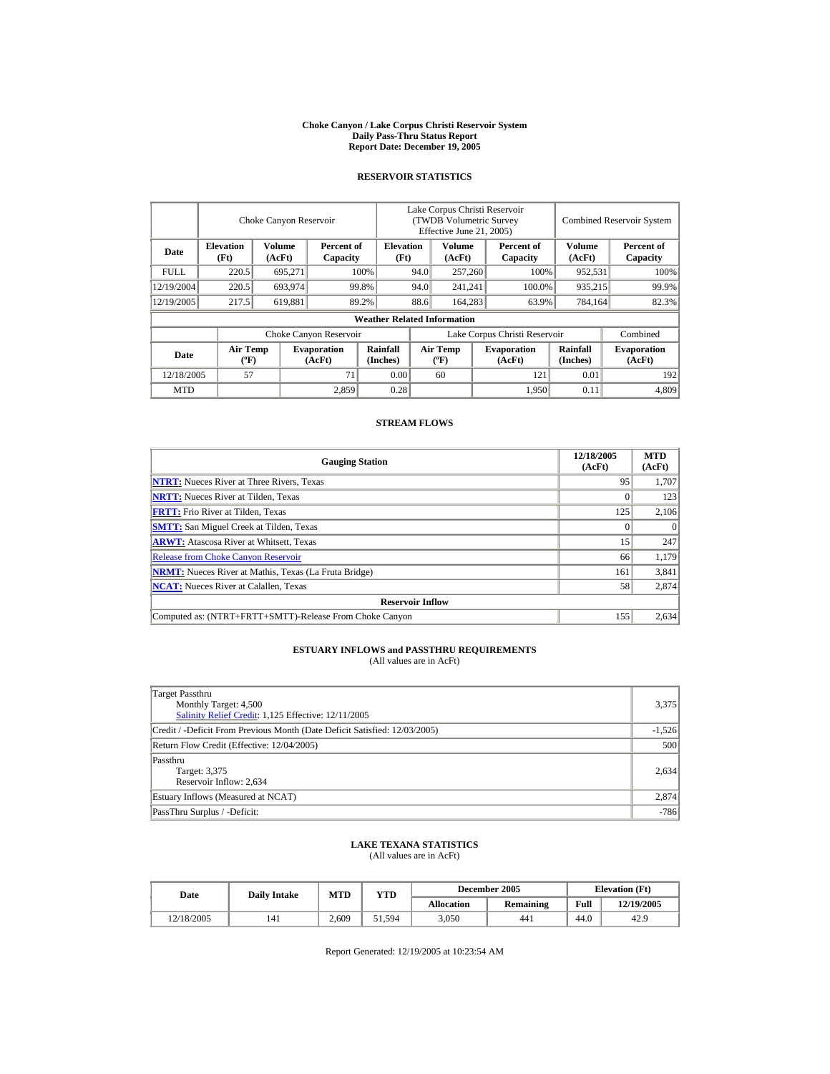#### **Choke Canyon / Lake Corpus Christi Reservoir System Daily Pass-Thru Status Report Report Date: December 19, 2005**

## **RESERVOIR STATISTICS**

|            |                                             | Choke Canyon Reservoir |                              |                                    | Lake Corpus Christi Reservoir<br>(TWDB Volumetric Survey<br>Effective June 21, 2005) |                                  |  |                              | <b>Combined Reservoir System</b> |                              |
|------------|---------------------------------------------|------------------------|------------------------------|------------------------------------|--------------------------------------------------------------------------------------|----------------------------------|--|------------------------------|----------------------------------|------------------------------|
| Date       | <b>Elevation</b><br>(Ft)                    | Volume<br>(AcFt)       | Percent of<br>Capacity       | <b>Elevation</b><br>(Ft)           |                                                                                      | Volume<br>(AcFt)                 |  | Percent of<br>Capacity       | Volume<br>(AcFt)                 | Percent of<br>Capacity       |
| FULL.      | 220.5                                       | 695,271                |                              | 100%                               | 94.0                                                                                 | 257,260                          |  | 100%                         | 952,531                          | 100%                         |
| 12/19/2004 | 220.5                                       | 693,974                |                              | 99.8%                              | 94.0                                                                                 | 241,241                          |  | 100.0%                       | 935,215                          | 99.9%                        |
| 12/19/2005 | 217.5                                       | 619,881                |                              | 89.2%                              | 88.6                                                                                 | 164,283                          |  | 63.9%                        | 784,164                          | 82.3%                        |
|            |                                             |                        |                              | <b>Weather Related Information</b> |                                                                                      |                                  |  |                              |                                  |                              |
|            |                                             |                        | Choke Canyon Reservoir       |                                    | Lake Corpus Christi Reservoir                                                        |                                  |  |                              |                                  | Combined                     |
| Date       | <b>Air Temp</b><br>$({}^{\circ}\mathrm{F})$ |                        | <b>Evaporation</b><br>(AcFt) | Rainfall<br>(Inches)               |                                                                                      | <b>Air Temp</b><br>$(^{\circ}F)$ |  | <b>Evaporation</b><br>(AcFt) | Rainfall<br>(Inches)             | <b>Evaporation</b><br>(AcFt) |
| 12/18/2005 | 57                                          |                        | 71                           | 0.00                               |                                                                                      | 60                               |  | 121                          | 0.01                             | 192                          |
| <b>MTD</b> |                                             |                        | 2,859                        | 0.28                               |                                                                                      |                                  |  | 1.950                        | 0.11                             | 4,809                        |

## **STREAM FLOWS**

| <b>Gauging Station</b>                                       | 12/18/2005<br>(AcFt) | <b>MTD</b><br>(AcFt) |
|--------------------------------------------------------------|----------------------|----------------------|
| <b>NTRT:</b> Nueces River at Three Rivers, Texas             | 95                   | 1,707                |
| <b>NRTT:</b> Nueces River at Tilden, Texas                   |                      | 123                  |
| <b>FRTT:</b> Frio River at Tilden, Texas                     | 125                  | 2,106                |
| <b>SMTT:</b> San Miguel Creek at Tilden, Texas               |                      | $\Omega$             |
| <b>ARWT:</b> Atascosa River at Whitsett, Texas               | 15                   | 247                  |
| <b>Release from Choke Canyon Reservoir</b>                   | 66                   | 1,179                |
| <b>NRMT:</b> Nueces River at Mathis, Texas (La Fruta Bridge) | 161                  | 3,841                |
| <b>NCAT:</b> Nueces River at Calallen, Texas                 | 58                   | 2,874                |
| <b>Reservoir Inflow</b>                                      |                      |                      |
| Computed as: (NTRT+FRTT+SMTT)-Release From Choke Canyon      | 155                  | 2.634                |

# **ESTUARY INFLOWS and PASSTHRU REQUIREMENTS**<br>(All values are in AcFt)

| Target Passthru<br>Monthly Target: 4,500<br>Salinity Relief Credit: 1,125 Effective: 12/11/2005 | 3,375    |
|-------------------------------------------------------------------------------------------------|----------|
| Credit / -Deficit From Previous Month (Date Deficit Satisfied: 12/03/2005)                      | $-1,526$ |
| Return Flow Credit (Effective: 12/04/2005)                                                      | 500      |
| Passthru<br>Target: 3,375<br>Reservoir Inflow: 2,634                                            | 2.634    |
| Estuary Inflows (Measured at NCAT)                                                              | 2,874    |
| PassThru Surplus / -Deficit:                                                                    | $-786$   |

## **LAKE TEXANA STATISTICS**

(All values are in AcFt)

| Date       | <b>Daily Intake</b> | <b>MTD</b>   | VTD    |                   | December 2005    |      | <b>Elevation</b> (Ft) |
|------------|---------------------|--------------|--------|-------------------|------------------|------|-----------------------|
|            |                     |              |        | <b>Allocation</b> | <b>Remaining</b> | Full | 12/19/2005            |
| 12/18/2005 | 141                 | $\angle 609$ | 51.594 | 3,050             | 441              | 44.0 | 42.9                  |

Report Generated: 12/19/2005 at 10:23:54 AM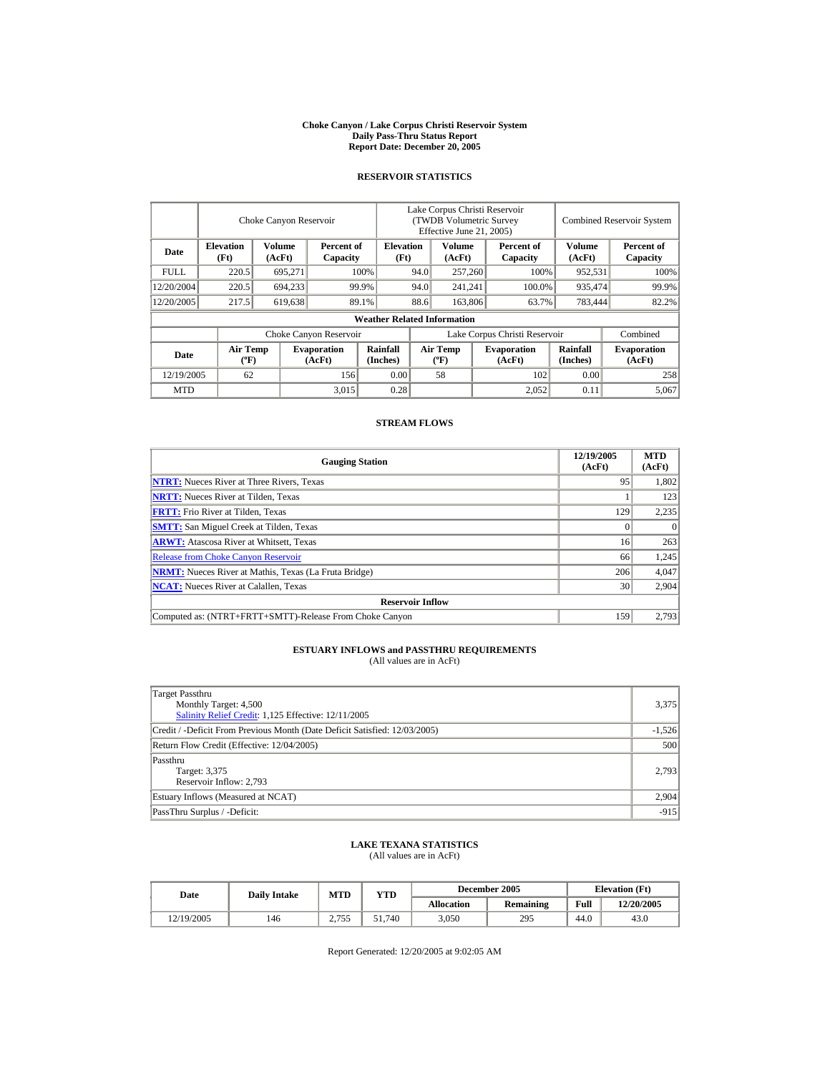#### **Choke Canyon / Lake Corpus Christi Reservoir System Daily Pass-Thru Status Report Report Date: December 20, 2005**

## **RESERVOIR STATISTICS**

|            |                                             | Choke Canyon Reservoir |                              |                                    |      | Lake Corpus Christi Reservoir<br>(TWDB Volumetric Survey<br>Effective June 21, 2005) |        |                               |                      | <b>Combined Reservoir System</b> |
|------------|---------------------------------------------|------------------------|------------------------------|------------------------------------|------|--------------------------------------------------------------------------------------|--------|-------------------------------|----------------------|----------------------------------|
| Date       | <b>Elevation</b><br>(Ft)                    | Volume<br>(AcFt)       | Percent of<br>Capacity       | <b>Elevation</b><br>(Ft)           |      | Volume<br>(AcFt)                                                                     |        | Percent of<br>Capacity        | Volume<br>(AcFt)     | Percent of<br>Capacity           |
| FULL.      | 220.5                                       | 695,271                |                              | 100%                               | 94.0 | 257,260                                                                              |        | 100%                          | 952,531              | 100%                             |
| 12/20/2004 | 220.5                                       | 694,233                |                              | 99.9%                              | 94.0 | 241,241                                                                              | 100.0% |                               | 935,474              | 99.9%                            |
| 12/20/2005 | 217.5                                       | 619,638                |                              | 89.1%                              | 88.6 | 163,806                                                                              |        | 63.7%                         | 783,444              | 82.2%                            |
|            |                                             |                        |                              | <b>Weather Related Information</b> |      |                                                                                      |        |                               |                      |                                  |
|            |                                             |                        | Choke Canyon Reservoir       |                                    |      |                                                                                      |        | Lake Corpus Christi Reservoir |                      | Combined                         |
| Date       | <b>Air Temp</b><br>$({}^{\circ}\mathrm{F})$ |                        | <b>Evaporation</b><br>(AcFt) | Rainfall<br>(Inches)               |      | <b>Air Temp</b><br>$(^{\circ}F)$                                                     |        | <b>Evaporation</b><br>(AcFt)  | Rainfall<br>(Inches) | <b>Evaporation</b><br>(AcFt)     |
| 12/19/2005 | 62                                          |                        | 156                          | 0.00                               |      | 58                                                                                   |        | 102                           | 0.00                 | 258                              |
| <b>MTD</b> |                                             |                        | 3,015                        | 0.28                               |      |                                                                                      |        | 2.052                         | 0.11                 | 5.067                            |

## **STREAM FLOWS**

| <b>Gauging Station</b>                                       | 12/19/2005<br>(AcFt) | <b>MTD</b><br>(AcFt) |  |  |  |  |  |
|--------------------------------------------------------------|----------------------|----------------------|--|--|--|--|--|
| <b>NTRT:</b> Nueces River at Three Rivers, Texas             | 95                   | 1,802                |  |  |  |  |  |
| <b>NRTT:</b> Nueces River at Tilden, Texas                   |                      | 123                  |  |  |  |  |  |
| <b>FRTT:</b> Frio River at Tilden, Texas                     | 129                  | 2,235                |  |  |  |  |  |
| <b>SMTT:</b> San Miguel Creek at Tilden, Texas               |                      | $\theta$             |  |  |  |  |  |
| <b>ARWT:</b> Atascosa River at Whitsett, Texas               | 16                   | 263                  |  |  |  |  |  |
| <b>Release from Choke Canyon Reservoir</b>                   | 66                   | 1,245                |  |  |  |  |  |
| <b>NRMT:</b> Nueces River at Mathis, Texas (La Fruta Bridge) | 206                  | 4,047                |  |  |  |  |  |
| <b>NCAT:</b> Nueces River at Calallen, Texas                 | 30                   | 2,904                |  |  |  |  |  |
| <b>Reservoir Inflow</b>                                      |                      |                      |  |  |  |  |  |
| Computed as: (NTRT+FRTT+SMTT)-Release From Choke Canyon      | 159                  | 2.793                |  |  |  |  |  |

# **ESTUARY INFLOWS and PASSTHRU REQUIREMENTS**<br>(All values are in AcFt)

| Target Passthru<br>Monthly Target: 4,500<br>Salinity Relief Credit: 1,125 Effective: 12/11/2005 | 3,375    |
|-------------------------------------------------------------------------------------------------|----------|
| Credit / -Deficit From Previous Month (Date Deficit Satisfied: 12/03/2005)                      | $-1,526$ |
| Return Flow Credit (Effective: 12/04/2005)                                                      | 500      |
| Passthru<br>Target: 3,375<br>Reservoir Inflow: 2,793                                            | 2.793    |
| Estuary Inflows (Measured at NCAT)                                                              | 2,904    |
| PassThru Surplus / -Deficit:                                                                    | $-915$   |

## **LAKE TEXANA STATISTICS**

(All values are in AcFt)

| Date       | <b>Daily Intake</b> | <b>MTD</b>    | VTD    |                   | December 2005    | <b>Elevation</b> (Ft) |            |
|------------|---------------------|---------------|--------|-------------------|------------------|-----------------------|------------|
|            |                     |               |        | <b>Allocation</b> | <b>Remaining</b> | Full                  | 12/20/2005 |
| 12/19/2005 | 146                 | 2755<br>2.IJJ | 51.740 | 3,050             | 295              | 44.0                  | 43.0       |

Report Generated: 12/20/2005 at 9:02:05 AM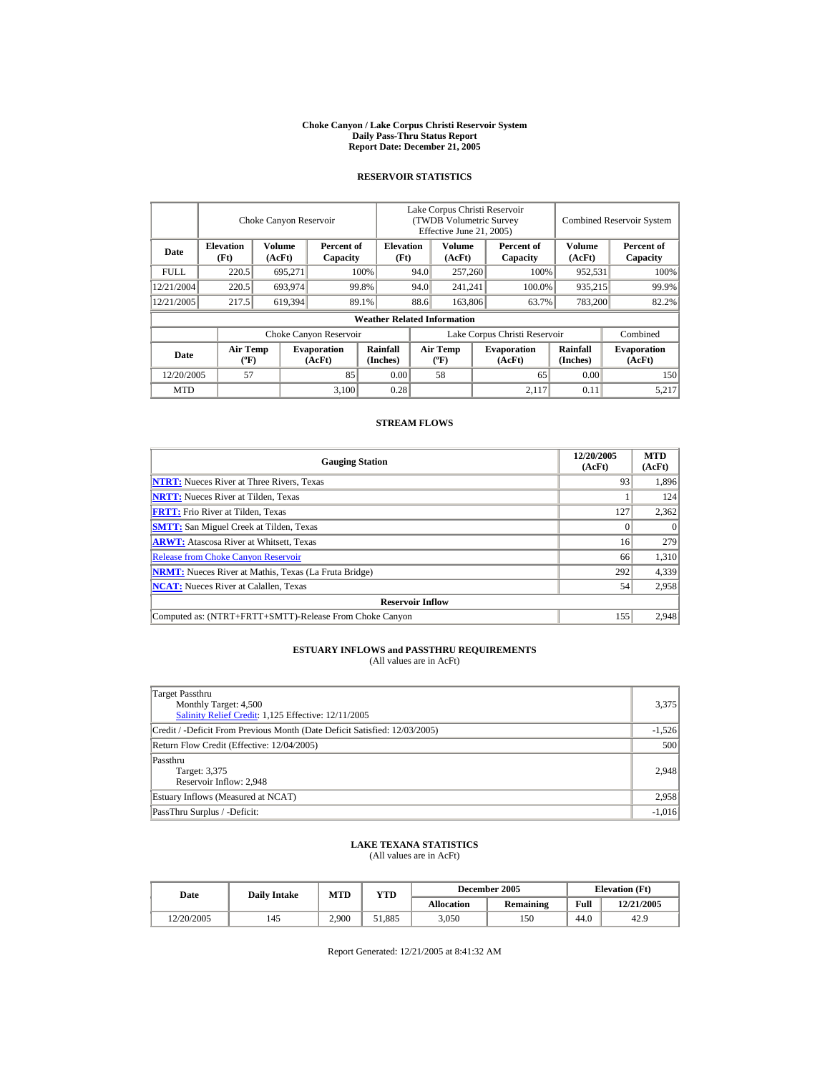#### **Choke Canyon / Lake Corpus Christi Reservoir System Daily Pass-Thru Status Report Report Date: December 21, 2005**

## **RESERVOIR STATISTICS**

|             |                                       | Choke Canyon Reservoir |                              |                                    | Lake Corpus Christi Reservoir<br>(TWDB Volumetric Survey<br>Effective June 21, 2005) |                           |  |                              |                      | <b>Combined Reservoir System</b> |
|-------------|---------------------------------------|------------------------|------------------------------|------------------------------------|--------------------------------------------------------------------------------------|---------------------------|--|------------------------------|----------------------|----------------------------------|
| Date        | <b>Elevation</b><br>(Ft)              | Volume<br>(AcFt)       | Percent of<br>Capacity       | <b>Elevation</b><br>(Ft)           |                                                                                      | Volume<br>(AcFt)          |  | Percent of<br>Capacity       | Volume<br>(AcFt)     | Percent of<br>Capacity           |
| <b>FULL</b> | 220.5                                 | 695,271                |                              | 100%                               | 94.0                                                                                 | 257,260                   |  | 100%                         | 952,531              | 100%                             |
| 12/21/2004  | 220.5                                 | 693,974                |                              | 99.8%                              | 94.0                                                                                 | 241,241                   |  | 100.0%                       | 935,215              | 99.9%                            |
| 12/21/2005  | 217.5                                 | 619,394                |                              | 89.1%                              | 88.6                                                                                 | 163,806                   |  | 63.7%                        | 783,200              | 82.2%                            |
|             |                                       |                        |                              | <b>Weather Related Information</b> |                                                                                      |                           |  |                              |                      |                                  |
|             |                                       |                        | Choke Canyon Reservoir       |                                    | Lake Corpus Christi Reservoir                                                        |                           |  |                              |                      | Combined                         |
| Date        | <b>Air Temp</b><br>$({}^o\mathrm{F})$ |                        | <b>Evaporation</b><br>(AcFt) | <b>Rainfall</b><br>(Inches)        |                                                                                      | Air Temp<br>$(^{\circ}F)$ |  | <b>Evaporation</b><br>(AcFt) | Rainfall<br>(Inches) | <b>Evaporation</b><br>(AcFt)     |
| 12/20/2005  | 57                                    |                        | 85                           | 0.00                               |                                                                                      | 58                        |  | 65                           | 0.00                 | 150                              |
| <b>MTD</b>  |                                       |                        | 3,100                        | 0.28                               |                                                                                      |                           |  | 2,117                        | 0.11                 | 5.217                            |

## **STREAM FLOWS**

| <b>Gauging Station</b>                                       | 12/20/2005<br>(AcFt) | <b>MTD</b><br>(AcFt) |
|--------------------------------------------------------------|----------------------|----------------------|
| <b>NTRT:</b> Nueces River at Three Rivers, Texas             | 93                   | 1,896                |
| <b>NRTT:</b> Nueces River at Tilden, Texas                   |                      | 124                  |
| <b>FRTT:</b> Frio River at Tilden, Texas                     | 127                  | 2,362                |
| <b>SMTT:</b> San Miguel Creek at Tilden, Texas               |                      | $\Omega$             |
| <b>ARWT:</b> Atascosa River at Whitsett, Texas               | 16                   | 279                  |
| <b>Release from Choke Canyon Reservoir</b>                   | 66                   | 1,310                |
| <b>NRMT:</b> Nueces River at Mathis, Texas (La Fruta Bridge) | 292                  | 4,339                |
| <b>NCAT:</b> Nueces River at Calallen, Texas                 | 54                   | 2,958                |
| <b>Reservoir Inflow</b>                                      |                      |                      |
| Computed as: (NTRT+FRTT+SMTT)-Release From Choke Canyon      | 155                  | 2,948                |

# **ESTUARY INFLOWS and PASSTHRU REQUIREMENTS**<br>(All values are in AcFt)

| Target Passthru<br>Monthly Target: 4,500<br>Salinity Relief Credit: 1,125 Effective: 12/11/2005 | 3,375    |
|-------------------------------------------------------------------------------------------------|----------|
| Credit / -Deficit From Previous Month (Date Deficit Satisfied: 12/03/2005)                      | $-1,526$ |
| Return Flow Credit (Effective: 12/04/2005)                                                      | 500      |
| Passthru<br>Target: 3,375<br>Reservoir Inflow: 2,948                                            | 2,948    |
| Estuary Inflows (Measured at NCAT)                                                              | 2,958    |
| PassThru Surplus / -Deficit:                                                                    | $-1,016$ |

## **LAKE TEXANA STATISTICS**

(All values are in AcFt)

| Date       | <b>Daily Intake</b> | <b>MTD</b> | YTD    |                   | December 2005    | <b>Elevation</b> (Ft) |            |
|------------|---------------------|------------|--------|-------------------|------------------|-----------------------|------------|
|            |                     |            |        | <b>Allocation</b> | <b>Remaining</b> | Full                  | 12/21/2005 |
| 12/20/2005 | 145                 | 2.900      | 51.885 | 3.050             | 150              | 44.0                  | 42.9       |

Report Generated: 12/21/2005 at 8:41:32 AM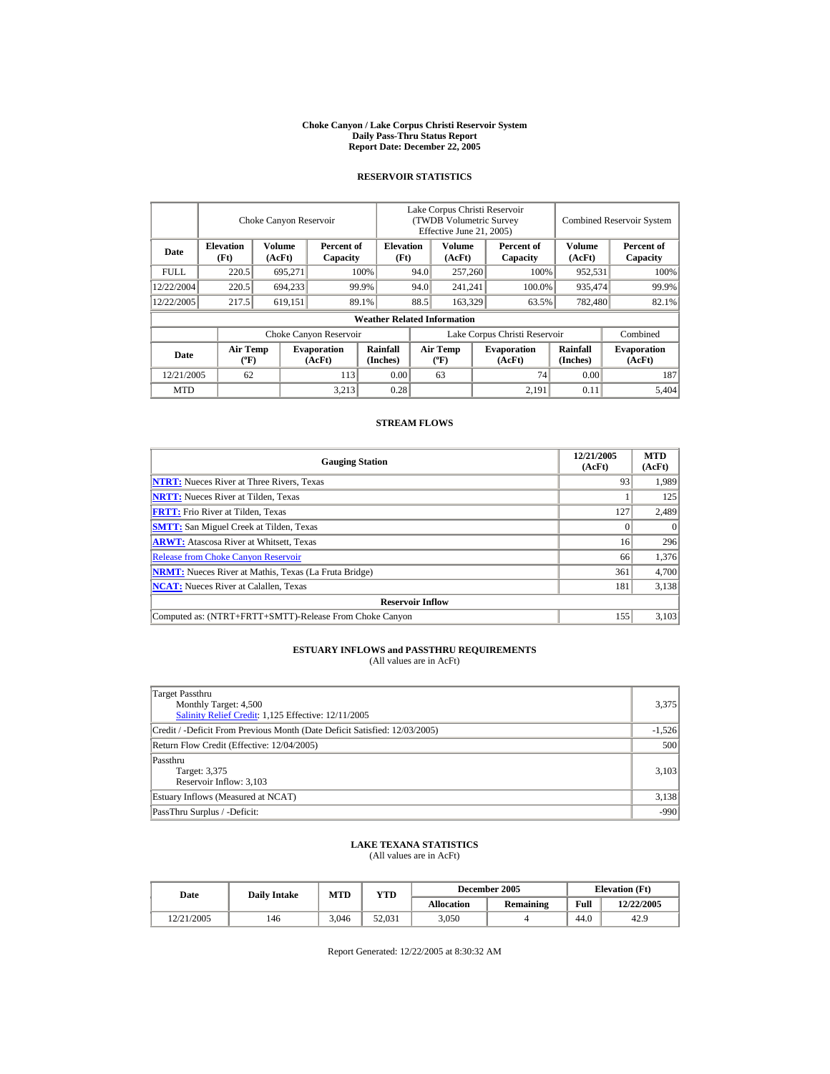#### **Choke Canyon / Lake Corpus Christi Reservoir System Daily Pass-Thru Status Report Report Date: December 22, 2005**

## **RESERVOIR STATISTICS**

|                         | Choke Canyon Reservoir                      |                  |                              |                                    | Lake Corpus Christi Reservoir<br>(TWDB Volumetric Survey<br>Effective June 21, 2005) |                                  |                  |                              |                      | <b>Combined Reservoir System</b> |
|-------------------------|---------------------------------------------|------------------|------------------------------|------------------------------------|--------------------------------------------------------------------------------------|----------------------------------|------------------|------------------------------|----------------------|----------------------------------|
| Date                    | <b>Elevation</b><br>(Ft)                    | Volume<br>(AcFt) | Percent of<br>Capacity       | <b>Elevation</b><br>(Ft)           | Volume<br>Percent of<br>(AcFt)<br>Capacity                                           |                                  | Volume<br>(AcFt) | Percent of<br>Capacity       |                      |                                  |
| <b>FULL</b>             | 220.5                                       | 695,271          |                              | 100%                               | 94.0<br>257,260                                                                      |                                  |                  | 100%                         | 952,531              | 100%                             |
| 12/22/2004              | 220.5                                       | 694,233          |                              | 94.0<br>99.9%                      |                                                                                      | 241,241                          |                  | 100.0%                       | 935,474              | 99.9%                            |
| 12/22/2005              | 217.5                                       | 619,151          |                              | 89.1%                              | 88.5                                                                                 | 163,329                          |                  | 63.5%                        | 782,480              | 82.1%                            |
|                         |                                             |                  |                              | <b>Weather Related Information</b> |                                                                                      |                                  |                  |                              |                      |                                  |
|                         |                                             |                  | Choke Canyon Reservoir       |                                    | Lake Corpus Christi Reservoir                                                        |                                  |                  |                              | Combined             |                                  |
| Date                    | <b>Air Temp</b><br>$({}^{\circ}\mathrm{F})$ |                  | <b>Evaporation</b><br>(AcFt) | Rainfall<br>(Inches)               |                                                                                      | <b>Air Temp</b><br>$(^{\circ}F)$ |                  | <b>Evaporation</b><br>(AcFt) | Rainfall<br>(Inches) | <b>Evaporation</b><br>(AcFt)     |
| 12/21/2005<br>62<br>113 |                                             | 0.00             |                              | 63                                 |                                                                                      | 74                               | 0.00             | 187                          |                      |                                  |
| <b>MTD</b>              |                                             |                  | 3.213                        | 0.28                               |                                                                                      |                                  |                  | 2,191                        | 0.11                 | 5.404                            |

### **STREAM FLOWS**

| <b>Gauging Station</b>                                       | 12/21/2005<br>(AcFt) | <b>MTD</b><br>(AcFt) |
|--------------------------------------------------------------|----------------------|----------------------|
| <b>NTRT:</b> Nueces River at Three Rivers, Texas             | 93                   | 1,989                |
| <b>NRTT:</b> Nueces River at Tilden, Texas                   |                      | 125                  |
| <b>FRTT:</b> Frio River at Tilden, Texas                     | 127                  | 2,489                |
| <b>SMTT:</b> San Miguel Creek at Tilden, Texas               |                      | $\Omega$             |
| <b>ARWT:</b> Atascosa River at Whitsett, Texas               | 16                   | 296                  |
| <b>Release from Choke Canyon Reservoir</b>                   | 66                   | 1,376                |
| <b>NRMT:</b> Nueces River at Mathis, Texas (La Fruta Bridge) | 361                  | 4,700                |
| <b>NCAT:</b> Nueces River at Calallen, Texas                 | 181                  | 3,138                |
| <b>Reservoir Inflow</b>                                      |                      |                      |
| Computed as: (NTRT+FRTT+SMTT)-Release From Choke Canyon      | 155                  | 3.103                |

# **ESTUARY INFLOWS and PASSTHRU REQUIREMENTS**<br>(All values are in AcFt)

| Target Passthru<br>Monthly Target: 4,500<br>Salinity Relief Credit: 1,125 Effective: 12/11/2005 | 3,375    |
|-------------------------------------------------------------------------------------------------|----------|
| Credit / -Deficit From Previous Month (Date Deficit Satisfied: 12/03/2005)                      | $-1,526$ |
| Return Flow Credit (Effective: 12/04/2005)                                                      | 500      |
| Passthru<br>Target: 3,375<br>Reservoir Inflow: 3,103                                            | 3,103    |
| Estuary Inflows (Measured at NCAT)                                                              | 3,138    |
| PassThru Surplus / -Deficit:                                                                    | $-990$   |

## **LAKE TEXANA STATISTICS**

(All values are in AcFt)

| <b>Date</b> | <b>Daily Intake</b> | <b>MTD</b> | <b>YTD</b> |            | December 2005    | <b>Elevation</b> (Ft) |            |
|-------------|---------------------|------------|------------|------------|------------------|-----------------------|------------|
|             |                     |            |            | Allocation | <b>Remaining</b> | Full                  | 12/22/2005 |
| 12/21/2005  | 146                 | 3.046      | 52,031     | 3.050      |                  | 44.0                  | 42.9       |

Report Generated: 12/22/2005 at 8:30:32 AM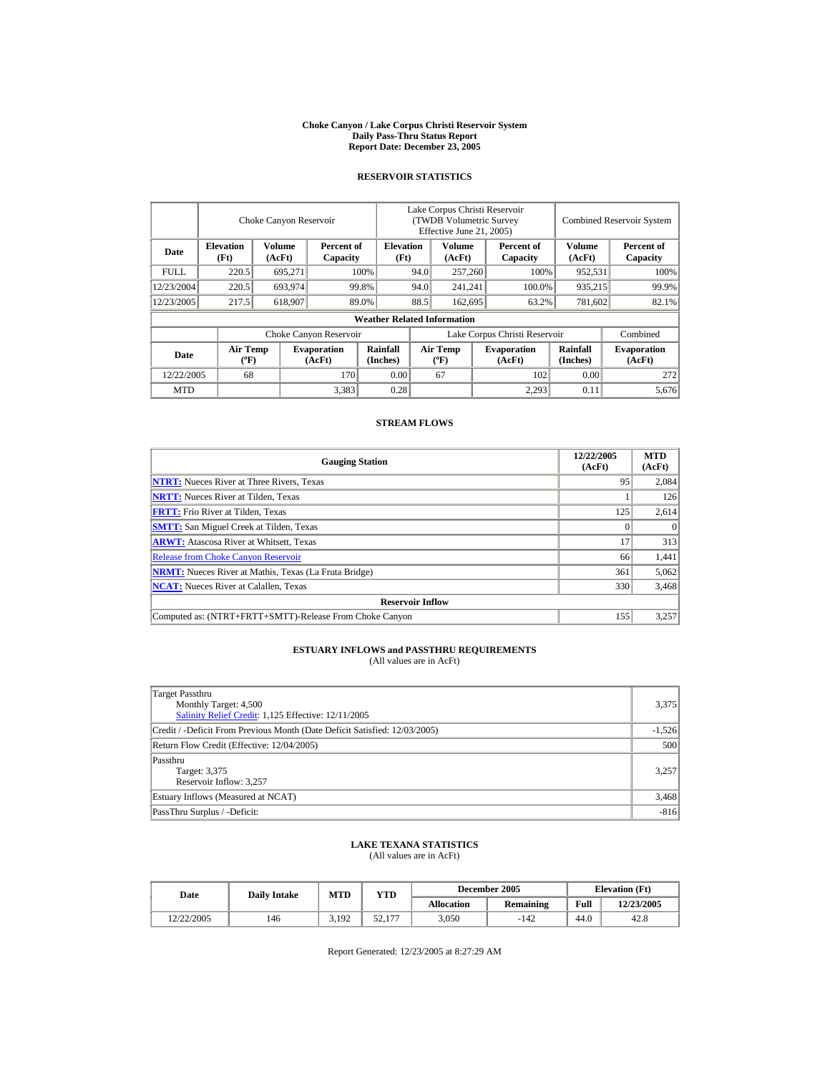#### **Choke Canyon / Lake Corpus Christi Reservoir System Daily Pass-Thru Status Report Report Date: December 23, 2005**

## **RESERVOIR STATISTICS**

|                         | Choke Canyon Reservoir      |                  |                              |                                    | Lake Corpus Christi Reservoir<br>(TWDB Volumetric Survey<br>Effective June 21, 2005) |                                      |         |                              |                      | <b>Combined Reservoir System</b> |
|-------------------------|-----------------------------|------------------|------------------------------|------------------------------------|--------------------------------------------------------------------------------------|--------------------------------------|---------|------------------------------|----------------------|----------------------------------|
| Date                    | <b>Elevation</b><br>(Ft)    | Volume<br>(AcFt) | Percent of<br>Capacity       | <b>Elevation</b><br>(Ft)           |                                                                                      | Volume<br>(AcFt)                     |         | Percent of<br>Capacity       | Volume<br>(AcFt)     | Percent of<br>Capacity           |
| FULL.                   | 220.5                       | 695,271          |                              | 100%                               | 94.0                                                                                 |                                      | 257,260 | 100%                         | 952,531              | 100%                             |
| 12/23/2004              | 220.5                       | 693,974          |                              | 99.8%                              | 94.0                                                                                 | 241,241                              |         | 100.0%                       | 935,215              | 99.9%                            |
| 12/23/2005              | 217.5                       | 618,907          |                              | 89.0%                              | 88.5                                                                                 | 162,695                              |         | 63.2%                        | 781,602              | 82.1%                            |
|                         |                             |                  |                              | <b>Weather Related Information</b> |                                                                                      |                                      |         |                              |                      |                                  |
|                         |                             |                  | Choke Canyon Reservoir       |                                    | Lake Corpus Christi Reservoir                                                        |                                      |         |                              |                      | Combined                         |
| Date                    | Air Temp<br>$({}^{\circ}F)$ |                  | <b>Evaporation</b><br>(AcFt) | <b>Rainfall</b><br>(Inches)        |                                                                                      | Air Temp<br>$({}^{\circ}\mathrm{F})$ |         | <b>Evaporation</b><br>(AcFt) | Rainfall<br>(Inches) | <b>Evaporation</b><br>(AcFt)     |
| 68<br>12/22/2005<br>170 |                             | 0.00             |                              | 67                                 |                                                                                      | 102                                  | 0.00    | 272                          |                      |                                  |
| <b>MTD</b>              |                             |                  | 3,383                        | 0.28                               |                                                                                      |                                      |         | 2,293                        | 0.11                 | 5.676                            |

## **STREAM FLOWS**

| <b>Gauging Station</b>                                       | 12/22/2005<br>(AcFt) | <b>MTD</b><br>(AcFt) |
|--------------------------------------------------------------|----------------------|----------------------|
| <b>NTRT:</b> Nueces River at Three Rivers, Texas             | 95                   | 2,084                |
| <b>NRTT:</b> Nueces River at Tilden, Texas                   |                      | 126                  |
| <b>FRTT:</b> Frio River at Tilden, Texas                     | 125                  | 2,614                |
| <b>SMTT:</b> San Miguel Creek at Tilden, Texas               |                      | $\Omega$             |
| <b>ARWT:</b> Atascosa River at Whitsett, Texas               | 17                   | 313                  |
| <b>Release from Choke Canyon Reservoir</b>                   | 66                   | 1,441                |
| <b>NRMT:</b> Nueces River at Mathis, Texas (La Fruta Bridge) | 361                  | 5,062                |
| <b>NCAT:</b> Nueces River at Calallen, Texas                 | 330                  | 3,468                |
| <b>Reservoir Inflow</b>                                      |                      |                      |
| Computed as: (NTRT+FRTT+SMTT)-Release From Choke Canyon      | 155                  | 3,257                |

# **ESTUARY INFLOWS and PASSTHRU REQUIREMENTS**<br>(All values are in AcFt)

| Target Passthru<br>Monthly Target: 4,500<br>Salinity Relief Credit: 1,125 Effective: 12/11/2005 | 3,375    |
|-------------------------------------------------------------------------------------------------|----------|
| Credit / -Deficit From Previous Month (Date Deficit Satisfied: 12/03/2005)                      | $-1,526$ |
| Return Flow Credit (Effective: 12/04/2005)                                                      | 500      |
| Passthru<br>Target: 3,375<br>Reservoir Inflow: 3,257                                            | 3.257    |
| Estuary Inflows (Measured at NCAT)                                                              | 3,468    |
| PassThru Surplus / -Deficit:                                                                    | $-816$   |

## **LAKE TEXANA STATISTICS**

(All values are in AcFt)

| Date       | <b>Daily Intake</b> | <b>MTD</b> | VTD                |            | December 2005    | <b>Elevation</b> (Ft) |            |
|------------|---------------------|------------|--------------------|------------|------------------|-----------------------|------------|
|            |                     |            |                    | Allocation | <b>Remaining</b> | Full                  | 12/23/2005 |
| 12/22/2005 | 146                 | 3.192      | 177<br>52<br>JL.II | 3,050      | $-142$           | 44.0                  | 42.8       |

Report Generated: 12/23/2005 at 8:27:29 AM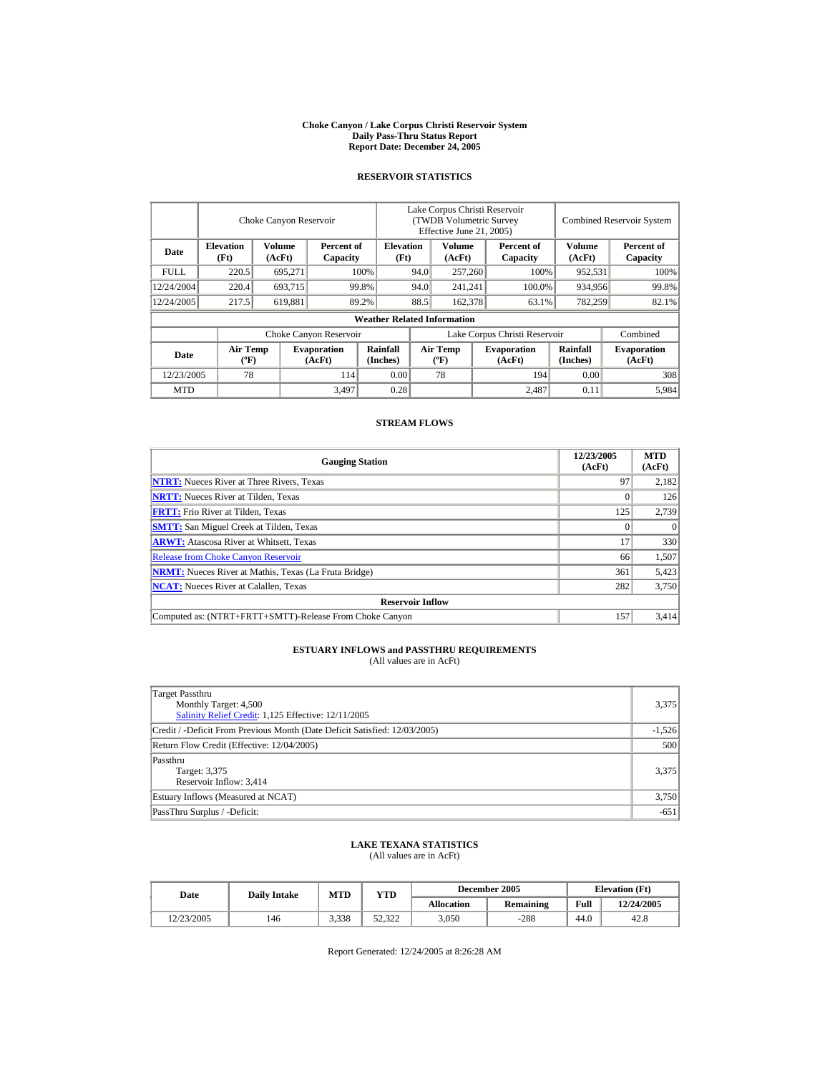#### **Choke Canyon / Lake Corpus Christi Reservoir System Daily Pass-Thru Status Report Report Date: December 24, 2005**

## **RESERVOIR STATISTICS**

|                         | Choke Canyon Reservoir                      |                  |                              |                                    | Lake Corpus Christi Reservoir<br>(TWDB Volumetric Survey<br>Effective June 21, 2005) |                                  |         |                              |                             | <b>Combined Reservoir System</b> |
|-------------------------|---------------------------------------------|------------------|------------------------------|------------------------------------|--------------------------------------------------------------------------------------|----------------------------------|---------|------------------------------|-----------------------------|----------------------------------|
| Date                    | <b>Elevation</b><br>(Ft)                    | Volume<br>(AcFt) | Percent of<br>Capacity       | <b>Elevation</b><br>(Ft)           |                                                                                      | Volume<br>(AcFt)                 |         | Percent of<br>Capacity       | Volume<br>(AcFt)            | Percent of<br>Capacity           |
| <b>FULL</b>             | 220.5                                       | 695,271          |                              | 100%                               | 94.0                                                                                 |                                  | 257,260 | 100%                         | 952,531                     | 100%                             |
| 12/24/2004              | 220.4                                       | 693,715          |                              | 94.0<br>99.8%                      |                                                                                      | 241,241                          |         | 100.0%                       | 934,956                     | 99.8%                            |
| 12/24/2005              | 217.5                                       | 619,881          |                              | 89.2%                              | 88.5                                                                                 | 162,378                          |         | 63.1%                        | 782,259                     | 82.1%                            |
|                         |                                             |                  |                              | <b>Weather Related Information</b> |                                                                                      |                                  |         |                              |                             |                                  |
|                         |                                             |                  | Choke Canyon Reservoir       |                                    | Lake Corpus Christi Reservoir                                                        |                                  |         |                              | Combined                    |                                  |
| Date                    | <b>Air Temp</b><br>$({}^{\circ}\mathrm{F})$ |                  | <b>Evaporation</b><br>(AcFt) | Rainfall<br>(Inches)               |                                                                                      | <b>Air Temp</b><br>$(^{\circ}F)$ |         | <b>Evaporation</b><br>(AcFt) | <b>Rainfall</b><br>(Inches) | <b>Evaporation</b><br>(AcFt)     |
| 78<br>12/23/2005<br>114 |                                             | 0.00             |                              | 78                                 |                                                                                      | 194                              | 0.00    | 308                          |                             |                                  |
| <b>MTD</b>              |                                             |                  | 3,497                        | 0.28                               |                                                                                      |                                  |         | 2.487                        | 0.11                        | 5,984                            |

## **STREAM FLOWS**

| <b>Gauging Station</b>                                       | 12/23/2005<br>(AcFt) | <b>MTD</b><br>(AcFt) |
|--------------------------------------------------------------|----------------------|----------------------|
| <b>NTRT:</b> Nueces River at Three Rivers, Texas             | 97                   | 2,182                |
| <b>NRTT:</b> Nueces River at Tilden, Texas                   |                      | 126                  |
| <b>FRTT:</b> Frio River at Tilden, Texas                     | 125                  | 2,739                |
| <b>SMTT:</b> San Miguel Creek at Tilden, Texas               |                      | $\Omega$             |
| <b>ARWT:</b> Atascosa River at Whitsett, Texas               | 17                   | 330                  |
| <b>Release from Choke Canyon Reservoir</b>                   | 66                   | 1,507                |
| <b>NRMT:</b> Nueces River at Mathis, Texas (La Fruta Bridge) | 361                  | 5,423                |
| <b>NCAT:</b> Nueces River at Calallen, Texas                 | 282                  | 3,750                |
| <b>Reservoir Inflow</b>                                      |                      |                      |
| Computed as: (NTRT+FRTT+SMTT)-Release From Choke Canyon      | 157                  | 3.414                |

# **ESTUARY INFLOWS and PASSTHRU REQUIREMENTS**<br>(All values are in AcFt)

| Target Passthru<br>Monthly Target: 4,500<br>Salinity Relief Credit: 1,125 Effective: 12/11/2005 | 3,375    |
|-------------------------------------------------------------------------------------------------|----------|
| Credit / -Deficit From Previous Month (Date Deficit Satisfied: 12/03/2005)                      | $-1,526$ |
| Return Flow Credit (Effective: 12/04/2005)                                                      | 500      |
| Passthru<br>Target: 3,375<br>Reservoir Inflow: 3,414                                            | 3,375    |
| Estuary Inflows (Measured at NCAT)                                                              | 3,750    |
| PassThru Surplus / -Deficit:                                                                    | $-651$   |

## **LAKE TEXANA STATISTICS**

(All values are in AcFt)

| Date       | <b>Daily Intake</b> | <b>MTD</b> | YTD    |                   | December 2005    | <b>Elevation</b> (Ft) |            |
|------------|---------------------|------------|--------|-------------------|------------------|-----------------------|------------|
|            |                     |            |        | <b>Allocation</b> | <b>Remaining</b> | Full                  | 12/24/2005 |
| 12/23/2005 | 146                 | 3.338      | 52.322 | 3.050             | $-288$           | 44.0                  | 42.8       |

Report Generated: 12/24/2005 at 8:26:28 AM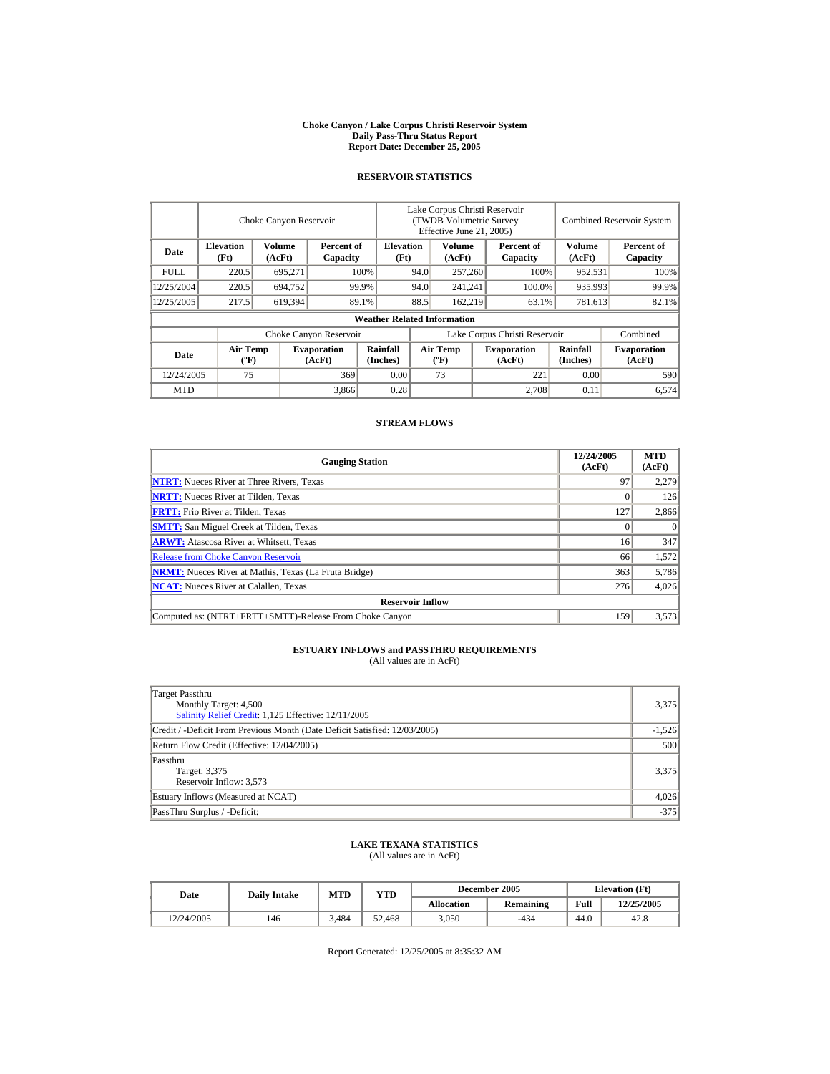#### **Choke Canyon / Lake Corpus Christi Reservoir System Daily Pass-Thru Status Report Report Date: December 25, 2005**

## **RESERVOIR STATISTICS**

|             | Choke Canyon Reservoir         |                         |                              |                                    | Lake Corpus Christi Reservoir<br>(TWDB Volumetric Survey<br>Effective June 21, 2005) |                                |                  |                              | <b>Combined Reservoir System</b> |                              |  |
|-------------|--------------------------------|-------------------------|------------------------------|------------------------------------|--------------------------------------------------------------------------------------|--------------------------------|------------------|------------------------------|----------------------------------|------------------------------|--|
| Date        | <b>Elevation</b><br>(Ft)       | <b>Volume</b><br>(AcFt) | Percent of<br>Capacity       |                                    | Volume<br><b>Elevation</b><br>Percent of<br>(Ft)<br>(AcFt)<br>Capacity               |                                | Volume<br>(AcFt) | Percent of<br>Capacity       |                                  |                              |  |
| <b>FULL</b> | 220.5                          | 695,271                 |                              | 100%                               | 94.0                                                                                 | 257,260                        | 100%             |                              | 952,531                          | 100%                         |  |
| 12/25/2004  | 220.5                          | 694.752                 |                              | 99.9%                              | 94.0                                                                                 | 241.241                        |                  | 100.0%                       | 935,993                          | 99.9%                        |  |
| 12/25/2005  | 217.5                          | 619,394                 |                              | 89.1%                              | 88.5                                                                                 | 162,219                        |                  | 63.1%                        | 781,613                          | 82.1%                        |  |
|             |                                |                         |                              | <b>Weather Related Information</b> |                                                                                      |                                |                  |                              |                                  |                              |  |
|             |                                |                         | Choke Canyon Reservoir       |                                    | Lake Corpus Christi Reservoir                                                        |                                |                  |                              |                                  | Combined                     |  |
| Date        | Air Temp<br>$({}^o\mathbf{F})$ |                         | <b>Evaporation</b><br>(AcFt) | Rainfall<br>(Inches)               |                                                                                      | <b>Air Temp</b><br>$({}^o\!F)$ |                  | <b>Evaporation</b><br>(AcFt) | Rainfall<br>(Inches)             | <b>Evaporation</b><br>(AcFt) |  |
| 12/24/2005  | 75                             |                         | 369                          | 0.00                               |                                                                                      | 73                             |                  | 221                          | 0.00                             | 590                          |  |
| <b>MTD</b>  |                                |                         | 3,866                        | 0.28                               |                                                                                      |                                |                  | 2.708                        | 0.11                             | 6.574                        |  |

## **STREAM FLOWS**

| <b>Gauging Station</b>                                       | 12/24/2005<br>(AcFt) | <b>MTD</b><br>(AcFt) |
|--------------------------------------------------------------|----------------------|----------------------|
| <b>NTRT:</b> Nueces River at Three Rivers, Texas             | 97                   | 2,279                |
| <b>NRTT:</b> Nueces River at Tilden, Texas                   |                      | 126                  |
| <b>FRTT:</b> Frio River at Tilden, Texas                     | 127                  | 2,866                |
| <b>SMTT:</b> San Miguel Creek at Tilden, Texas               | 0                    | $^{(1)}$             |
| <b>ARWT:</b> Atascosa River at Whitsett, Texas               | 16                   | 347                  |
| <b>Release from Choke Canyon Reservoir</b>                   | 66                   | 1,572                |
| <b>NRMT:</b> Nueces River at Mathis, Texas (La Fruta Bridge) | 363                  | 5,786                |
| <b>NCAT:</b> Nueces River at Calallen, Texas                 | 276                  | 4,026                |
| <b>Reservoir Inflow</b>                                      |                      |                      |
| Computed as: (NTRT+FRTT+SMTT)-Release From Choke Canyon      | 159                  | 3,573                |

# **ESTUARY INFLOWS and PASSTHRU REQUIREMENTS**<br>(All values are in AcFt)

| Target Passthru<br>Monthly Target: 4,500<br>Salinity Relief Credit: 1,125 Effective: 12/11/2005 | 3,375    |
|-------------------------------------------------------------------------------------------------|----------|
| Credit / -Deficit From Previous Month (Date Deficit Satisfied: 12/03/2005)                      | $-1,526$ |
| Return Flow Credit (Effective: 12/04/2005)                                                      | 500      |
| Passthru<br>Target: 3,375<br>Reservoir Inflow: 3,573                                            | 3,375    |
| Estuary Inflows (Measured at NCAT)                                                              | 4,026    |
| PassThru Surplus / -Deficit:                                                                    | $-375$   |

## **LAKE TEXANA STATISTICS**

(All values are in AcFt)

| Date       | <b>Daily Intake</b> | <b>MTD</b> | VTD    |                   | December 2005    | <b>Elevation</b> (Ft) |            |
|------------|---------------------|------------|--------|-------------------|------------------|-----------------------|------------|
|            |                     |            |        | <b>Allocation</b> | <b>Remaining</b> | Full                  | 12/25/2005 |
| 12/24/2005 | 146                 | 3.484      | 52.468 | 3,050             | $-434$           | 44.0                  | 42.8       |

Report Generated: 12/25/2005 at 8:35:32 AM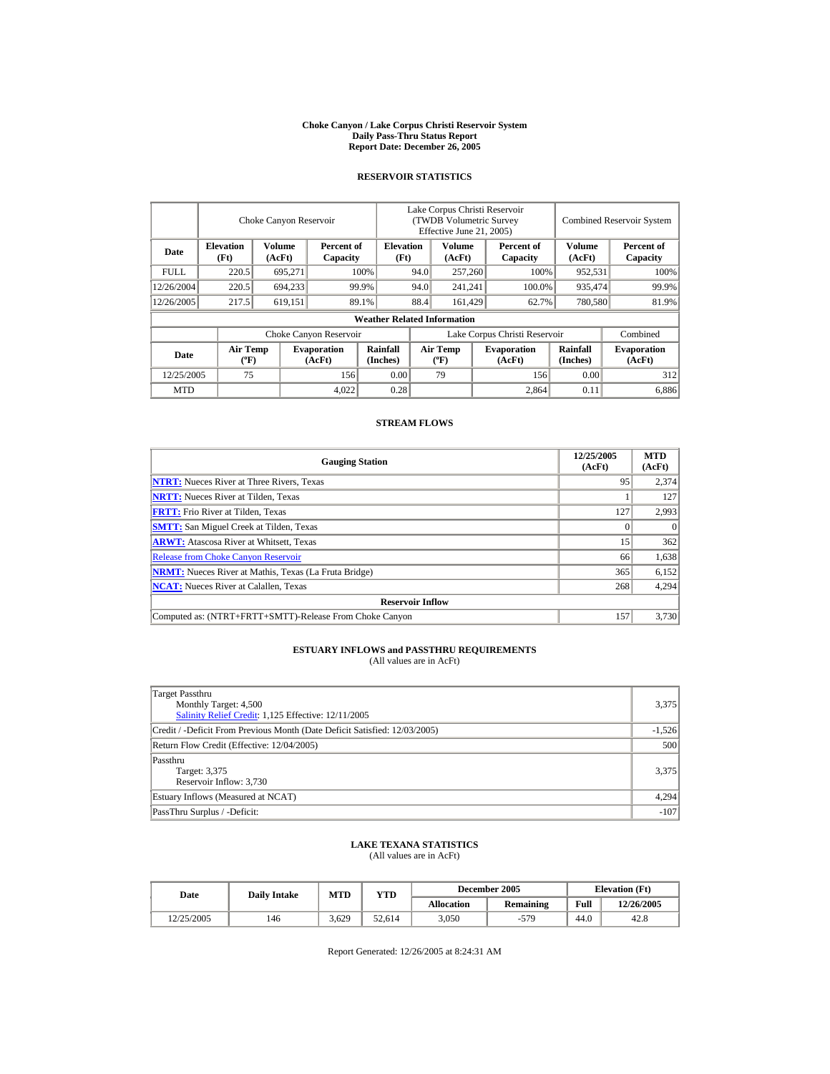#### **Choke Canyon / Lake Corpus Christi Reservoir System Daily Pass-Thru Status Report Report Date: December 26, 2005**

## **RESERVOIR STATISTICS**

|            | Choke Canyon Reservoir                |                  |                              |                                    | Lake Corpus Christi Reservoir<br>(TWDB Volumetric Survey<br>Effective June 21, 2005) |                           |  |                              |                      | <b>Combined Reservoir System</b> |
|------------|---------------------------------------|------------------|------------------------------|------------------------------------|--------------------------------------------------------------------------------------|---------------------------|--|------------------------------|----------------------|----------------------------------|
| Date       | <b>Elevation</b><br>(Ft)              | Volume<br>(AcFt) | Percent of<br>Capacity       |                                    | <b>Elevation</b><br>(Ft)                                                             | Volume<br>(AcFt)          |  | Percent of<br>Capacity       | Volume<br>(AcFt)     | Percent of<br>Capacity           |
| FULL.      | 220.5                                 | 695,271          |                              | 100%                               | 94.0                                                                                 | 257,260                   |  | 100%                         | 952,531              | 100%                             |
| 12/26/2004 | 220.5                                 | 694,233          |                              | 99.9%                              | 94.0                                                                                 | 241,241                   |  | 100.0%                       | 935,474              | 99.9%                            |
| 12/26/2005 | 217.5                                 | 619,151          |                              | 89.1%                              | 88.4                                                                                 | 161.429                   |  | 62.7%                        | 780,580              | 81.9%                            |
|            |                                       |                  |                              | <b>Weather Related Information</b> |                                                                                      |                           |  |                              |                      |                                  |
|            |                                       |                  | Choke Canyon Reservoir       |                                    | Lake Corpus Christi Reservoir                                                        |                           |  |                              |                      | Combined                         |
| Date       | <b>Air Temp</b><br>$({}^o\mathrm{F})$ |                  | <b>Evaporation</b><br>(AcFt) | <b>Rainfall</b><br>(Inches)        |                                                                                      | Air Temp<br>$(^{\circ}F)$ |  | <b>Evaporation</b><br>(AcFt) | Rainfall<br>(Inches) | <b>Evaporation</b><br>(AcFt)     |
| 12/25/2005 | 75                                    |                  | 156                          | 0.00                               |                                                                                      | 79                        |  | 156                          | 0.00                 | 312                              |
| <b>MTD</b> |                                       |                  | 4,022                        | 0.28                               |                                                                                      |                           |  | 2.864                        | 0.11                 | 6,886                            |

## **STREAM FLOWS**

| <b>Gauging Station</b>                                       | 12/25/2005<br>(AcFt) | <b>MTD</b><br>(AcFt) |
|--------------------------------------------------------------|----------------------|----------------------|
| <b>NTRT:</b> Nueces River at Three Rivers, Texas             | 95                   | 2,374                |
| <b>NRTT:</b> Nueces River at Tilden, Texas                   |                      | 127                  |
| <b>FRTT:</b> Frio River at Tilden, Texas                     | 127                  | 2,993                |
| <b>SMTT:</b> San Miguel Creek at Tilden, Texas               |                      | $\theta$             |
| <b>ARWT:</b> Atascosa River at Whitsett, Texas               | 15                   | 362                  |
| <b>Release from Choke Canyon Reservoir</b>                   | 66                   | 1,638                |
| <b>NRMT:</b> Nueces River at Mathis, Texas (La Fruta Bridge) | 365                  | 6,152                |
| <b>NCAT:</b> Nueces River at Calallen, Texas                 | 268                  | 4,294                |
| <b>Reservoir Inflow</b>                                      |                      |                      |
| Computed as: (NTRT+FRTT+SMTT)-Release From Choke Canyon      | 157                  | 3.730                |

# **ESTUARY INFLOWS and PASSTHRU REQUIREMENTS**<br>(All values are in AcFt)

| Target Passthru<br>Monthly Target: 4,500<br>Salinity Relief Credit: 1,125 Effective: 12/11/2005 | 3,375    |
|-------------------------------------------------------------------------------------------------|----------|
| Credit / -Deficit From Previous Month (Date Deficit Satisfied: 12/03/2005)                      | $-1,526$ |
| Return Flow Credit (Effective: 12/04/2005)                                                      | 500      |
| Passthru<br>Target: 3,375<br>Reservoir Inflow: 3,730                                            | 3,375    |
| Estuary Inflows (Measured at NCAT)                                                              | 4,294    |
| PassThru Surplus / -Deficit:                                                                    | $-107$   |

## **LAKE TEXANA STATISTICS**

(All values are in AcFt)

| Date       | <b>Daily Intake</b> | <b>MTD</b> | VTD    |                   | December 2005    | <b>Elevation</b> (Ft) |            |
|------------|---------------------|------------|--------|-------------------|------------------|-----------------------|------------|
|            |                     |            |        | <b>Allocation</b> | <b>Remaining</b> | Full                  | 12/26/2005 |
| 12/25/2005 | 146                 | 3.629      | 52.614 | 3,050             | -579             | 44.0                  | 42.8       |

Report Generated: 12/26/2005 at 8:24:31 AM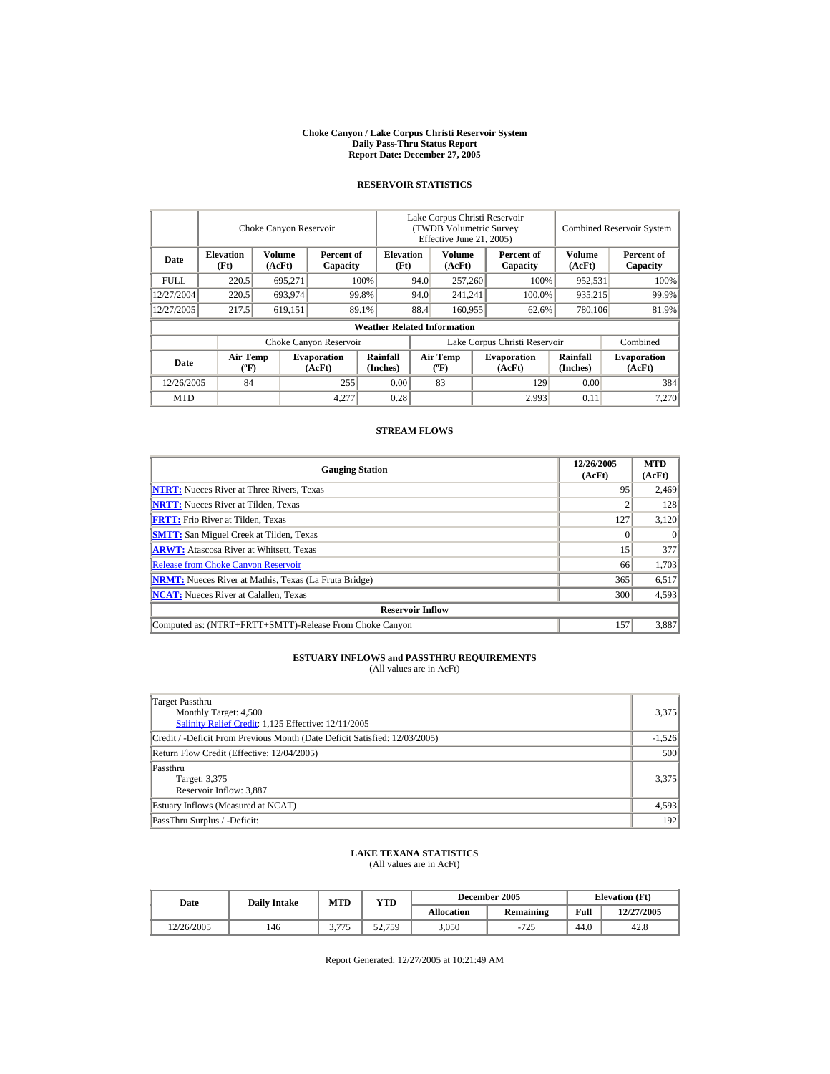#### **Choke Canyon / Lake Corpus Christi Reservoir System Daily Pass-Thru Status Report Report Date: December 27, 2005**

## **RESERVOIR STATISTICS**

|             |                                             | Choke Canyon Reservoir  |                              |                                    | Lake Corpus Christi Reservoir<br>(TWDB Volumetric Survey<br>Effective June 21, 2005) |                                  |         |                              | <b>Combined Reservoir System</b> |                              |  |
|-------------|---------------------------------------------|-------------------------|------------------------------|------------------------------------|--------------------------------------------------------------------------------------|----------------------------------|---------|------------------------------|----------------------------------|------------------------------|--|
| Date        | <b>Elevation</b><br>(Ft)                    | <b>Volume</b><br>(AcFt) | Percent of<br>Capacity       | <b>Elevation</b><br>(Ft)           |                                                                                      | Volume<br>(AcFt)                 |         | Percent of<br>Capacity       | <b>Volume</b><br>(AcFt)          | Percent of<br>Capacity       |  |
| <b>FULL</b> | 220.5                                       | 695,271                 |                              | 100%                               | 94.0<br>257,260                                                                      |                                  |         | 100%                         | 952,531                          | 100%                         |  |
| 12/27/2004  | 220.5                                       | 693,974                 |                              | 99.8%                              | 94.0<br>241.241                                                                      |                                  |         | 100.0%                       | 935,215                          | 99.9%                        |  |
| 12/27/2005  | 217.5                                       | 619,151                 |                              | 89.1%                              | 88.4                                                                                 |                                  | 160,955 |                              | 780,106<br>62.6%                 | 81.9%                        |  |
|             |                                             |                         |                              | <b>Weather Related Information</b> |                                                                                      |                                  |         |                              |                                  |                              |  |
|             |                                             |                         | Choke Canyon Reservoir       |                                    | Lake Corpus Christi Reservoir                                                        |                                  |         |                              |                                  | Combined                     |  |
| <b>Date</b> | <b>Air Temp</b><br>$({}^{\circ}\mathrm{F})$ |                         | <b>Evaporation</b><br>(AcFt) | Rainfall<br>(Inches)               |                                                                                      | <b>Air Temp</b><br>$(^{\circ}F)$ |         | <b>Evaporation</b><br>(AcFt) | <b>Rainfall</b><br>(Inches)      | <b>Evaporation</b><br>(AcFt) |  |
| 12/26/2005  | 84                                          |                         | 255                          | 0.00                               |                                                                                      | 83                               |         | 129                          | 0.00                             | 384                          |  |
| <b>MTD</b>  |                                             |                         | 4,277                        | 0.28                               |                                                                                      |                                  |         | 2.993                        | 0.11                             | 7.270                        |  |

## **STREAM FLOWS**

| <b>Gauging Station</b>                                       | 12/26/2005<br>(AcFt) | <b>MTD</b><br>(AcFt) |
|--------------------------------------------------------------|----------------------|----------------------|
| <b>NTRT:</b> Nueces River at Three Rivers, Texas             | 95                   | 2,469                |
| <b>NRTT:</b> Nueces River at Tilden, Texas                   |                      | 128                  |
| <b>FRTT:</b> Frio River at Tilden, Texas                     | 127                  | 3,120                |
| <b>SMTT:</b> San Miguel Creek at Tilden, Texas               |                      |                      |
| <b>ARWT:</b> Atascosa River at Whitsett, Texas               | 15                   | 377                  |
| <b>Release from Choke Canyon Reservoir</b>                   | 66                   | 1,703                |
| <b>NRMT:</b> Nueces River at Mathis, Texas (La Fruta Bridge) | 365                  | 6,517                |
| <b>NCAT:</b> Nueces River at Calallen, Texas                 | 300                  | 4,593                |
| <b>Reservoir Inflow</b>                                      |                      |                      |
| Computed as: (NTRT+FRTT+SMTT)-Release From Choke Canyon      | 157                  | 3,887                |

## **ESTUARY INFLOWS and PASSTHRU REQUIREMENTS**

(All values are in AcFt)

| Target Passthru<br>Monthly Target: 4,500<br>Salinity Relief Credit: 1,125 Effective: 12/11/2005 | 3,375    |
|-------------------------------------------------------------------------------------------------|----------|
| Credit / -Deficit From Previous Month (Date Deficit Satisfied: 12/03/2005)                      | $-1,526$ |
| Return Flow Credit (Effective: 12/04/2005)                                                      | 500      |
| Passthru<br>Target: 3,375<br>Reservoir Inflow: 3.887                                            | 3,375    |
| Estuary Inflows (Measured at NCAT)                                                              | 4,593    |
| PassThru Surplus / -Deficit:                                                                    | 192      |

### **LAKE TEXANA STATISTICS** (All values are in AcFt)

| Date       | <b>Daily Intake</b> | MTD   | <b>YTD</b> |            | December 2005    |      | <b>Elevation</b> (Ft) |
|------------|---------------------|-------|------------|------------|------------------|------|-----------------------|
|            |                     |       |            | Allocation | <b>Remaining</b> | Full | 12/27/2005            |
| 12/26/2005 | 146                 | 2.775 | 52.759     | 3,050      | 725<br>$-12.$    | 44.0 | 42.8                  |

Report Generated: 12/27/2005 at 10:21:49 AM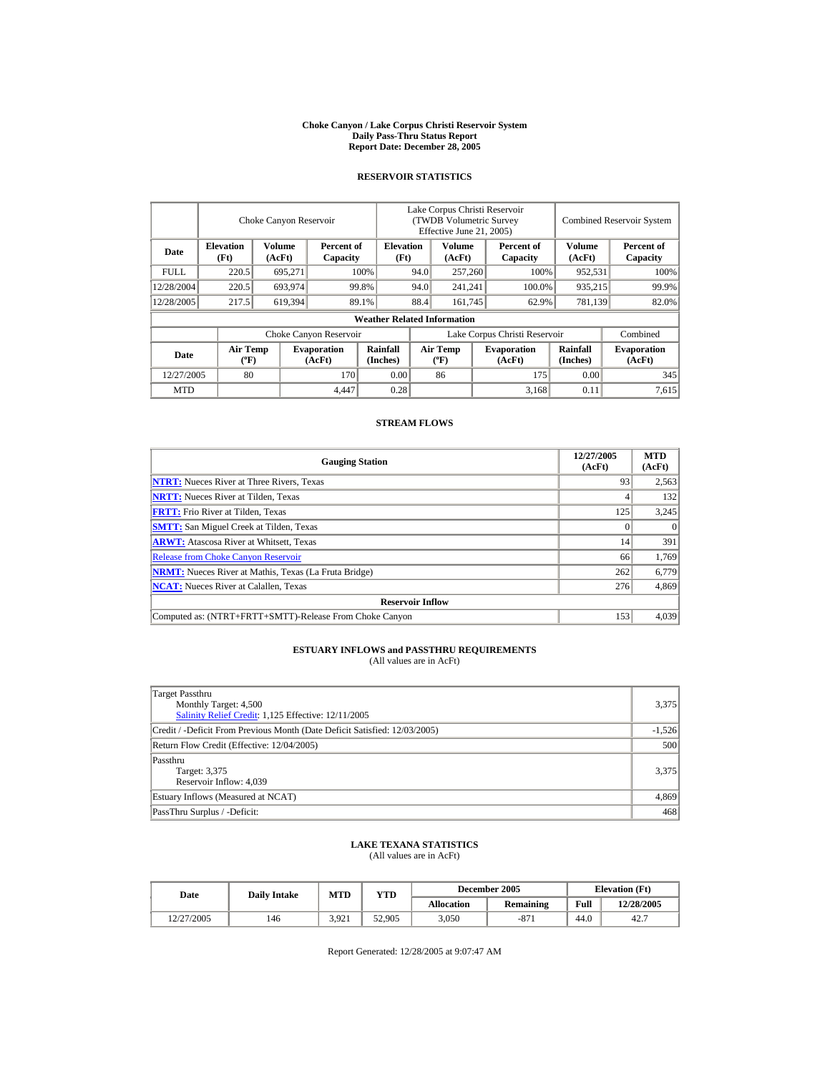#### **Choke Canyon / Lake Corpus Christi Reservoir System Daily Pass-Thru Status Report Report Date: December 28, 2005**

## **RESERVOIR STATISTICS**

|             |                                | Choke Canyon Reservoir |                              |                                    | Lake Corpus Christi Reservoir<br>(TWDB Volumetric Survey<br>Effective June 21, 2005) |                                             |  |                               |                      | <b>Combined Reservoir System</b> |
|-------------|--------------------------------|------------------------|------------------------------|------------------------------------|--------------------------------------------------------------------------------------|---------------------------------------------|--|-------------------------------|----------------------|----------------------------------|
| Date        | <b>Elevation</b><br>(Ft)       | Volume<br>(AcFt)       | Percent of<br>Capacity       | <b>Elevation</b><br>(Ft)           |                                                                                      | Volume<br>(AcFt)                            |  | Percent of<br>Capacity        | Volume<br>(AcFt)     | Percent of<br>Capacity           |
| <b>FULL</b> | 220.5                          | 695,271                |                              | 100%                               | 94.0                                                                                 | 257,260                                     |  | 100%                          | 952,531              | 100%                             |
| 12/28/2004  | 220.5                          | 693,974                |                              | 99.8%                              | 94.0                                                                                 | 241,241                                     |  | 100.0%                        | 935,215              | 99.9%                            |
| 12/28/2005  | 217.5                          | 619,394                |                              | 89.1%                              | 88.4                                                                                 | 161,745                                     |  | 62.9%                         | 781,139              | 82.0%                            |
|             |                                |                        |                              | <b>Weather Related Information</b> |                                                                                      |                                             |  |                               |                      |                                  |
|             |                                |                        | Choke Canyon Reservoir       |                                    |                                                                                      |                                             |  | Lake Corpus Christi Reservoir |                      | Combined                         |
| Date        | Air Temp<br>$({}^o\mathrm{F})$ |                        | <b>Evaporation</b><br>(AcFt) | Rainfall<br>(Inches)               |                                                                                      | <b>Air Temp</b><br>$({}^{\circ}\mathbf{F})$ |  | <b>Evaporation</b><br>(AcFt)  | Rainfall<br>(Inches) | <b>Evaporation</b><br>(AcFt)     |
| 12/27/2005  | 80                             |                        | 170                          | 0.00                               |                                                                                      | 86                                          |  | 175                           | 0.00                 | 345                              |
| <b>MTD</b>  |                                |                        | 4.447                        | 0.28                               |                                                                                      |                                             |  | 3,168                         | 0.11                 | 7.615                            |

## **STREAM FLOWS**

| <b>Gauging Station</b>                                       | 12/27/2005<br>(AcFt) | <b>MTD</b><br>(AcFt) |
|--------------------------------------------------------------|----------------------|----------------------|
| <b>NTRT:</b> Nueces River at Three Rivers, Texas             | 93                   | 2,563                |
| <b>NRTT:</b> Nueces River at Tilden, Texas                   |                      | 132                  |
| <b>FRTT:</b> Frio River at Tilden, Texas                     | 125                  | 3,245                |
| <b>SMTT:</b> San Miguel Creek at Tilden, Texas               |                      | $\theta$             |
| <b>ARWT:</b> Atascosa River at Whitsett, Texas               | 14                   | 391                  |
| <b>Release from Choke Canyon Reservoir</b>                   | 66                   | 1,769                |
| <b>NRMT:</b> Nueces River at Mathis, Texas (La Fruta Bridge) | 262                  | 6,779                |
| <b>NCAT:</b> Nueces River at Calallen, Texas                 | 276                  | 4,869                |
| <b>Reservoir Inflow</b>                                      |                      |                      |
| Computed as: (NTRT+FRTT+SMTT)-Release From Choke Canyon      | 153                  | 4.039                |

# **ESTUARY INFLOWS and PASSTHRU REQUIREMENTS**<br>(All values are in AcFt)

| Target Passthru<br>Monthly Target: 4,500<br>Salinity Relief Credit: 1,125 Effective: 12/11/2005 | 3,375    |
|-------------------------------------------------------------------------------------------------|----------|
| Credit / -Deficit From Previous Month (Date Deficit Satisfied: 12/03/2005)                      | $-1,526$ |
| Return Flow Credit (Effective: 12/04/2005)                                                      | 500      |
| Passthru<br>Target: 3,375<br>Reservoir Inflow: 4,039                                            | 3,375    |
| Estuary Inflows (Measured at NCAT)                                                              | 4,869    |
| PassThru Surplus / -Deficit:                                                                    | 468      |

## **LAKE TEXANA STATISTICS**

(All values are in AcFt)

|  | Date       | <b>Daily Intake</b> | MTD   | YTD    |                   | December 2005    | <b>Elevation</b> (Ft) |            |
|--|------------|---------------------|-------|--------|-------------------|------------------|-----------------------|------------|
|  |            |                     |       |        | <b>Allocation</b> | <b>Remaining</b> | Full                  | 12/28/2005 |
|  | 12/27/2005 | 146                 | 3.921 | 52,905 | 3,050             | $-87$            | 44.0                  | 42.7       |

Report Generated: 12/28/2005 at 9:07:47 AM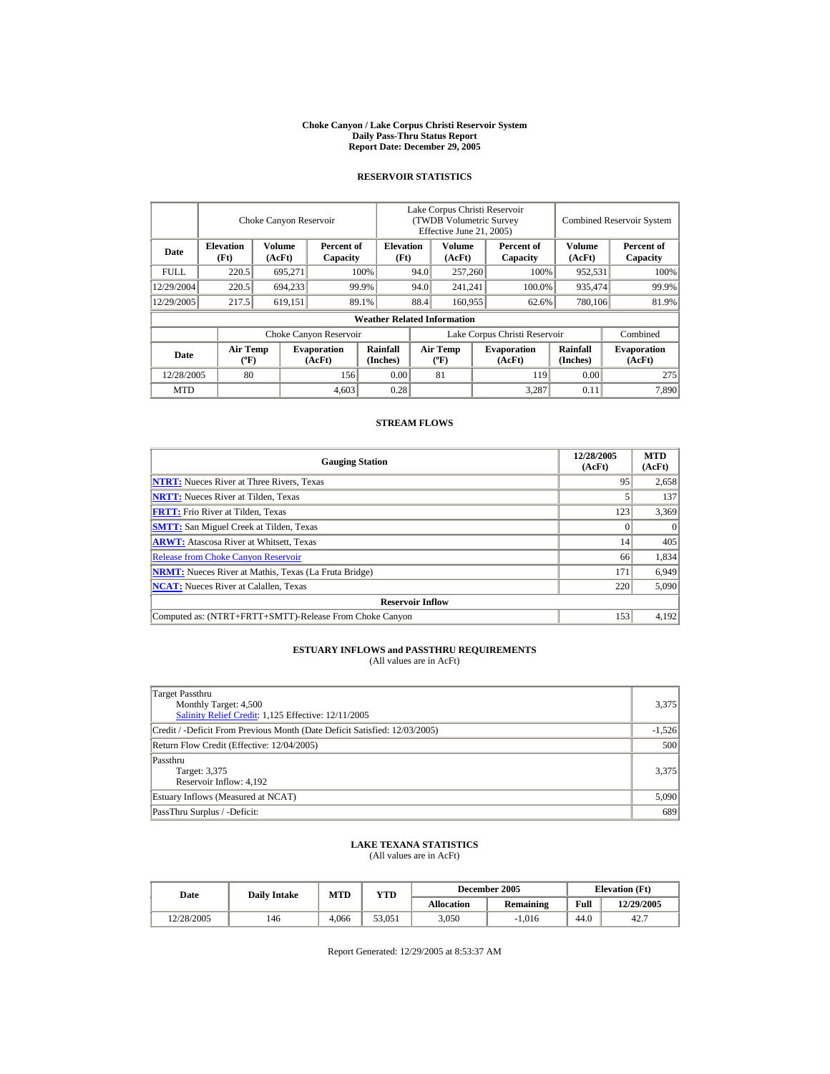#### **Choke Canyon / Lake Corpus Christi Reservoir System Daily Pass-Thru Status Report Report Date: December 29, 2005**

## **RESERVOIR STATISTICS**

|            |                             | Choke Canyon Reservoir |                              |                                    | Lake Corpus Christi Reservoir<br>(TWDB Volumetric Survey<br>Effective June 21, 2005) |                                      |  |                              |                      | <b>Combined Reservoir System</b> |
|------------|-----------------------------|------------------------|------------------------------|------------------------------------|--------------------------------------------------------------------------------------|--------------------------------------|--|------------------------------|----------------------|----------------------------------|
| Date       | <b>Elevation</b><br>(Ft)    | Volume<br>(AcFt)       | Percent of<br>Capacity       | <b>Elevation</b><br>(Ft)           |                                                                                      | Volume<br>(AcFt)                     |  | Percent of<br>Capacity       | Volume<br>(AcFt)     | Percent of<br>Capacity           |
| FULL.      | 220.5                       | 695,271                |                              | 100%                               | 94.0                                                                                 | 257,260                              |  | 100%                         | 952,531              | 100%                             |
| 12/29/2004 | 220.5                       | 694,233                |                              | 99.9%                              | 94.0                                                                                 | 241,241                              |  | 100.0%                       | 935,474              | 99.9%                            |
| 12/29/2005 | 217.5                       | 619,151                |                              | 89.1%                              | 88.4                                                                                 | 160,955                              |  | 62.6%                        | 780,106              | 81.9%                            |
|            |                             |                        |                              | <b>Weather Related Information</b> |                                                                                      |                                      |  |                              |                      |                                  |
|            |                             |                        | Choke Canyon Reservoir       |                                    | Lake Corpus Christi Reservoir                                                        |                                      |  |                              |                      | Combined                         |
| Date       | Air Temp<br>$({}^{\circ}F)$ |                        | <b>Evaporation</b><br>(AcFt) | <b>Rainfall</b><br>(Inches)        |                                                                                      | Air Temp<br>$({}^{\circ}\mathrm{F})$ |  | <b>Evaporation</b><br>(AcFt) | Rainfall<br>(Inches) | <b>Evaporation</b><br>(AcFt)     |
| 12/28/2005 | 80                          |                        | 156                          | 0.00                               |                                                                                      | 81                                   |  | 119                          | 0.00                 | 275                              |
| <b>MTD</b> |                             |                        | 4,603                        | 0.28                               |                                                                                      |                                      |  | 3.287                        | 0.11                 | 7.890                            |

## **STREAM FLOWS**

| <b>Gauging Station</b>                                       | 12/28/2005<br>(AcFt) | <b>MTD</b><br>(AcFt) |
|--------------------------------------------------------------|----------------------|----------------------|
| <b>NTRT:</b> Nueces River at Three Rivers, Texas             | 95                   | 2,658                |
| <b>NRTT:</b> Nueces River at Tilden, Texas                   |                      | 137                  |
| <b>FRTT:</b> Frio River at Tilden, Texas                     | 123                  | 3,369                |
| <b>SMTT:</b> San Miguel Creek at Tilden, Texas               |                      | $\Omega$             |
| <b>ARWT:</b> Atascosa River at Whitsett, Texas               | 14                   | 405                  |
| <b>Release from Choke Canyon Reservoir</b>                   | 66                   | 1,834                |
| <b>NRMT:</b> Nueces River at Mathis, Texas (La Fruta Bridge) | 171                  | 6,949                |
| <b>NCAT:</b> Nueces River at Calallen. Texas                 | 220                  | 5,090                |
| <b>Reservoir Inflow</b>                                      |                      |                      |
| Computed as: (NTRT+FRTT+SMTT)-Release From Choke Canyon      | 153                  | 4.192                |

# **ESTUARY INFLOWS and PASSTHRU REQUIREMENTS**<br>(All values are in AcFt)

| Target Passthru<br>Monthly Target: 4,500<br>Salinity Relief Credit: 1,125 Effective: 12/11/2005 | 3,375    |
|-------------------------------------------------------------------------------------------------|----------|
| Credit / -Deficit From Previous Month (Date Deficit Satisfied: 12/03/2005)                      | $-1,526$ |
| Return Flow Credit (Effective: 12/04/2005)                                                      | 500      |
| Passthru<br>Target: 3,375<br>Reservoir Inflow: 4,192                                            | 3,375    |
| Estuary Inflows (Measured at NCAT)                                                              | 5,090    |
| PassThru Surplus / -Deficit:                                                                    | 689      |

## **LAKE TEXANA STATISTICS**

(All values are in AcFt)

| Date       | <b>Daily Intake</b> | <b>MTD</b> | YTD    |                   | December 2005    | <b>Elevation</b> (Ft) |            |
|------------|---------------------|------------|--------|-------------------|------------------|-----------------------|------------|
|            |                     |            |        | <b>Allocation</b> | <b>Remaining</b> | Full                  | 12/29/2005 |
| 12/28/2005 | 146                 | 4.066      | 53.051 | 3,050             | $-1.016$         | 44.0                  | 42.7       |

Report Generated: 12/29/2005 at 8:53:37 AM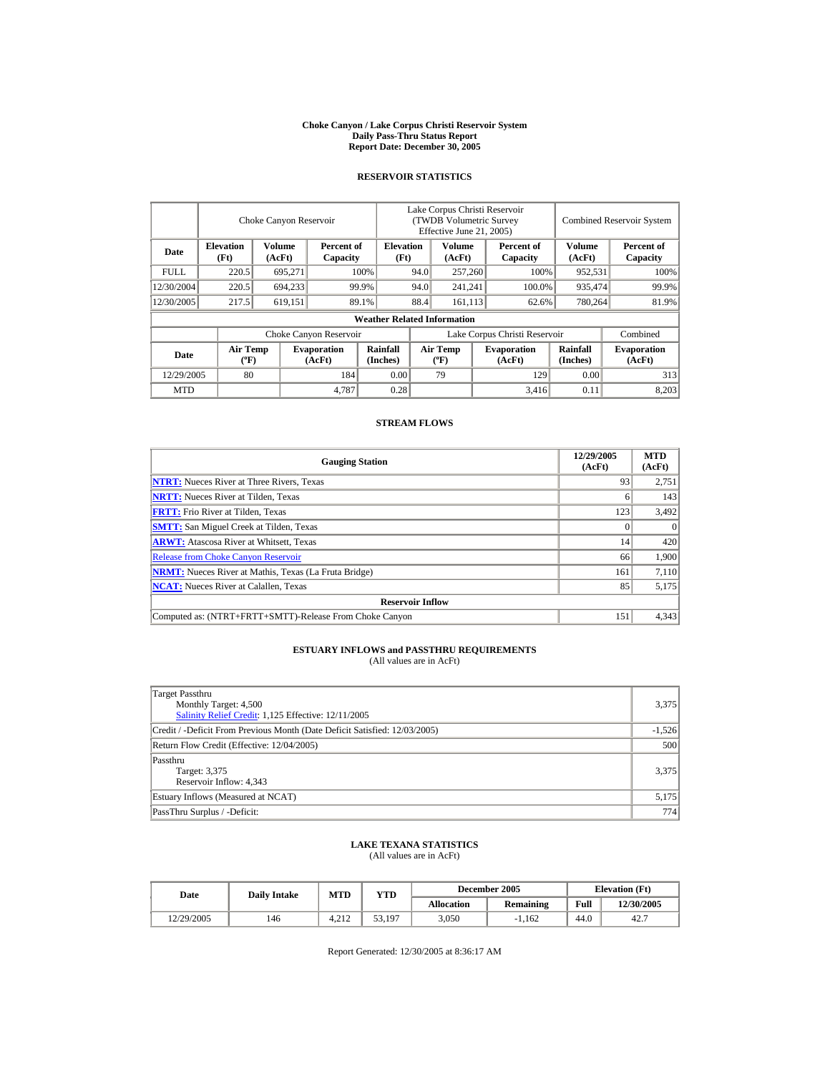#### **Choke Canyon / Lake Corpus Christi Reservoir System Daily Pass-Thru Status Report Report Date: December 30, 2005**

## **RESERVOIR STATISTICS**

|             |                                       | Choke Canyon Reservoir |                              |                                    | Lake Corpus Christi Reservoir<br>(TWDB Volumetric Survey<br>Effective June 21, 2005) |                                      |  |                              |                      | <b>Combined Reservoir System</b> |
|-------------|---------------------------------------|------------------------|------------------------------|------------------------------------|--------------------------------------------------------------------------------------|--------------------------------------|--|------------------------------|----------------------|----------------------------------|
| Date        | <b>Elevation</b><br>(Ft)              | Volume<br>(AcFt)       | Percent of<br>Capacity       | <b>Elevation</b><br>(Ft)           |                                                                                      | Volume<br>(AcFt)                     |  | Percent of<br>Capacity       | Volume<br>(AcFt)     | Percent of<br>Capacity           |
| <b>FULL</b> | 220.5                                 | 695,271                |                              | 100%                               | 94.0                                                                                 | 257,260                              |  | 100%                         | 952,531              | 100%                             |
| 12/30/2004  | 220.5                                 | 694,233                |                              | 99.9%                              | 94.0                                                                                 | 241,241                              |  | 100.0%                       | 935,474              | 99.9%                            |
| 12/30/2005  | 217.5                                 | 619,151                |                              | 89.1%                              | 88.4                                                                                 | 161.113                              |  | 62.6%                        | 780,264              | 81.9%                            |
|             |                                       |                        |                              | <b>Weather Related Information</b> |                                                                                      |                                      |  |                              |                      |                                  |
|             |                                       |                        | Choke Canyon Reservoir       |                                    | Lake Corpus Christi Reservoir                                                        |                                      |  |                              |                      | Combined                         |
| Date        | <b>Air Temp</b><br>$({}^o\mathrm{F})$ |                        | <b>Evaporation</b><br>(AcFt) | <b>Rainfall</b><br>(Inches)        |                                                                                      | Air Temp<br>$({}^{\circ}\mathbf{F})$ |  | <b>Evaporation</b><br>(AcFt) | Rainfall<br>(Inches) | <b>Evaporation</b><br>(AcFt)     |
| 12/29/2005  | 80                                    |                        | 184                          | 0.00                               |                                                                                      | 79                                   |  | 129                          | 0.00                 | 313                              |
| <b>MTD</b>  |                                       |                        | 4,787                        | 0.28                               |                                                                                      |                                      |  | 3,416                        | 0.11                 | 8,203                            |

## **STREAM FLOWS**

| <b>Gauging Station</b>                                       | 12/29/2005<br>(AcFt) | <b>MTD</b><br>(AcFt) |
|--------------------------------------------------------------|----------------------|----------------------|
| <b>NTRT:</b> Nueces River at Three Rivers, Texas             | 93                   | 2,751                |
| <b>NRTT:</b> Nueces River at Tilden, Texas                   | n                    | 143                  |
| <b>FRTT:</b> Frio River at Tilden, Texas                     | 123                  | 3,492                |
| <b>SMTT:</b> San Miguel Creek at Tilden, Texas               |                      | $\Omega$             |
| <b>ARWT:</b> Atascosa River at Whitsett, Texas               | 14                   | 420                  |
| <b>Release from Choke Canyon Reservoir</b>                   | 66                   | 1.900                |
| <b>NRMT:</b> Nueces River at Mathis, Texas (La Fruta Bridge) | 161                  | 7,110                |
| <b>NCAT:</b> Nueces River at Calallen, Texas                 | 85                   | 5,175                |
| <b>Reservoir Inflow</b>                                      |                      |                      |
| Computed as: (NTRT+FRTT+SMTT)-Release From Choke Canyon      | 151                  | 4,343                |

# **ESTUARY INFLOWS and PASSTHRU REQUIREMENTS**<br>(All values are in AcFt)

| Target Passthru<br>Monthly Target: 4,500<br>Salinity Relief Credit: 1,125 Effective: 12/11/2005 | 3,375    |
|-------------------------------------------------------------------------------------------------|----------|
| Credit / -Deficit From Previous Month (Date Deficit Satisfied: 12/03/2005)                      | $-1,526$ |
| Return Flow Credit (Effective: 12/04/2005)                                                      | 500      |
| Passthru<br>Target: 3,375<br>Reservoir Inflow: 4,343                                            | 3,375    |
| Estuary Inflows (Measured at NCAT)                                                              | 5,175    |
| PassThru Surplus / -Deficit:                                                                    | 774      |

## **LAKE TEXANA STATISTICS**

(All values are in AcFt)

| Date       | <b>Daily Intake</b> | <b>MTD</b> | VTD    |                   | December 2005    | <b>Elevation</b> (Ft) |            |
|------------|---------------------|------------|--------|-------------------|------------------|-----------------------|------------|
|            |                     |            |        | <b>Allocation</b> | <b>Remaining</b> | Full                  | 12/30/2005 |
| 12/29/2005 | 146                 | 4.212      | 53,197 | 3,050             | $-1.162$         | 44.0                  | 42.7       |

Report Generated: 12/30/2005 at 8:36:17 AM